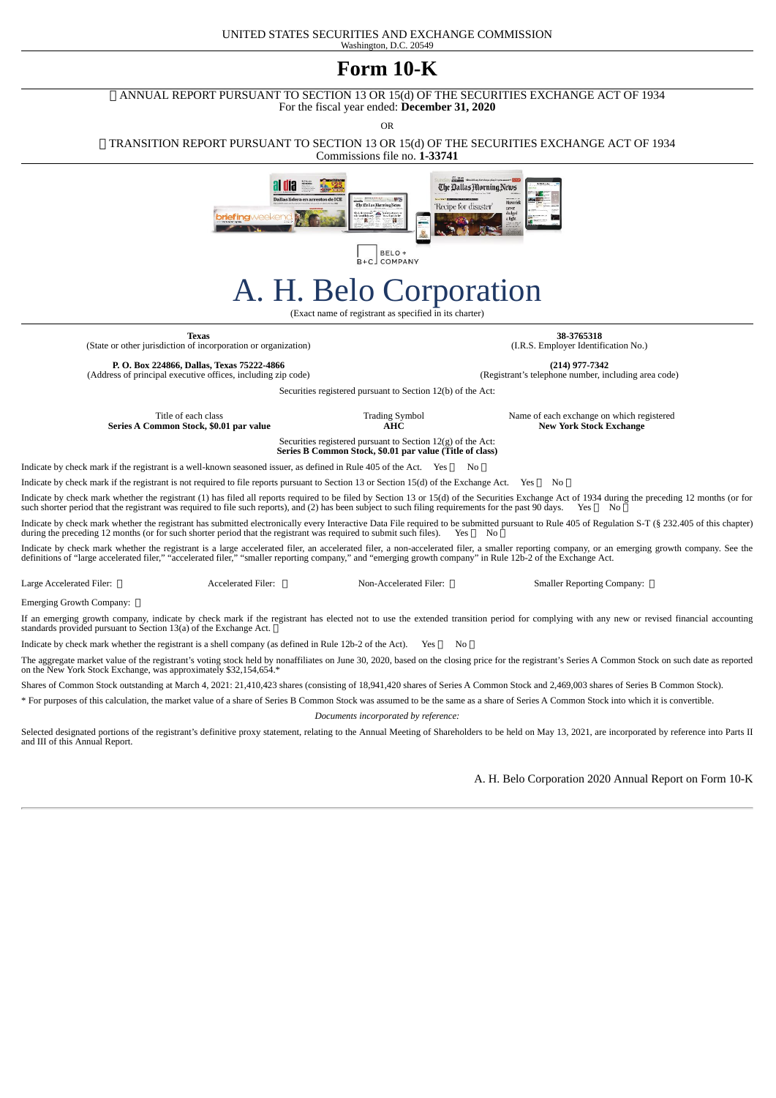# **Form 10-K**

 ANNUAL REPORT PURSUANT TO SECTION 13 OR 15(d) OF THE SECURITIES EXCHANGE ACT OF 1934 For the fiscal year ended: **December 31, 2020** OR TRANSITION REPORT PURSUANT TO SECTION 13 OR 15(d) OF THE SECURITIES EXCHANGE ACT OF 1934 Commissions file no. **1-33741** The Dallas Morning News  $\pm$ Recipe for disaster s on  $mid$ ing $\wedge$ BELO + **COMPANY** A. H. Belo Corporation (Exact name of registrant as specified  $\overline{\text{in}}$  its charter) **Texas 38-3765318** (State or other jurisdiction of incorporation or organization) (I.R.S. Employer Identification No.) **P. O. Box 224866, Dallas, Texas 75222-4866 (214) 977-7342** (Address of principal executive offices, including zip code) Securities registered pursuant to Section 12(b) of the Act: Title of each class Trading Symbol Name of each exchange on which registered<br>  $\overline{AHC}$  New York Stock Exchange **Series A Common Stock, \$0.01 par value AHC New York Stock Exchange** Securities registered pursuant to Section 12(g) of the Act: **Series B Common Stock, \$0.01 par value (Title of class)** Indicate by check mark if the registrant is a well-known seasoned issuer, as defined in Rule 405 of the Act. Yes  $\Box$  No  $\Box$ Indicate by check mark if the registrant is not required to file reports pursuant to Section 13 or Section 15(d) of the Exchange Act. Yes  $\Box$  No  $\Box$ Indicate by check mark whether the registrant (1) has filed all reports required to be filed by Section 13 or 15(d) of the Securities Exchange Act of 1934 during the preceding 12 months (or for such shorter period that the registrant was required to file such reports), and (2) has been subject to such filing requirements for the past 90 days. Yes  $\Box$  No  $\Box$ Indicate by check mark whether the registrant has submitted electronically every Interactive Data File required to be submitted pursuant to Rule 405 of Regulation S-T (§ 232.405 of this chapter) during the preceding 12 mo during the preceding 12 months (or for such shorter period that the registrant was required to submit such files). Indicate by check mark whether the registrant is a large accelerated filer, an accelerated filer, a smaller, a smaller reporting company, or an emerging growth company. See the endier included filer, a smaller reporting co Large Accelerated Filer:  $\square$  Accelerated Filer:  $\square$  Non-Accelerated Filer:  $\square$  Smaller Reporting Company:  $\square$ Emerging Growth Company:  $\square$ If an emerging growth company, indicate by check mark if the registrant has elected not to use the extended transition period for complying with any new or revised financial accounting standards provided pursuant to Section 13(a) of the Exchange Act.  $\square$ Indicate by check mark whether the registrant is a shell company (as defined in Rule 12b-2 of the Act). Yes  $\Box$  No  $\Box$ The aggregate market value of the registrant's voting stock held by nonaffiliates on June 30, 2020, based on the closing price for the registrant's Series A Common Stock on such date as reported on the New York Stock Exchange, was approximately \$32,154,654.\* Shares of Common Stock outstanding at March 4, 2021: 21,410,423 shares (consisting of 18,941,420 shares of Series A Common Stock and 2,469,003 shares of Series B Common Stock). \* For purposes of this calculation, the market value of a share of Series B Common Stock was assumed to be the same as a share of Series A Common Stock into which it is convertible. *Documents incorporated by reference:*

Selected designated portions of the registrant's definitive proxy statement, relating to the Annual Meeting of Shareholders to be held on May 13, 2021, are incorporated by reference into Parts II and III of this Annual Report.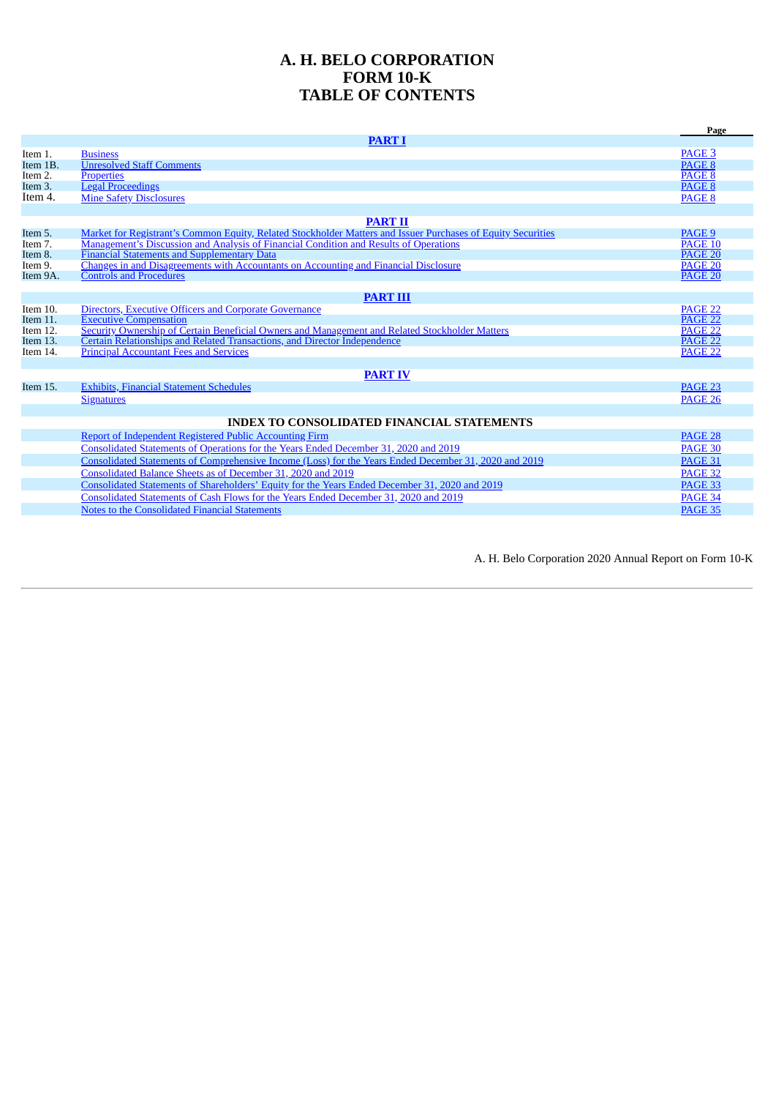# <span id="page-1-1"></span>**A. H. BELO CORPORATION FORM 10-K TABLE OF CONTENTS**

<span id="page-1-0"></span>

|          |                                                                                                              | Page               |
|----------|--------------------------------------------------------------------------------------------------------------|--------------------|
|          | <b>PART I</b>                                                                                                |                    |
| Item 1.  | <b>Business</b>                                                                                              | PAGE <sub>3</sub>  |
| Item 1B. | <b>Unresolved Staff Comments</b>                                                                             | PAGE <sub>8</sub>  |
| Item 2.  | <b>Properties</b>                                                                                            | PAGE <sub>8</sub>  |
| Item 3.  | <b>Legal Proceedings</b>                                                                                     | PAGE 8             |
| Item 4.  | <b>Mine Safety Disclosures</b>                                                                               | PAGE <sub>8</sub>  |
|          |                                                                                                              |                    |
|          | <b>PART II</b>                                                                                               |                    |
| Item 5.  | Market for Registrant's Common Equity, Related Stockholder Matters and Issuer Purchases of Equity Securities | PAGE 9             |
| Item 7.  | Management's Discussion and Analysis of Financial Condition and Results of Operations                        | <b>PAGE 10</b>     |
| Item 8.  | <b>Financial Statements and Supplementary Data</b>                                                           | <b>PAGE 20</b>     |
| Item 9.  | Changes in and Disagreements with Accountants on Accounting and Financial Disclosure                         | PAGE <sub>20</sub> |
| Item 9A. | <b>Controls and Procedures</b>                                                                               | PAGE <sub>20</sub> |
|          | <b>PART III</b>                                                                                              |                    |
| Item 10. | Directors, Executive Officers and Corporate Governance                                                       | <b>PAGE 22</b>     |
| Item 11. | <b>Executive Compensation</b>                                                                                | PAGE <sub>22</sub> |
| Item 12. | Security Ownership of Certain Beneficial Owners and Management and Related Stockholder Matters               | <b>PAGE 22</b>     |
| Item 13. | Certain Relationships and Related Transactions, and Director Independence                                    | PAGE <sub>22</sub> |
| Item 14. | <b>Principal Accountant Fees and Services</b>                                                                | <b>PAGE 22</b>     |
|          |                                                                                                              |                    |
|          | <b>PART IV</b>                                                                                               |                    |
| Item 15. | <b>Exhibits, Financial Statement Schedules</b>                                                               | <b>PAGE 23</b>     |
|          | <b>Signatures</b>                                                                                            | <b>PAGE 26</b>     |
|          |                                                                                                              |                    |
|          | <b>INDEX TO CONSOLIDATED FINANCIAL STATEMENTS</b>                                                            |                    |
|          | Report of Independent Registered Public Accounting Firm                                                      | <b>PAGE 28</b>     |
|          | Consolidated Statements of Operations for the Years Ended December 31, 2020 and 2019                         | <b>PAGE 30</b>     |
|          | Consolidated Statements of Comprehensive Income (Loss) for the Years Ended December 31, 2020 and 2019        | PAGE 31            |
|          | Consolidated Balance Sheets as of December 31, 2020 and 2019                                                 | <b>PAGE 32</b>     |
|          | Consolidated Statements of Shareholders' Equity for the Years Ended December 31, 2020 and 2019               | <b>PAGE 33</b>     |
|          | Consolidated Statements of Cash Flows for the Years Ended December 31, 2020 and 2019                         | <b>PAGE 34</b>     |
|          | Notes to the Consolidated Financial Statements                                                               | <b>PAGE 35</b>     |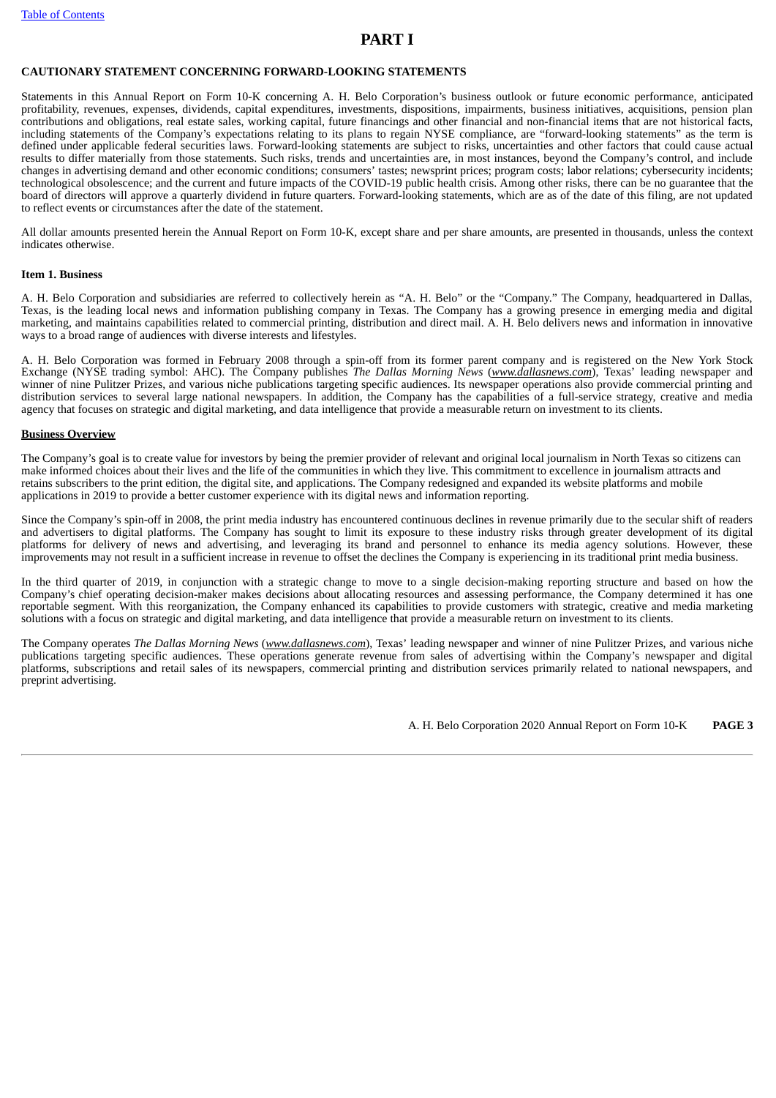# **PART I**

### <span id="page-2-1"></span>**CAUTIONARY STATEMENT CONCERNING FORWARD-LOOKING STATEMENTS**

Statements in this Annual Report on Form 10-K concerning A. H. Belo Corporation's business outlook or future economic performance, anticipated profitability, revenues, expenses, dividends, capital expenditures, investments, dispositions, impairments, business initiatives, acquisitions, pension plan contributions and obligations, real estate sales, working capital, future financings and other financial and non-financial items that are not historical facts, including statements of the Company's expectations relating to its plans to regain NYSE compliance, are "forward-looking statements" as the term is defined under applicable federal securities laws. Forward-looking statements are subject to risks, uncertainties and other factors that could cause actual results to differ materially from those statements. Such risks, trends and uncertainties are, in most instances, beyond the Company's control, and include changes in advertising demand and other economic conditions; consumers' tastes; newsprint prices; program costs; labor relations; cybersecurity incidents; technological obsolescence; and the current and future impacts of the COVID-19 public health crisis. Among other risks, there can be no guarantee that the board of directors will approve a quarterly dividend in future quarters. Forward-looking statements, which are as of the date of this filing, are not updated to reflect events or circumstances after the date of the statement.

All dollar amounts presented herein the Annual Report on Form 10-K, except share and per share amounts, are presented in thousands, unless the context indicates otherwise.

#### <span id="page-2-0"></span>**Item 1. Business**

A. H. Belo Corporation and subsidiaries are referred to collectively herein as "A. H. Belo" or the "Company." The Company, headquartered in Dallas, Texas, is the leading local news and information publishing company in Texas. The Company has a growing presence in emerging media and digital marketing, and maintains capabilities related to commercial printing, distribution and direct mail. A. H. Belo delivers news and information in innovative ways to a broad range of audiences with diverse interests and lifestyles.

A. H. Belo Corporation was formed in February 2008 through a spin-off from its former parent company and is registered on the New York Stock Exchange (NYSE trading symbol: AHC). The Company publishes *The Dallas Morning News* (*www.dallasnews.com*), Texas' leading newspaper and winner of nine Pulitzer Prizes, and various niche publications targeting specific audiences. Its newspaper operations also provide commercial printing and distribution services to several large national newspapers. In addition, the Company has the capabilities of a full-service strategy, creative and media agency that focuses on strategic and digital marketing, and data intelligence that provide a measurable return on investment to its clients.

### **Business Overview**

The Company's goal is to create value for investors by being the premier provider of relevant and original local journalism in North Texas so citizens can make informed choices about their lives and the life of the communities in which they live. This commitment to excellence in journalism attracts and retains subscribers to the print edition, the digital site, and applications. The Company redesigned and expanded its website platforms and mobile applications in 2019 to provide a better customer experience with its digital news and information reporting.

Since the Company's spin-off in 2008, the print media industry has encountered continuous declines in revenue primarily due to the secular shift of readers and advertisers to digital platforms. The Company has sought to limit its exposure to these industry risks through greater development of its digital platforms for delivery of news and advertising, and leveraging its brand and personnel to enhance its media agency solutions. However, these improvements may not result in a sufficient increase in revenue to offset the declines the Company is experiencing in its traditional print media business.

In the third quarter of 2019, in conjunction with a strategic change to move to a single decision-making reporting structure and based on how the Company's chief operating decision-maker makes decisions about allocating resources and assessing performance, the Company determined it has one reportable segment. With this reorganization, the Company enhanced its capabilities to provide customers with strategic, creative and media marketing solutions with a focus on strategic and digital marketing, and data intelligence that provide a measurable return on investment to its clients.

The Company operates *The Dallas Morning News* (*www.dallasnews.com*), Texas' leading newspaper and winner of nine Pulitzer Prizes, and various niche publications targeting specific audiences. These operations generate revenue from sales of advertising within the Company's newspaper and digital platforms, subscriptions and retail sales of its newspapers, commercial printing and distribution services primarily related to national newspapers, and preprint advertising.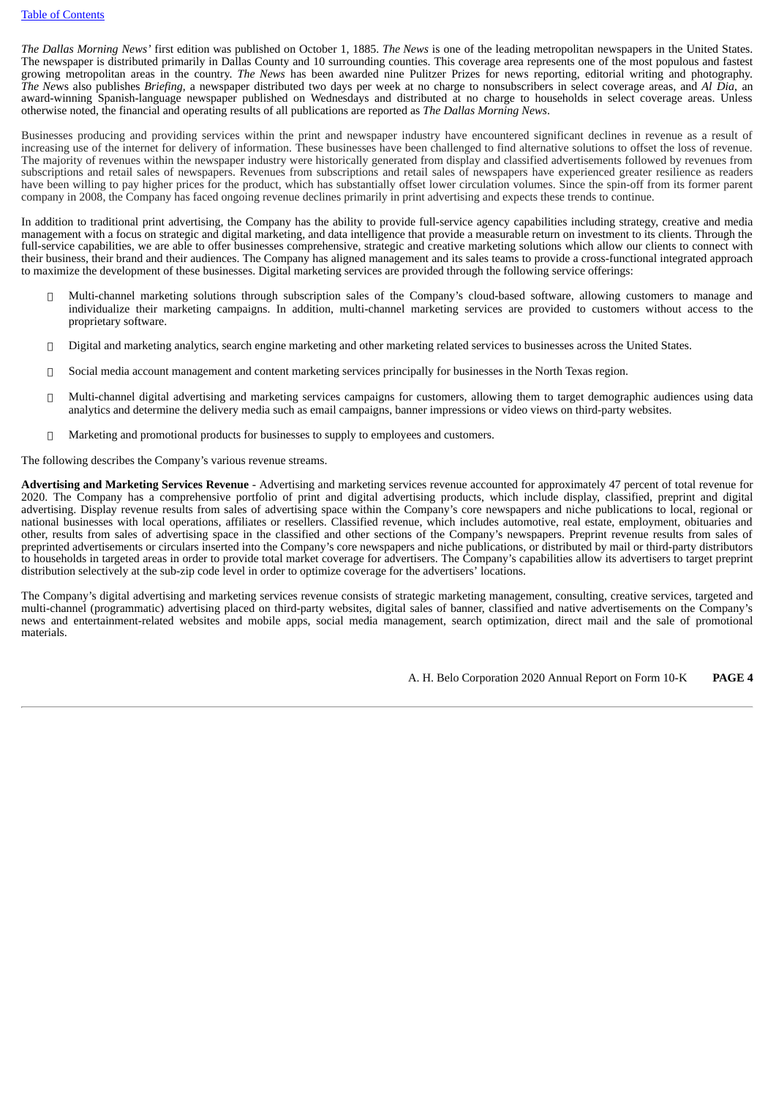*The Dallas Morning News'* first edition was published on October 1, 1885. *The News* is one of the leading metropolitan newspapers in the United States. The newspaper is distributed primarily in Dallas County and 10 surrounding counties. This coverage area represents one of the most populous and fastest growing metropolitan areas in the country. *The News* has been awarded nine Pulitzer Prizes for news reporting, editorial writing and photography. *The Ne*ws also publishes *Briefing*, a newspaper distributed two days per week at no charge to nonsubscribers in select coverage areas, and *Al Dia*, an award-winning Spanish-language newspaper published on Wednesdays and distributed at no charge to households in select coverage areas. Unless otherwise noted, the financial and operating results of all publications are reported as *The Dallas Morning News*.

Businesses producing and providing services within the print and newspaper industry have encountered significant declines in revenue as a result of increasing use of the internet for delivery of information. These businesses have been challenged to find alternative solutions to offset the loss of revenue. The majority of revenues within the newspaper industry were historically generated from display and classified advertisements followed by revenues from subscriptions and retail sales of newspapers. Revenues from subscriptions and retail sales of newspapers have experienced greater resilience as readers have been willing to pay higher prices for the product, which has substantially offset lower circulation volumes. Since the spin-off from its former parent company in 2008, the Company has faced ongoing revenue declines primarily in print advertising and expects these trends to continue.

In addition to traditional print advertising, the Company has the ability to provide full-service agency capabilities including strategy, creative and media management with a focus on strategic and digital marketing, and data intelligence that provide a measurable return on investment to its clients. Through the full-service capabilities, we are able to offer businesses comprehensive, strategic and creative marketing solutions which allow our clients to connect with their business, their brand and their audiences. The Company has aligned management and its sales teams to provide a cross-functional integrated approach to maximize the development of these businesses. Digital marketing services are provided through the following service offerings:

- Multi-channel marketing solutions through subscription sales of the Company's cloud-based software, allowing customers to manage and individualize their marketing campaigns. In addition, multi-channel marketing services are provided to customers without access to the proprietary software.
- Digital and marketing analytics, search engine marketing and other marketing related services to businesses across the United States.
- Social media account management and content marketing services principally for businesses in the North Texas region.
- Multi-channel digital advertising and marketing services campaigns for customers, allowing them to target demographic audiences using data analytics and determine the delivery media such as email campaigns, banner impressions or video views on third-party websites.
- Marketing and promotional products for businesses to supply to employees and customers.

The following describes the Company's various revenue streams.

**Advertising and Marketing Services Revenue** - Advertising and marketing services revenue accounted for approximately 47 percent of total revenue for 2020. The Company has a comprehensive portfolio of print and digital advertising products, which include display, classified, preprint and digital advertising. Display revenue results from sales of advertising space within the Company's core newspapers and niche publications to local, regional or national businesses with local operations, affiliates or resellers. Classified revenue, which includes automotive, real estate, employment, obituaries and other, results from sales of advertising space in the classified and other sections of the Company's newspapers. Preprint revenue results from sales of preprinted advertisements or circulars inserted into the Company's core newspapers and niche publications, or distributed by mail or third-party distributors to households in targeted areas in order to provide total market coverage for advertisers. The Company's capabilities allow its advertisers to target preprint distribution selectively at the sub-zip code level in order to optimize coverage for the advertisers' locations.

The Company's digital advertising and marketing services revenue consists of strategic marketing management, consulting, creative services, targeted and multi-channel (programmatic) advertising placed on third-party websites, digital sales of banner, classified and native advertisements on the Company's news and entertainment-related websites and mobile apps, social media management, search optimization, direct mail and the sale of promotional materials.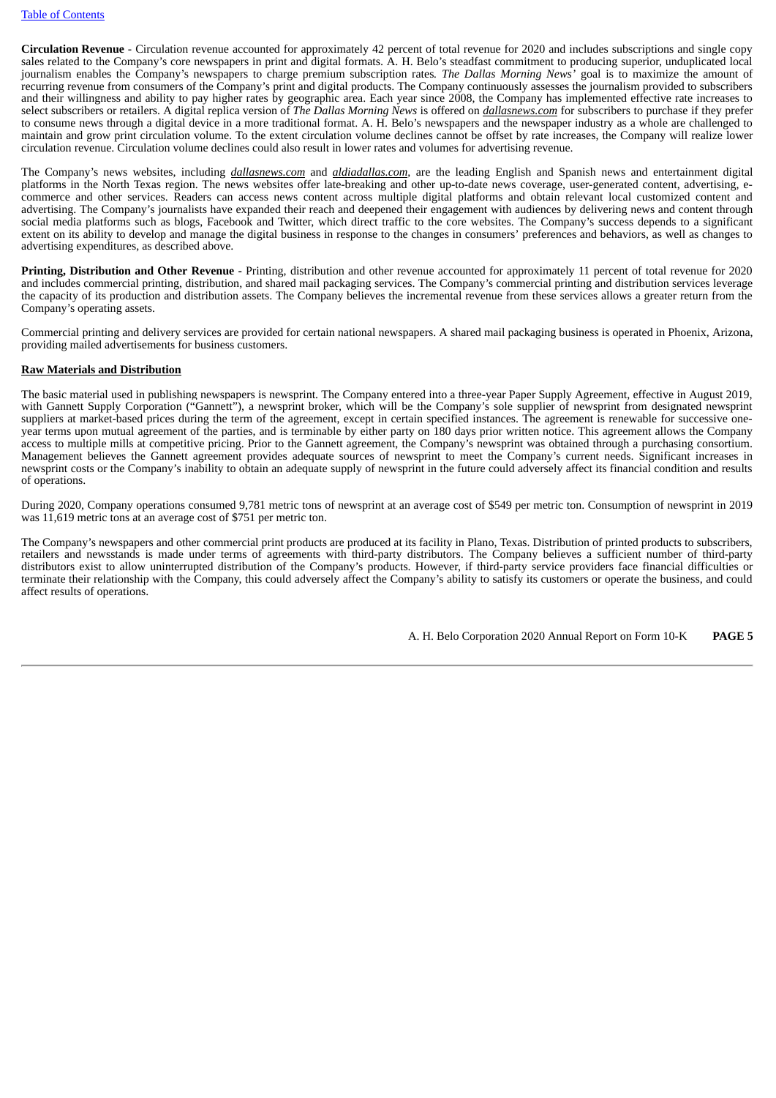**Circulation Revenue** - Circulation revenue accounted for approximately 42 percent of total revenue for 2020 and includes subscriptions and single copy sales related to the Company's core newspapers in print and digital formats. A. H. Belo's steadfast commitment to producing superior, unduplicated local journalism enables the Company's newspapers to charge premium subscription rates*. The Dallas Morning News'* goal is to maximize the amount of recurring revenue from consumers of the Company's print and digital products. The Company continuously assesses the journalism provided to subscribers and their willingness and ability to pay higher rates by geographic area. Each year since 2008, the Company has implemented effective rate increases to select subscribers or retailers. A digital replica version of *The Dallas Morning News* is offered on *dallasnews.com* for subscribers to purchase if they prefer to consume news through a digital device in a more traditional format. A. H. Belo's newspapers and the newspaper industry as a whole are challenged to maintain and grow print circulation volume. To the extent circulation volume declines cannot be offset by rate increases, the Company will realize lower circulation revenue. Circulation volume declines could also result in lower rates and volumes for advertising revenue.

The Company's news websites, including *dallasnews.com* and *aldiadallas.com*, are the leading English and Spanish news and entertainment digital platforms in the North Texas region. The news websites offer late-breaking and other up-to-date news coverage, user-generated content, advertising, ecommerce and other services. Readers can access news content across multiple digital platforms and obtain relevant local customized content and advertising. The Company's journalists have expanded their reach and deepened their engagement with audiences by delivering news and content through social media platforms such as blogs, Facebook and Twitter, which direct traffic to the core websites. The Company's success depends to a significant extent on its ability to develop and manage the digital business in response to the changes in consumers' preferences and behaviors, as well as changes to advertising expenditures, as described above.

**Printing, Distribution and Other Revenue -** Printing, distribution and other revenue accounted for approximately 11 percent of total revenue for 2020 and includes commercial printing, distribution, and shared mail packaging services. The Company's commercial printing and distribution services leverage the capacity of its production and distribution assets. The Company believes the incremental revenue from these services allows a greater return from the Company's operating assets.

Commercial printing and delivery services are provided for certain national newspapers. A shared mail packaging business is operated in Phoenix, Arizona, providing mailed advertisements for business customers.

## **Raw Materials and Distribution**

The basic material used in publishing newspapers is newsprint. The Company entered into a three-year Paper Supply Agreement, effective in August 2019, with Gannett Supply Corporation ("Gannett"), a newsprint broker, which will be the Company's sole supplier of newsprint from designated newsprint suppliers at market-based prices during the term of the agreement, except in certain specified instances. The agreement is renewable for successive oneyear terms upon mutual agreement of the parties, and is terminable by either party on 180 days prior written notice. This agreement allows the Company access to multiple mills at competitive pricing. Prior to the Gannett agreement, the Company's newsprint was obtained through a purchasing consortium. Management believes the Gannett agreement provides adequate sources of newsprint to meet the Company's current needs. Significant increases in newsprint costs or the Company's inability to obtain an adequate supply of newsprint in the future could adversely affect its financial condition and results of operations.

During 2020, Company operations consumed 9,781 metric tons of newsprint at an average cost of \$549 per metric ton. Consumption of newsprint in 2019 was 11,619 metric tons at an average cost of \$751 per metric ton.

The Company's newspapers and other commercial print products are produced at its facility in Plano, Texas. Distribution of printed products to subscribers, retailers and newsstands is made under terms of agreements with third-party distributors. The Company believes a sufficient number of third-party distributors exist to allow uninterrupted distribution of the Company's products. However, if third-party service providers face financial difficulties or terminate their relationship with the Company, this could adversely affect the Company's ability to satisfy its customers or operate the business, and could affect results of operations.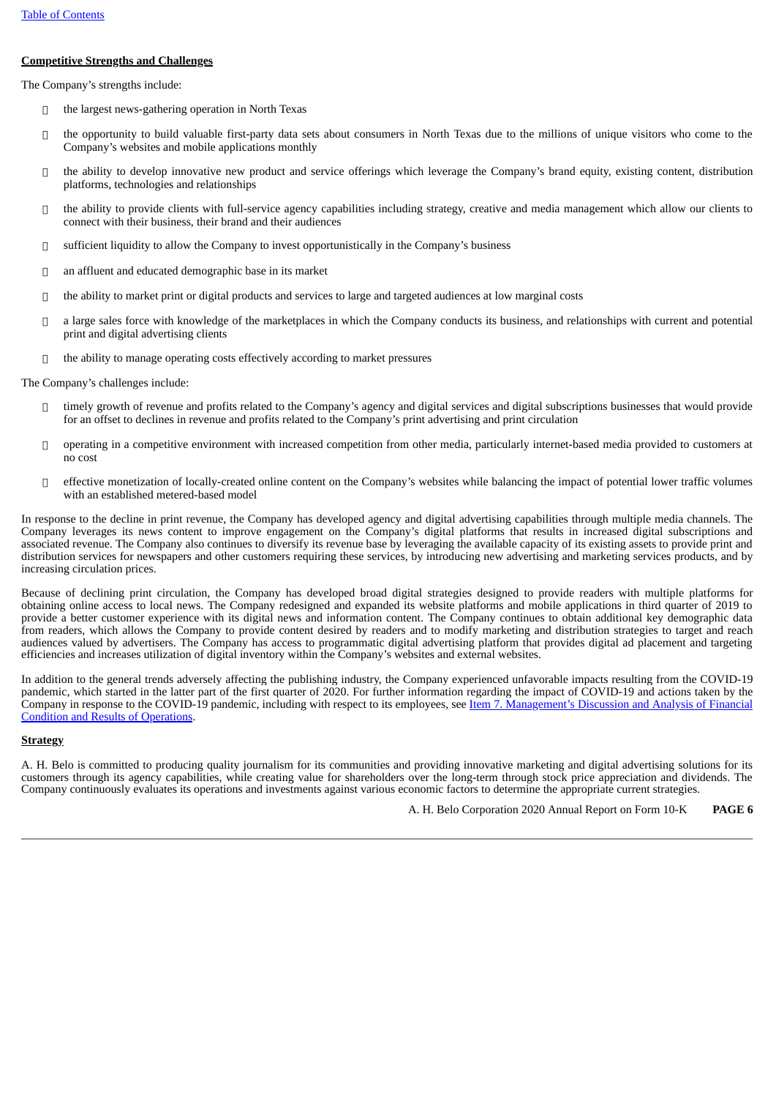# **Competitive Strengths and Challenges**

The Company's strengths include:

- $\Box$  the largest news-gathering operation in North Texas
- the opportunity to build valuable first-party data sets about consumers in North Texas due to the millions of unique visitors who come to the Company's websites and mobile applications monthly
- the ability to develop innovative new product and service offerings which leverage the Company's brand equity, existing content, distribution platforms, technologies and relationships
- $\Box$  the ability to provide clients with full-service agency capabilities including strategy, creative and media management which allow our clients to connect with their business, their brand and their audiences
- $\Box$  sufficient liquidity to allow the Company to invest opportunistically in the Company's business
- an affluent and educated demographic base in its market
- $\Box$  the ability to market print or digital products and services to large and targeted audiences at low marginal costs
- a large sales force with knowledge of the marketplaces in which the Company conducts its business, and relationships with current and potential print and digital advertising clients
- $\Box$  the ability to manage operating costs effectively according to market pressures

The Company's challenges include:

- $\Box$  timely growth of revenue and profits related to the Company's agency and digital services and digital subscriptions businesses that would provide for an offset to declines in revenue and profits related to the Company's print advertising and print circulation
- operating in a competitive environment with increased competition from other media, particularly internet-based media provided to customers at no cost
- $\Box$  effective monetization of locally-created online content on the Company's websites while balancing the impact of potential lower traffic volumes with an established metered-based model

In response to the decline in print revenue, the Company has developed agency and digital advertising capabilities through multiple media channels. The Company leverages its news content to improve engagement on the Company's digital platforms that results in increased digital subscriptions and associated revenue. The Company also continues to diversify its revenue base by leveraging the available capacity of its existing assets to provide print and distribution services for newspapers and other customers requiring these services, by introducing new advertising and marketing services products, and by increasing circulation prices.

Because of declining print circulation, the Company has developed broad digital strategies designed to provide readers with multiple platforms for obtaining online access to local news. The Company redesigned and expanded its website platforms and mobile applications in third quarter of 2019 to provide a better customer experience with its digital news and information content. The Company continues to obtain additional key demographic data from readers, which allows the Company to provide content desired by readers and to modify marketing and distribution strategies to target and reach audiences valued by advertisers. The Company has access to programmatic digital advertising platform that provides digital ad placement and targeting efficiencies and increases utilization of digital inventory within the Company's websites and external websites.

In addition to the general trends adversely affecting the publishing industry, the Company experienced unfavorable impacts resulting from the COVID-19 pandemic, which started in the latter part of the first quarter of 2020. For further information regarding the impact of COVID-19 and actions taken by the Company in response to the COVID-19 pandemic, including with respect to its employees, see Item 7. [Management's](#page-8-1) Discussion and Analysis of Financial Condition and Results of Operations.

## **Strategy**

A. H. Belo is committed to producing quality journalism for its communities and providing innovative marketing and digital advertising solutions for its customers through its agency capabilities, while creating value for shareholders over the long-term through stock price appreciation and dividends. The Company continuously evaluates its operations and investments against various economic factors to determine the appropriate current strategies.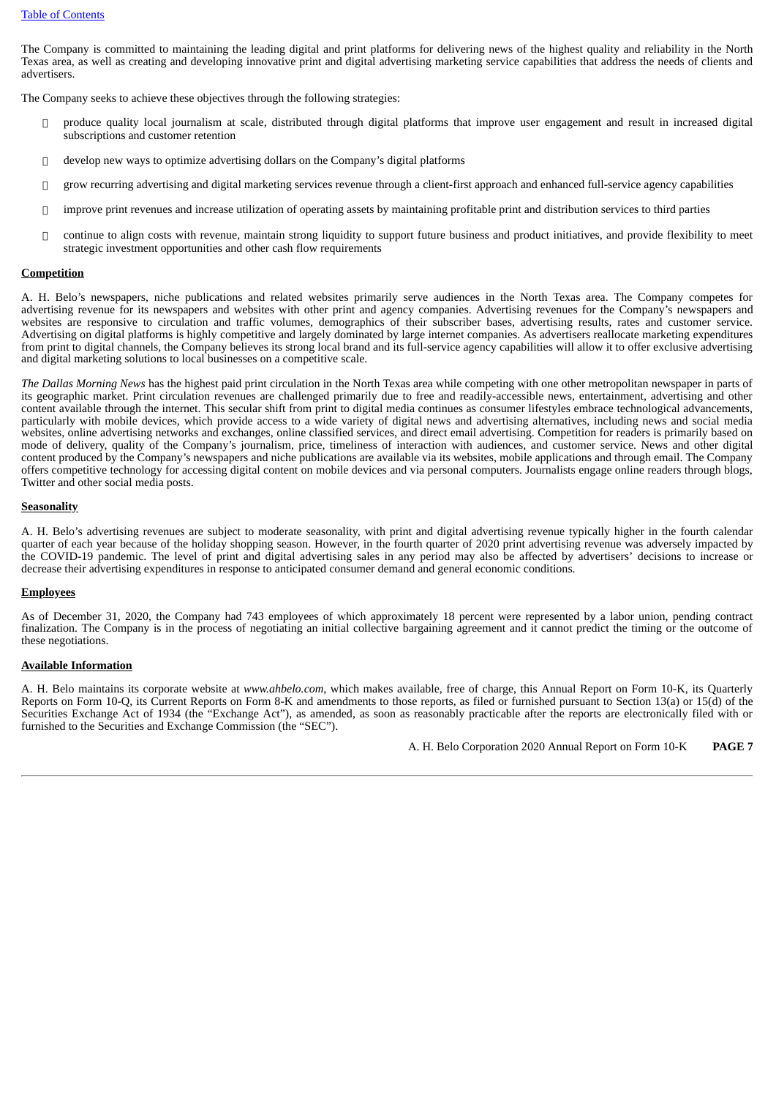The Company is committed to maintaining the leading digital and print platforms for delivering news of the highest quality and reliability in the North Texas area, as well as creating and developing innovative print and digital advertising marketing service capabilities that address the needs of clients and advertisers.

The Company seeks to achieve these objectives through the following strategies:

- produce quality local journalism at scale, distributed through digital platforms that improve user engagement and result in increased digital subscriptions and customer retention
- $\Box$  develop new ways to optimize advertising dollars on the Company's digital platforms
- grow recurring advertising and digital marketing services revenue through a client-first approach and enhanced full-service agency capabilities
- $\Box$  improve print revenues and increase utilization of operating assets by maintaining profitable print and distribution services to third parties
- $\Box$  continue to align costs with revenue, maintain strong liquidity to support future business and product initiatives, and provide flexibility to meet strategic investment opportunities and other cash flow requirements

## **Competition**

A. H. Belo's newspapers, niche publications and related websites primarily serve audiences in the North Texas area. The Company competes for advertising revenue for its newspapers and websites with other print and agency companies. Advertising revenues for the Company's newspapers and websites are responsive to circulation and traffic volumes, demographics of their subscriber bases, advertising results, rates and customer service. Advertising on digital platforms is highly competitive and largely dominated by large internet companies. As advertisers reallocate marketing expenditures from print to digital channels, the Company believes its strong local brand and its full-service agency capabilities will allow it to offer exclusive advertising and digital marketing solutions to local businesses on a competitive scale.

*The Dallas Morning News* has the highest paid print circulation in the North Texas area while competing with one other metropolitan newspaper in parts of its geographic market. Print circulation revenues are challenged primarily due to free and readily-accessible news, entertainment, advertising and other content available through the internet. This secular shift from print to digital media continues as consumer lifestyles embrace technological advancements, particularly with mobile devices, which provide access to a wide variety of digital news and advertising alternatives, including news and social media websites, online advertising networks and exchanges, online classified services, and direct email advertising. Competition for readers is primarily based on mode of delivery, quality of the Company's journalism, price, timeliness of interaction with audiences, and customer service. News and other digital content produced by the Company's newspapers and niche publications are available via its websites, mobile applications and through email. The Company offers competitive technology for accessing digital content on mobile devices and via personal computers. Journalists engage online readers through blogs, Twitter and other social media posts.

## **Seasonality**

A. H. Belo's advertising revenues are subject to moderate seasonality, with print and digital advertising revenue typically higher in the fourth calendar quarter of each year because of the holiday shopping season. However, in the fourth quarter of 2020 print advertising revenue was adversely impacted by the COVID-19 pandemic. The level of print and digital advertising sales in any period may also be affected by advertisers' decisions to increase or decrease their advertising expenditures in response to anticipated consumer demand and general economic conditions.

## **Employees**

As of December 31, 2020, the Company had 743 employees of which approximately 18 percent were represented by a labor union, pending contract finalization. The Company is in the process of negotiating an initial collective bargaining agreement and it cannot predict the timing or the outcome of these negotiations.

### **Available Information**

A. H. Belo maintains its corporate website at *www.ahbelo.com*, which makes available, free of charge, this Annual Report on Form 10-K, its Quarterly Reports on Form 10-Q, its Current Reports on Form 8-K and amendments to those reports, as filed or furnished pursuant to Section 13(a) or 15(d) of the Securities Exchange Act of 1934 (the "Exchange Act"), as amended, as soon as reasonably practicable after the reports are electronically filed with or furnished to the Securities and Exchange Commission (the "SEC").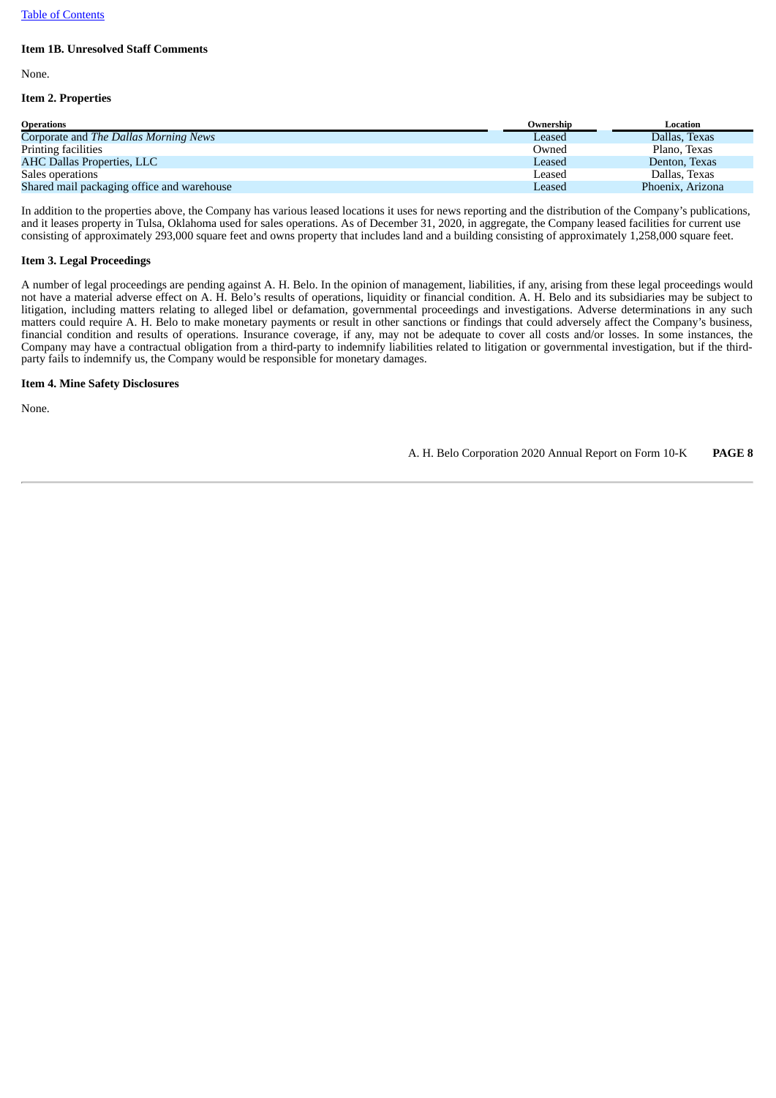# <span id="page-7-0"></span>**Item 1B. Unresolved Staff Comments**

None.

## <span id="page-7-1"></span>**Item 2. Properties**

| <b>Operations</b>                          | Ownership | Location         |
|--------------------------------------------|-----------|------------------|
| Corporate and The Dallas Morning News      | Leased    | Dallas, Texas    |
| Printing facilities                        | Owned     | Plano, Texas     |
| AHC Dallas Properties, LLC                 | Leased    | Denton, Texas    |
| Sales operations                           | Leased    | Dallas, Texas    |
| Shared mail packaging office and warehouse | Leased    | Phoenix, Arizona |

In addition to the properties above, the Company has various leased locations it uses for news reporting and the distribution of the Company's publications, and it leases property in Tulsa, Oklahoma used for sales operations. As of December 31, 2020, in aggregate, the Company leased facilities for current use consisting of approximately 293,000 square feet and owns property that includes land and a building consisting of approximately 1,258,000 square feet.

#### <span id="page-7-2"></span>**Item 3. Legal Proceedings**

A number of legal proceedings are pending against A. H. Belo. In the opinion of management, liabilities, if any, arising from these legal proceedings would not have a material adverse effect on A. H. Belo's results of operations, liquidity or financial condition. A. H. Belo and its subsidiaries may be subject to litigation, including matters relating to alleged libel or defamation, governmental proceedings and investigations. Adverse determinations in any such matters could require A. H. Belo to make monetary payments or result in other sanctions or findings that could adversely affect the Company's business, financial condition and results of operations. Insurance coverage, if any, may not be adequate to cover all costs and/or losses. In some instances, the Company may have a contractual obligation from a third-party to indemnify liabilities related to litigation or governmental investigation, but if the thirdparty fails to indemnify us, the Company would be responsible for monetary damages.

#### <span id="page-7-3"></span>**Item 4. Mine Safety Disclosures**

<span id="page-7-4"></span>None.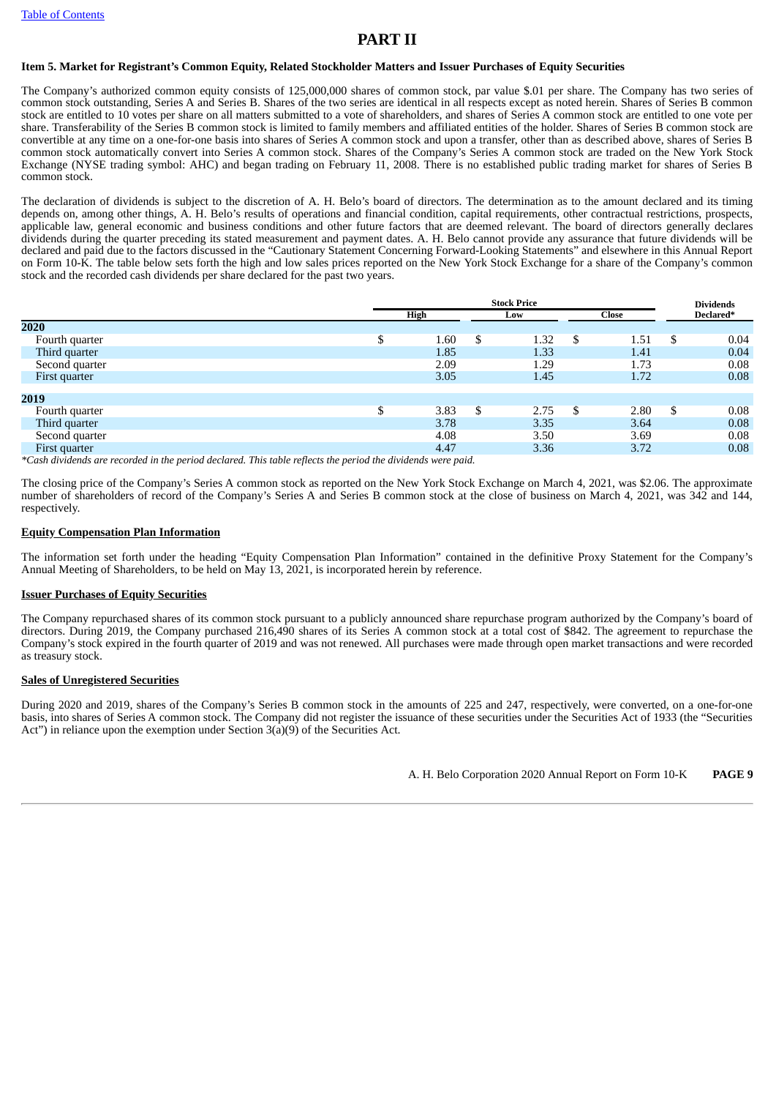# **PART II**

## <span id="page-8-0"></span>Item 5. Market for Registrant's Common Equity, Related Stockholder Matters and Issuer Purchases of Equity Securities

The Company's authorized common equity consists of 125,000,000 shares of common stock, par value \$.01 per share. The Company has two series of common stock outstanding, Series A and Series B. Shares of the two series are identical in all respects except as noted herein. Shares of Series B common stock are entitled to 10 votes per share on all matters submitted to a vote of shareholders, and shares of Series A common stock are entitled to one vote per share. Transferability of the Series B common stock is limited to family members and affiliated entities of the holder. Shares of Series B common stock are convertible at any time on a one-for-one basis into shares of Series A common stock and upon a transfer, other than as described above, shares of Series B common stock automatically convert into Series A common stock. Shares of the Company's Series A common stock are traded on the New York Stock Exchange (NYSE trading symbol: AHC) and began trading on February 11, 2008. There is no established public trading market for shares of Series B common stock.

The declaration of dividends is subject to the discretion of A. H. Belo's board of directors. The determination as to the amount declared and its timing depends on, among other things, A. H. Belo's results of operations and financial condition, capital requirements, other contractual restrictions, prospects, applicable law, general economic and business conditions and other future factors that are deemed relevant. The board of directors generally declares dividends during the quarter preceding its stated measurement and payment dates. A. H. Belo cannot provide any assurance that future dividends will be declared and paid due to the factors discussed in the "Cautionary Statement Concerning [Forward-Looking](#page-2-1) Statements" and elsewhere in this Annual Report on Form 10-K. The table below sets forth the high and low sales prices reported on the New York Stock Exchange for a share of the Company's common stock and the recorded cash dividends per share declared for the past two years.

|                |   | <b>Stock Price</b> |      |    |      |    | <b>Dividends</b> |   |           |
|----------------|---|--------------------|------|----|------|----|------------------|---|-----------|
|                |   |                    | High |    | Low  |    | <b>Close</b>     |   | Declared* |
| 2020           |   |                    |      |    |      |    |                  |   |           |
| Fourth quarter |   | \$                 | 1.60 | S  | 1.32 |    | 1.51             | S | 0.04      |
| Third quarter  |   |                    | 1.85 |    | 1.33 |    | 1.41             |   | 0.04      |
| Second quarter |   |                    | 2.09 |    | 1.29 |    | 1.73             |   | 0.08      |
| First quarter  |   |                    | 3.05 |    | 1.45 |    | 1.72             |   | 0.08      |
|                |   |                    |      |    |      |    |                  |   |           |
| 2019           |   |                    |      |    |      |    |                  |   |           |
| Fourth quarter |   | S                  | 3.83 | -S | 2.75 | -S | 2.80             | S | 0.08      |
| Third quarter  |   |                    | 3.78 |    | 3.35 |    | 3.64             |   | 0.08      |
| Second quarter |   |                    | 4.08 |    | 3.50 |    | 3.69             |   | 0.08      |
| First quarter  |   |                    | 4.47 |    | 3.36 |    | 3.72             |   | 0.08      |
|                | . |                    |      |    |      |    |                  |   |           |

*\*Cash dividends are recorded in the period declared. This table reflects the period the dividends were paid.*

The closing price of the Company's Series A common stock as reported on the New York Stock Exchange on March 4, 2021, was \$2.06. The approximate number of shareholders of record of the Company's Series A and Series B common stock at the close of business on March 4, 2021, was 342 and 144, respectively.

### **Equity Compensation Plan Information**

The information set forth under the heading "Equity Compensation Plan Information" contained in the definitive Proxy Statement for the Company's Annual Meeting of Shareholders, to be held on May 13, 2021, is incorporated herein by reference.

### **Issuer Purchases of Equity Securities**

The Company repurchased shares of its common stock pursuant to a publicly announced share repurchase program authorized by the Company's board of directors. During 2019, the Company purchased 216,490 shares of its Series A common stock at a total cost of \$842. The agreement to repurchase the Company's stock expired in the fourth quarter of 2019 and was not renewed. All purchases were made through open market transactions and were recorded as treasury stock.

## **Sales of Unregistered Securities**

<span id="page-8-1"></span>During 2020 and 2019, shares of the Company's Series B common stock in the amounts of 225 and 247, respectively, were converted, on a one-for-one basis, into shares of Series A common stock. The Company did not register the issuance of these securities under the Securities Act of 1933 (the "Securities Act") in reliance upon the exemption under Section 3(a)(9) of the Securities Act.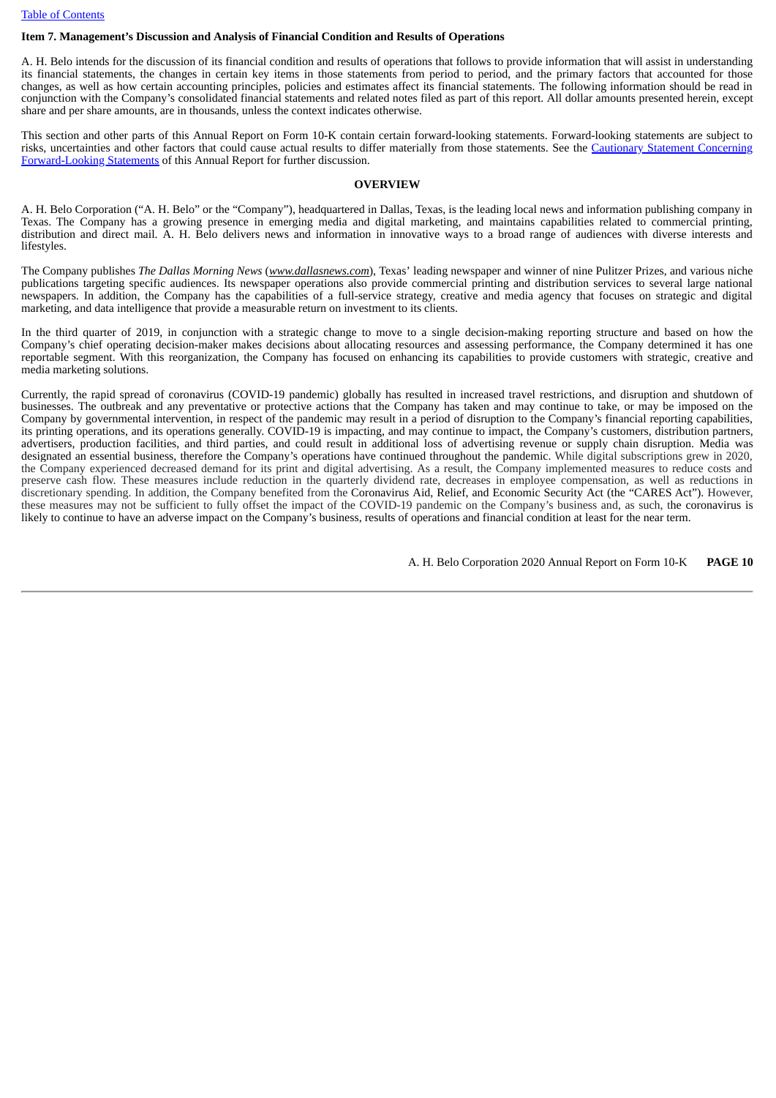#### Table of [Contents](#page-1-1)

## <span id="page-9-0"></span>**Item 7. Management's Discussion and Analysis of Financial Condition and Results of Operations**

A. H. Belo intends for the discussion of its financial condition and results of operations that follows to provide information that will assist in understanding its financial statements, the changes in certain key items in those statements from period to period, and the primary factors that accounted for those changes, as well as how certain accounting principles, policies and estimates affect its financial statements. The following information should be read in conjunction with the Company's consolidated financial statements and related notes filed as part of this report. All dollar amounts presented herein, except share and per share amounts, are in thousands, unless the context indicates otherwise.

This section and other parts of this Annual Report on Form 10-K contain certain forward-looking statements. Forward-looking statements are subject to risks, uncertainties and other factors that could cause actual results to differ materially from those statements. See the Cautionary Statement Concerning [Forward-Looking](#page-2-1) Statements of this Annual Report for further discussion.

## **OVERVIEW**

A. H. Belo Corporation ("A. H. Belo" or the "Company"), headquartered in Dallas, Texas, is the leading local news and information publishing company in Texas. The Company has a growing presence in emerging media and digital marketing, and maintains capabilities related to commercial printing, distribution and direct mail. A. H. Belo delivers news and information in innovative ways to a broad range of audiences with diverse interests and lifestyles.

The Company publishes *The Dallas Morning News* (*www.dallasnews.com*), Texas' leading newspaper and winner of nine Pulitzer Prizes, and various niche publications targeting specific audiences. Its newspaper operations also provide commercial printing and distribution services to several large national newspapers. In addition, the Company has the capabilities of a full-service strategy, creative and media agency that focuses on strategic and digital marketing, and data intelligence that provide a measurable return on investment to its clients.

In the third quarter of 2019, in conjunction with a strategic change to move to a single decision-making reporting structure and based on how the Company's chief operating decision-maker makes decisions about allocating resources and assessing performance, the Company determined it has one reportable segment. With this reorganization, the Company has focused on enhancing its capabilities to provide customers with strategic, creative and media marketing solutions.

Currently, the rapid spread of coronavirus (COVID-19 pandemic) globally has resulted in increased travel restrictions, and disruption and shutdown of businesses. The outbreak and any preventative or protective actions that the Company has taken and may continue to take, or may be imposed on the Company by governmental intervention, in respect of the pandemic may result in a period of disruption to the Company's financial reporting capabilities, its printing operations, and its operations generally. COVID-19 is impacting, and may continue to impact, the Company's customers, distribution partners, advertisers, production facilities, and third parties, and could result in additional loss of advertising revenue or supply chain disruption. Media was designated an essential business, therefore the Company's operations have continued throughout the pandemic. While digital subscriptions grew in 2020, the Company experienced decreased demand for its print and digital advertising. As a result, the Company implemented measures to reduce costs and preserve cash flow. These measures include reduction in the quarterly dividend rate, decreases in employee compensation, as well as reductions in discretionary spending. In addition, the Company benefited from the Coronavirus Aid, Relief, and Economic Security Act (the "CARES Act"). However, these measures may not be sufficient to fully offset the impact of the COVID-19 pandemic on the Company's business and, as such, the coronavirus is likely to continue to have an adverse impact on the Company's business, results of operations and financial condition at least for the near term.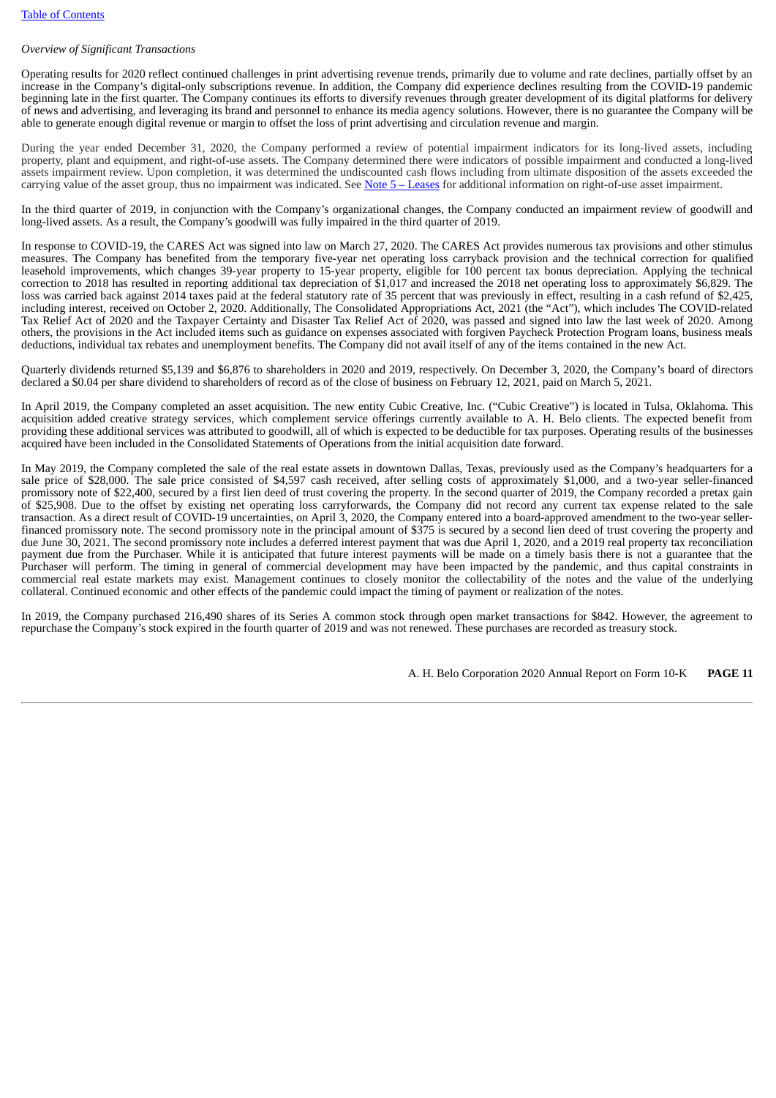## *Overview of Significant Transactions*

Operating results for 2020 reflect continued challenges in print advertising revenue trends, primarily due to volume and rate declines, partially offset by an increase in the Company's digital-only subscriptions revenue. In addition, the Company did experience declines resulting from the COVID-19 pandemic beginning late in the first quarter. The Company continues its efforts to diversify revenues through greater development of its digital platforms for delivery of news and advertising, and leveraging its brand and personnel to enhance its media agency solutions. However, there is no guarantee the Company will be able to generate enough digital revenue or margin to offset the loss of print advertising and circulation revenue and margin.

During the year ended December 31, 2020, the Company performed a review of potential impairment indicators for its long-lived assets, including property, plant and equipment, and right-of-use assets. The Company determined there were indicators of possible impairment and conducted a long-lived assets impairment review. Upon completion, it was determined the undiscounted cash flows including from ultimate disposition of the assets exceeded the carrying value of the asset group, thus no impairment was indicated. See Note 5 – [Leases](#page-40-0) for additional information on right-of-use asset impairment.

In the third quarter of 2019, in conjunction with the Company's organizational changes, the Company conducted an impairment review of goodwill and long-lived assets. As a result, the Company's goodwill was fully impaired in the third quarter of 2019.

In response to COVID-19, the CARES Act was signed into law on March 27, 2020. The CARES Act provides numerous tax provisions and other stimulus measures. The Company has benefited from the temporary five-year net operating loss carryback provision and the technical correction for qualified leasehold improvements, which changes 39-year property to 15-year property, eligible for 100 percent tax bonus depreciation. Applying the technical correction to 2018 has resulted in reporting additional tax depreciation of \$1,017 and increased the 2018 net operating loss to approximately \$6,829. The loss was carried back against 2014 taxes paid at the federal statutory rate of 35 percent that was previously in effect, resulting in a cash refund of \$2,425, including interest, received on October 2, 2020. Additionally, The Consolidated Appropriations Act, 2021 (the "Act"), which includes The COVID-related Tax Relief Act of 2020 and the Taxpayer Certainty and Disaster Tax Relief Act of 2020, was passed and signed into law the last week of 2020. Among others, the provisions in the Act included items such as guidance on expenses associated with forgiven Paycheck Protection Program loans, business meals deductions, individual tax rebates and unemployment benefits. The Company did not avail itself of any of the items contained in the new Act.

Quarterly dividends returned \$5,139 and \$6,876 to shareholders in 2020 and 2019, respectively. On December 3, 2020, the Company's board of directors declared a \$0.04 per share dividend to shareholders of record as of the close of business on February 12, 2021, paid on March 5, 2021.

In April 2019, the Company completed an asset acquisition. The new entity Cubic Creative, Inc. ("Cubic Creative") is located in Tulsa, Oklahoma. This acquisition added creative strategy services, which complement service offerings currently available to A. H. Belo clients. The expected benefit from providing these additional services was attributed to goodwill, all of which is expected to be deductible for tax purposes. Operating results of the businesses acquired have been included in the Consolidated Statements of Operations from the initial acquisition date forward.

In May 2019, the Company completed the sale of the real estate assets in downtown Dallas, Texas, previously used as the Company's headquarters for a sale price of \$28,000. The sale price consisted of \$4,597 cash received, after selling costs of approximately \$1,000, and a two-year seller-financed promissory note of \$22,400, secured by a first lien deed of trust covering the property. In the second quarter of 2019, the Company recorded a pretax gain of \$25,908. Due to the offset by existing net operating loss carryforwards, the Company did not record any current tax expense related to the sale transaction. As a direct result of COVID-19 uncertainties, on April 3, 2020, the Company entered into a board-approved amendment to the two-year sellerfinanced promissory note. The second promissory note in the principal amount of \$375 is secured by a second lien deed of trust covering the property and due June 30, 2021. The second promissory note includes a deferred interest payment that was due April 1, 2020, and a 2019 real property tax reconciliation payment due from the Purchaser. While it is anticipated that future interest payments will be made on a timely basis there is not a guarantee that the Purchaser will perform. The timing in general of commercial development may have been impacted by the pandemic, and thus capital constraints in commercial real estate markets may exist. Management continues to closely monitor the collectability of the notes and the value of the underlying collateral. Continued economic and other effects of the pandemic could impact the timing of payment or realization of the notes.

In 2019, the Company purchased 216,490 shares of its Series A common stock through open market transactions for \$842. However, the agreement to repurchase the Company's stock expired in the fourth quarter of 2019 and was not renewed. These purchases are recorded as treasury stock.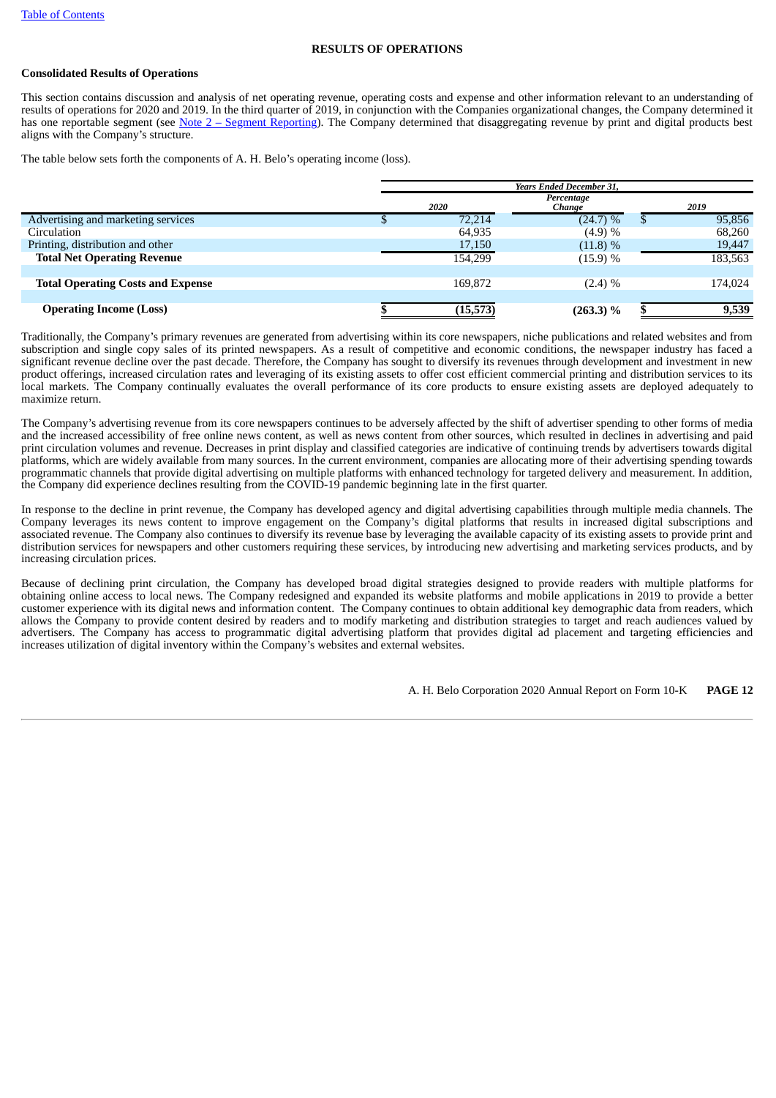## **RESULTS OF OPERATIONS**

### **Consolidated Results of Operations**

This section contains discussion and analysis of net operating revenue, operating costs and expense and other information relevant to an understanding of results of operations for 2020 and 2019. In the third quarter of 2019, in conjunction with the Companies organizational changes, the Company determined it has one reportable segment (see <u>Note 2 – Segment [Reporting](#page-38-0)</u>). The Company determined that disaggregating revenue by print and digital products best aligns with the Company's structure.

The table below sets forth the components of A. H. Belo's operating income (loss).

|                                          | <b>Years Ended December 31,</b> |                      |   |         |  |
|------------------------------------------|---------------------------------|----------------------|---|---------|--|
|                                          | 2020                            | Percentage<br>Change |   | 2019    |  |
| Advertising and marketing services       | 72,214                          | (24.7) %             | D | 95,856  |  |
| Circulation                              | 64,935                          | (4.9) %              |   | 68,260  |  |
| Printing, distribution and other         | 17,150                          | (11.8) %             |   | 19,447  |  |
| <b>Total Net Operating Revenue</b>       | 154,299                         | (15.9) %             |   | 183,563 |  |
|                                          |                                 |                      |   |         |  |
| <b>Total Operating Costs and Expense</b> | 169.872                         | $(2.4) \%$           |   | 174,024 |  |
|                                          |                                 |                      |   |         |  |
| <b>Operating Income (Loss)</b>           | (15, 573)                       | $(263.3)$ %          |   | 9,539   |  |

Traditionally, the Company's primary revenues are generated from advertising within its core newspapers, niche publications and related websites and from subscription and single copy sales of its printed newspapers. As a result of competitive and economic conditions, the newspaper industry has faced a significant revenue decline over the past decade. Therefore, the Company has sought to diversify its revenues through development and investment in new product offerings, increased circulation rates and leveraging of its existing assets to offer cost efficient commercial printing and distribution services to its local markets. The Company continually evaluates the overall performance of its core products to ensure existing assets are deployed adequately to maximize return.

The Company's advertising revenue from its core newspapers continues to be adversely affected by the shift of advertiser spending to other forms of media and the increased accessibility of free online news content, as well as news content from other sources, which resulted in declines in advertising and paid print circulation volumes and revenue. Decreases in print display and classified categories are indicative of continuing trends by advertisers towards digital platforms, which are widely available from many sources. In the current environment, companies are allocating more of their advertising spending towards programmatic channels that provide digital advertising on multiple platforms with enhanced technology for targeted delivery and measurement. In addition, the Company did experience declines resulting from the COVID-19 pandemic beginning late in the first quarter.

In response to the decline in print revenue, the Company has developed agency and digital advertising capabilities through multiple media channels. The Company leverages its news content to improve engagement on the Company's digital platforms that results in increased digital subscriptions and associated revenue. The Company also continues to diversify its revenue base by leveraging the available capacity of its existing assets to provide print and distribution services for newspapers and other customers requiring these services, by introducing new advertising and marketing services products, and by increasing circulation prices.

Because of declining print circulation, the Company has developed broad digital strategies designed to provide readers with multiple platforms for obtaining online access to local news. The Company redesigned and expanded its website platforms and mobile applications in 2019 to provide a better customer experience with its digital news and information content. The Company continues to obtain additional key demographic data from readers, which allows the Company to provide content desired by readers and to modify marketing and distribution strategies to target and reach audiences valued by advertisers. The Company has access to programmatic digital advertising platform that provides digital ad placement and targeting efficiencies and increases utilization of digital inventory within the Company's websites and external websites.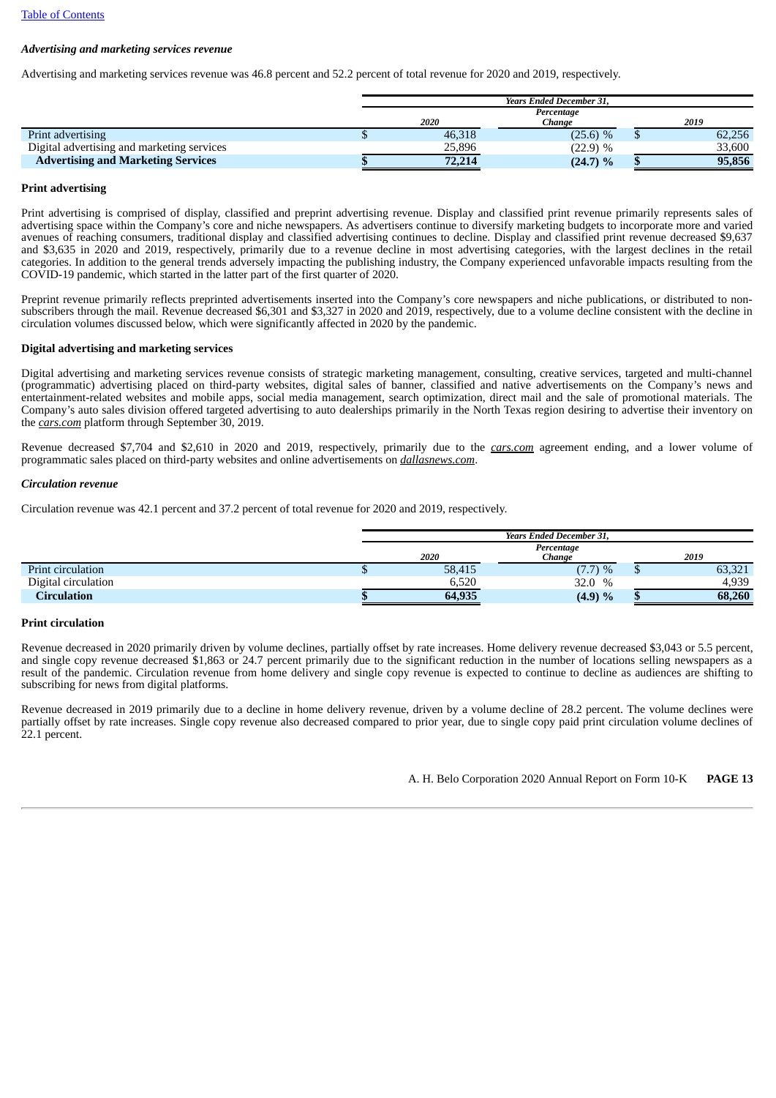## *Advertising and marketing services revenue*

Advertising and marketing services revenue was 46.8 percent and 52.2 percent of total revenue for 2020 and 2019, respectively.

|                                            |        | <b>Years Ended December 31.</b> |        |
|--------------------------------------------|--------|---------------------------------|--------|
|                                            | 2020   | Percentage<br>Chanae            | 2019   |
| Print advertising                          | 46,318 | $(25.6)$ %                      | 62,256 |
| Digital advertising and marketing services | 25,896 | $(22.9)$ %                      | 33,600 |
| <b>Advertising and Marketing Services</b>  | 72,214 | (24.7) %                        | 95,856 |

## **Print advertising**

Print advertising is comprised of display, classified and preprint advertising revenue. Display and classified print revenue primarily represents sales of advertising space within the Company's core and niche newspapers. As advertisers continue to diversify marketing budgets to incorporate more and varied avenues of reaching consumers, traditional display and classified advertising continues to decline. Display and classified print revenue decreased \$9,637 and \$3,635 in 2020 and 2019, respectively, primarily due to a revenue decline in most advertising categories, with the largest declines in the retail categories. In addition to the general trends adversely impacting the publishing industry, the Company experienced unfavorable impacts resulting from the COVID-19 pandemic, which started in the latter part of the first quarter of 2020.

Preprint revenue primarily reflects preprinted advertisements inserted into the Company's core newspapers and niche publications, or distributed to nonsubscribers through the mail. Revenue decreased \$6,301 and \$3,327 in 2020 and 2019, respectively, due to a volume decline consistent with the decline in circulation volumes discussed below, which were significantly affected in 2020 by the pandemic.

## **Digital advertising and marketing services**

Digital advertising and marketing services revenue consists of strategic marketing management, consulting, creative services, targeted and multi-channel (programmatic) advertising placed on third-party websites, digital sales of banner, classified and native advertisements on the Company's news and entertainment-related websites and mobile apps, social media management, search optimization, direct mail and the sale of promotional materials. The Company's auto sales division offered targeted advertising to auto dealerships primarily in the North Texas region desiring to advertise their inventory on the *cars.com* platform through September 30, 2019.

Revenue decreased \$7,704 and \$2,610 in 2020 and 2019, respectively, primarily due to the *cars.com* agreement ending, and a lower volume of programmatic sales placed on third-party websites and online advertisements on *dallasnews.com*.

### *Circulation revenue*

Circulation revenue was 42.1 percent and 37.2 percent of total revenue for 2020 and 2019, respectively.

|                     |        | Years Ended December 31, |   |        |
|---------------------|--------|--------------------------|---|--------|
|                     | 2020   | Percentage<br>Chanae     |   | 2019   |
| Print circulation   | 58,415 | $(7.7)$ %                | u | 63,321 |
| Digital circulation | 6,520  | 32.0<br>$\%$             |   | 4,939  |
| Circulation         | 64,935 | $(4.9) \%$               |   | 68,260 |

### **Print circulation**

Revenue decreased in 2020 primarily driven by volume declines, partially offset by rate increases. Home delivery revenue decreased \$3,043 or 5.5 percent, and single copy revenue decreased \$1,863 or 24.7 percent primarily due to the significant reduction in the number of locations selling newspapers as a result of the pandemic. Circulation revenue from home delivery and single copy revenue is expected to continue to decline as audiences are shifting to subscribing for news from digital platforms.

Revenue decreased in 2019 primarily due to a decline in home delivery revenue, driven by a volume decline of 28.2 percent. The volume declines were partially offset by rate increases. Single copy revenue also decreased compared to prior year, due to single copy paid print circulation volume declines of 22.1 percent.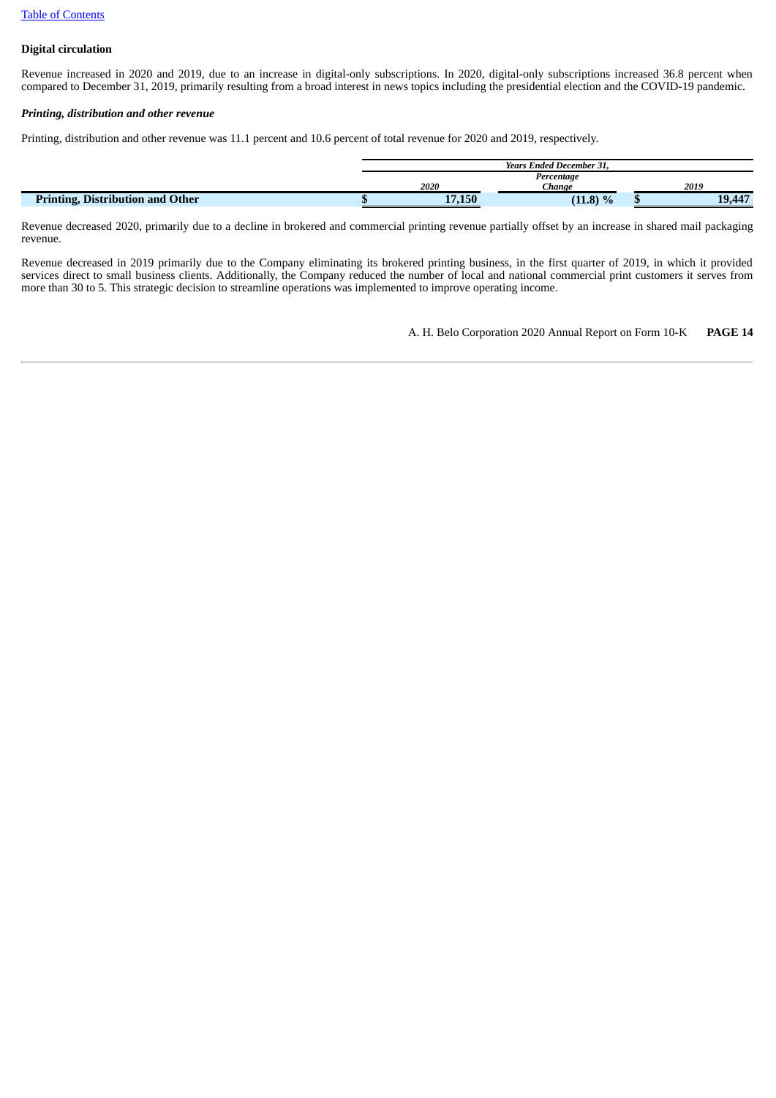# **Digital circulation**

Revenue increased in 2020 and 2019, due to an increase in digital-only subscriptions. In 2020, digital-only subscriptions increased 36.8 percent when compared to December 31, 2019, primarily resulting from a broad interest in news topics including the presidential election and the COVID-19 pandemic.

#### *Printing, distribution and other revenue*

Printing, distribution and other revenue was 11.1 percent and 10.6 percent of total revenue for 2020 and 2019, respectively.

|                                         |        | s Ended December 31.<br><b>Years</b> |        |
|-----------------------------------------|--------|--------------------------------------|--------|
|                                         |        | Percentage                           |        |
|                                         | 2020   | Chanae                               | 2019   |
| <b>Printing, Distribution and Other</b> | 17,150 | (11.8) %                             | 19,447 |

Revenue decreased 2020, primarily due to a decline in brokered and commercial printing revenue partially offset by an increase in shared mail packaging revenue.

Revenue decreased in 2019 primarily due to the Company eliminating its brokered printing business, in the first quarter of 2019, in which it provided services direct to small business clients. Additionally, the Company reduced the number of local and national commercial print customers it serves from more than 30 to 5. This strategic decision to streamline operations was implemented to improve operating income.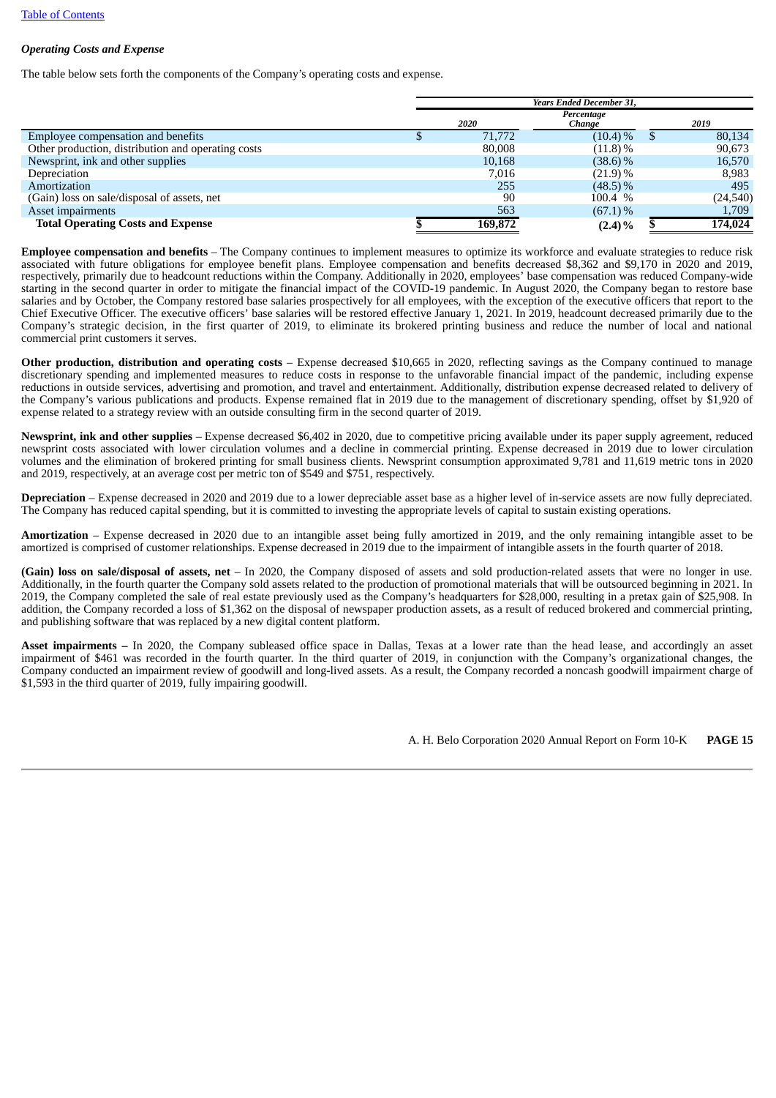# *Operating Costs and Expense*

The table below sets forth the components of the Company's operating costs and expense.

|                                                    |         | <b>Years Ended December 31,</b> |    |          |
|----------------------------------------------------|---------|---------------------------------|----|----------|
|                                                    | 2020    | Percentage<br>Change            |    | 2019     |
| Employee compensation and benefits                 | 71,772  | $(10.4)\%$                      | -S | 80,134   |
| Other production, distribution and operating costs | 80,008  | $(11.8)\%$                      |    | 90,673   |
| Newsprint, ink and other supplies                  | 10,168  | $(38.6)\%$                      |    | 16,570   |
| Depreciation                                       | 7,016   | $(21.9)$ %                      |    | 8,983    |
| Amortization                                       | 255     | $(48.5)\%$                      |    | 495      |
| (Gain) loss on sale/disposal of assets, net        | 90      | 100.4 %                         |    | (24,540) |
| Asset impairments                                  | 563     | $(67.1)\%$                      |    | 1,709    |
| <b>Total Operating Costs and Expense</b>           | 169,872 | $(2.4)\%$                       |    | 174,024  |

**Employee compensation and benefits** – The Company continues to implement measures to optimize its workforce and evaluate strategies to reduce risk associated with future obligations for employee benefit plans. Employee compensation and benefits decreased \$8,362 and \$9,170 in 2020 and 2019, respectively, primarily due to headcount reductions within the Company. Additionally in 2020, employees' base compensation was reduced Company-wide starting in the second quarter in order to mitigate the financial impact of the COVID-19 pandemic. In August 2020, the Company began to restore base salaries and by October, the Company restored base salaries prospectively for all employees, with the exception of the executive officers that report to the Chief Executive Officer. The executive officers' base salaries will be restored effective January 1, 2021. In 2019, headcount decreased primarily due to the Company's strategic decision, in the first quarter of 2019, to eliminate its brokered printing business and reduce the number of local and national commercial print customers it serves.

**Other production, distribution and operating costs** – Expense decreased \$10,665 in 2020, reflecting savings as the Company continued to manage discretionary spending and implemented measures to reduce costs in response to the unfavorable financial impact of the pandemic, including expense reductions in outside services, advertising and promotion, and travel and entertainment. Additionally, distribution expense decreased related to delivery of the Company's various publications and products. Expense remained flat in 2019 due to the management of discretionary spending, offset by \$1,920 of expense related to a strategy review with an outside consulting firm in the second quarter of 2019.

**Newsprint, ink and other supplies** – Expense decreased \$6,402 in 2020, due to competitive pricing available under its paper supply agreement, reduced newsprint costs associated with lower circulation volumes and a decline in commercial printing. Expense decreased in 2019 due to lower circulation volumes and the elimination of brokered printing for small business clients. Newsprint consumption approximated 9,781 and 11,619 metric tons in 2020 and 2019, respectively, at an average cost per metric ton of \$549 and \$751, respectively.

**Depreciation** – Expense decreased in 2020 and 2019 due to a lower depreciable asset base as a higher level of in-service assets are now fully depreciated. The Company has reduced capital spending, but it is committed to investing the appropriate levels of capital to sustain existing operations.

**Amortization** – Expense decreased in 2020 due to an intangible asset being fully amortized in 2019, and the only remaining intangible asset to be amortized is comprised of customer relationships. Expense decreased in 2019 due to the impairment of intangible assets in the fourth quarter of 2018.

**(Gain) loss on sale/disposal of assets, net** – In 2020, the Company disposed of assets and sold production-related assets that were no longer in use. Additionally, in the fourth quarter the Company sold assets related to the production of promotional materials that will be outsourced beginning in 2021. In 2019, the Company completed the sale of real estate previously used as the Company's headquarters for \$28,000, resulting in a pretax gain of \$25,908. In addition, the Company recorded a loss of \$1,362 on the disposal of newspaper production assets, as a result of reduced brokered and commercial printing, and publishing software that was replaced by a new digital content platform.

**Asset impairments –** In 2020, the Company subleased office space in Dallas, Texas at a lower rate than the head lease, and accordingly an asset impairment of \$461 was recorded in the fourth quarter. In the third quarter of 2019, in conjunction with the Company's organizational changes, the Company conducted an impairment review of goodwill and long-lived assets. As a result, the Company recorded a noncash goodwill impairment charge of \$1,593 in the third quarter of 2019, fully impairing goodwill.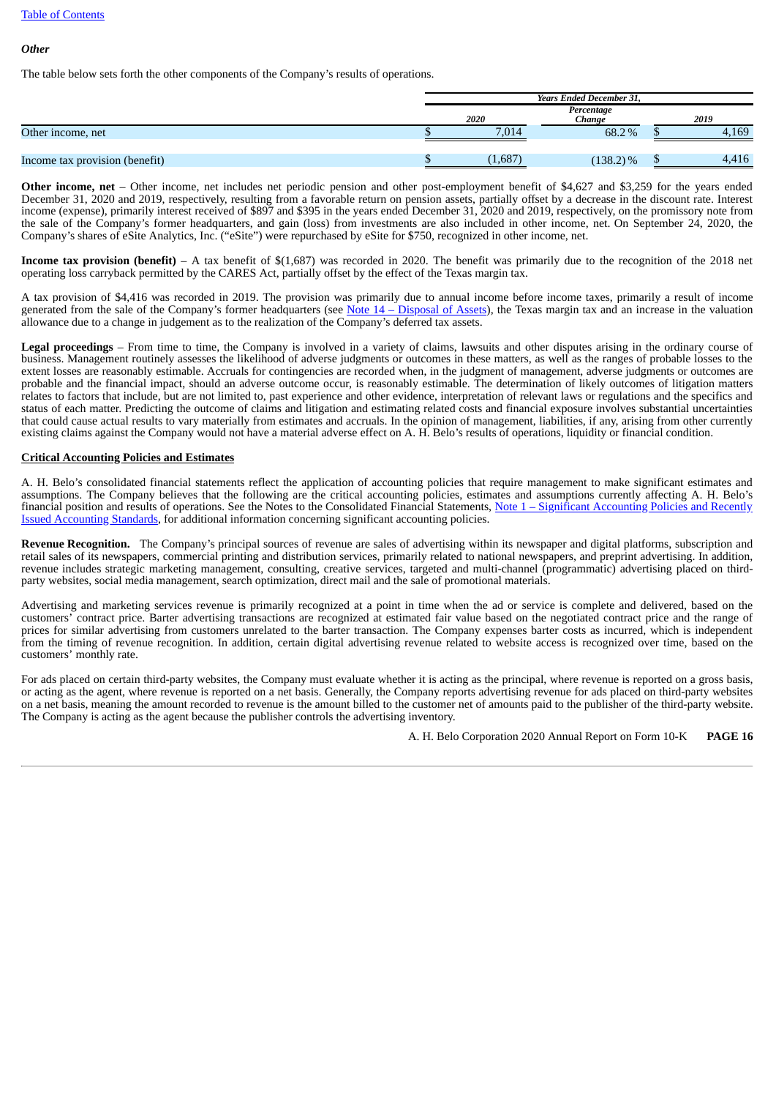## Table of [Contents](#page-1-1)

## *Other*

The table below sets forth the other components of the Company's results of operations.

|                                |         | <b>Years Ended December 31,</b> |       |
|--------------------------------|---------|---------------------------------|-------|
|                                |         | Percentage                      |       |
|                                | 2020    | Chanae                          | 2019  |
| Other income, net              | 7,014   | 68.2%                           | 4,169 |
|                                |         |                                 |       |
| Income tax provision (benefit) | , 1.687 | $(138.2)\%$                     | 4,416 |

**Other income, net** – Other income, net includes net periodic pension and other post-employment benefit of \$4,627 and \$3,259 for the years ended December 31, 2020 and 2019, respectively, resulting from a favorable return on pension assets, partially offset by a decrease in the discount rate. Interest income (expense), primarily interest received of \$897 and \$395 in the years ended December 31, 2020 and 2019, respectively, on the promissory note from the sale of the Company's former headquarters, and gain (loss) from investments are also included in other income, net. On September 24, 2020, the Company's shares of eSite Analytics, Inc. ("eSite") were repurchased by eSite for \$750, recognized in other income, net.

**Income tax provision (benefit)** – A tax benefit of \$(1,687) was recorded in 2020. The benefit was primarily due to the recognition of the 2018 net operating loss carryback permitted by the CARES Act, partially offset by the effect of the Texas margin tax.

A tax provision of \$4,416 was recorded in 2019. The provision was primarily due to annual income before income taxes, primarily a result of income generated from the sale of the Company's former headquarters (see Note  $14 -$  [Disposal](#page-48-0) of Assets), the Texas margin tax and an increase in the valuation allowance due to a change in judgement as to the realization of the Company's deferred tax assets.

**Legal proceedings** – From time to time, the Company is involved in a variety of claims, lawsuits and other disputes arising in the ordinary course of business. Management routinely assesses the likelihood of adverse judgments or outcomes in these matters, as well as the ranges of probable losses to the extent losses are reasonably estimable. Accruals for contingencies are recorded when, in the judgment of management, adverse judgments or outcomes are probable and the financial impact, should an adverse outcome occur, is reasonably estimable. The determination of likely outcomes of litigation matters relates to factors that include, but are not limited to, past experience and other evidence, interpretation of relevant laws or regulations and the specifics and status of each matter. Predicting the outcome of claims and litigation and estimating related costs and financial exposure involves substantial uncertainties that could cause actual results to vary materially from estimates and accruals. In the opinion of management, liabilities, if any, arising from other currently existing claims against the Company would not have a material adverse effect on A. H. Belo's results of operations, liquidity or financial condition.

## **Critical Accounting Policies and Estimates**

A. H. Belo's consolidated financial statements reflect the application of accounting policies that require management to make significant estimates and assumptions. The Company believes that the following are the critical accounting policies, estimates and assumptions currently affecting A. H. Belo's financial position and results of operations. See the Notes to the [Consolidated](#page-34-1) Financial Statements, Note 1 – Significant Accounting Policies and Recently Issued Accounting Standards, for additional information concerning significant accounting policies.

**Revenue Recognition.** The Company's principal sources of revenue are sales of advertising within its newspaper and digital platforms, subscription and retail sales of its newspapers, commercial printing and distribution services, primarily related to national newspapers, and preprint advertising. In addition, revenue includes strategic marketing management, consulting, creative services, targeted and multi-channel (programmatic) advertising placed on thirdparty websites, social media management, search optimization, direct mail and the sale of promotional materials.

Advertising and marketing services revenue is primarily recognized at a point in time when the ad or service is complete and delivered, based on the customers' contract price. Barter advertising transactions are recognized at estimated fair value based on the negotiated contract price and the range of prices for similar advertising from customers unrelated to the barter transaction. The Company expenses barter costs as incurred, which is independent from the timing of revenue recognition. In addition, certain digital advertising revenue related to website access is recognized over time, based on the customers' monthly rate.

For ads placed on certain third-party websites, the Company must evaluate whether it is acting as the principal, where revenue is reported on a gross basis, or acting as the agent, where revenue is reported on a net basis. Generally, the Company reports advertising revenue for ads placed on third-party websites on a net basis, meaning the amount recorded to revenue is the amount billed to the customer net of amounts paid to the publisher of the third-party website. The Company is acting as the agent because the publisher controls the advertising inventory.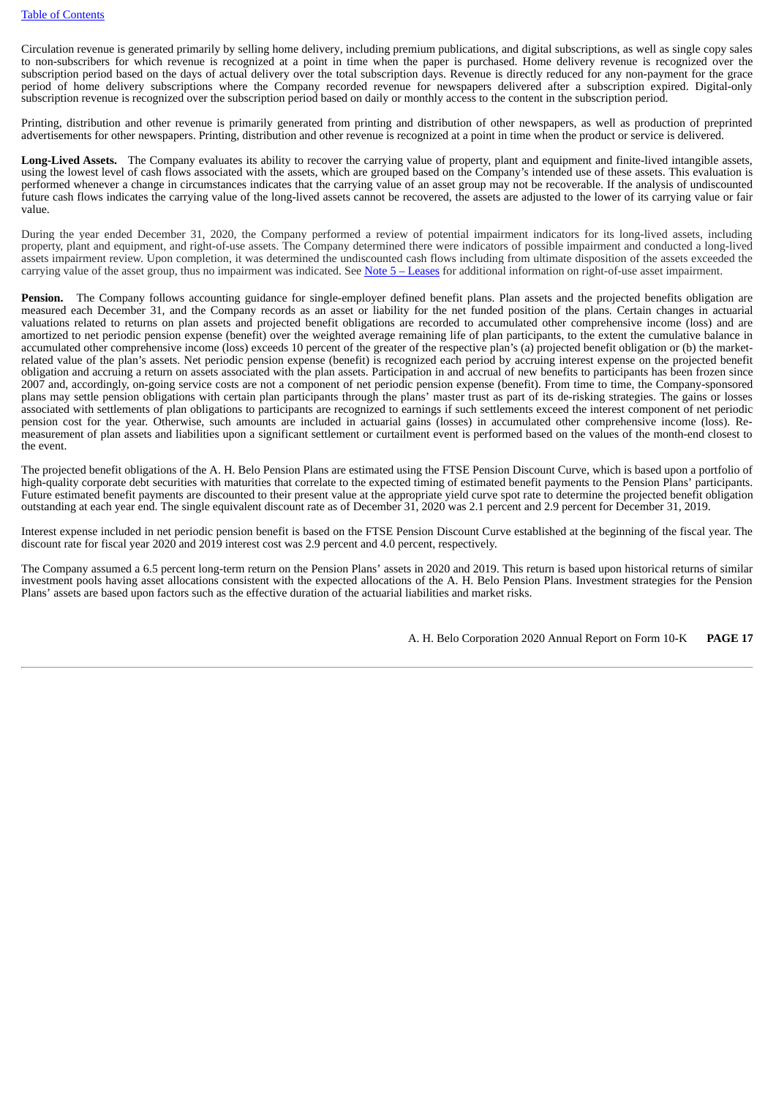Circulation revenue is generated primarily by selling home delivery, including premium publications, and digital subscriptions, as well as single copy sales to non-subscribers for which revenue is recognized at a point in time when the paper is purchased. Home delivery revenue is recognized over the subscription period based on the days of actual delivery over the total subscription days. Revenue is directly reduced for any non-payment for the grace period of home delivery subscriptions where the Company recorded revenue for newspapers delivered after a subscription expired. Digital-only subscription revenue is recognized over the subscription period based on daily or monthly access to the content in the subscription period.

Printing, distribution and other revenue is primarily generated from printing and distribution of other newspapers, as well as production of preprinted advertisements for other newspapers. Printing, distribution and other revenue is recognized at a point in time when the product or service is delivered.

**Long-Lived Assets.** The Company evaluates its ability to recover the carrying value of property, plant and equipment and finite-lived intangible assets, using the lowest level of cash flows associated with the assets, which are grouped based on the Company's intended use of these assets. This evaluation is performed whenever a change in circumstances indicates that the carrying value of an asset group may not be recoverable. If the analysis of undiscounted future cash flows indicates the carrying value of the long-lived assets cannot be recovered, the assets are adjusted to the lower of its carrying value or fair value.

During the year ended December 31, 2020, the Company performed a review of potential impairment indicators for its long-lived assets, including property, plant and equipment, and right-of-use assets. The Company determined there were indicators of possible impairment and conducted a long-lived assets impairment review. Upon completion, it was determined the undiscounted cash flows including from ultimate disposition of the assets exceeded the carrying value of the asset group, thus no impairment was indicated. See Note 5 – [Leases](#page-40-0) for additional information on right-of-use asset impairment.

Pension. The Company follows accounting guidance for single-employer defined benefit plans. Plan assets and the projected benefits obligation are measured each December 31, and the Company records as an asset or liability for the net funded position of the plans. Certain changes in actuarial valuations related to returns on plan assets and projected benefit obligations are recorded to accumulated other comprehensive income (loss) and are amortized to net periodic pension expense (benefit) over the weighted average remaining life of plan participants, to the extent the cumulative balance in accumulated other comprehensive income (loss) exceeds 10 percent of the greater of the respective plan's (a) projected benefit obligation or (b) the marketrelated value of the plan's assets. Net periodic pension expense (benefit) is recognized each period by accruing interest expense on the projected benefit obligation and accruing a return on assets associated with the plan assets. Participation in and accrual of new benefits to participants has been frozen since 2007 and, accordingly, on-going service costs are not a component of net periodic pension expense (benefit). From time to time, the Company-sponsored plans may settle pension obligations with certain plan participants through the plans' master trust as part of its de-risking strategies. The gains or losses associated with settlements of plan obligations to participants are recognized to earnings if such settlements exceed the interest component of net periodic pension cost for the year. Otherwise, such amounts are included in actuarial gains (losses) in accumulated other comprehensive income (loss). Remeasurement of plan assets and liabilities upon a significant settlement or curtailment event is performed based on the values of the month-end closest to the event.

The projected benefit obligations of the A. H. Belo Pension Plans are estimated using the FTSE Pension Discount Curve, which is based upon a portfolio of high-quality corporate debt securities with maturities that correlate to the expected timing of estimated benefit payments to the Pension Plans' participants. Future estimated benefit payments are discounted to their present value at the appropriate yield curve spot rate to determine the projected benefit obligation outstanding at each year end. The single equivalent discount rate as of December 31, 2020 was 2.1 percent and 2.9 percent for December 31, 2019.

Interest expense included in net periodic pension benefit is based on the FTSE Pension Discount Curve established at the beginning of the fiscal year. The discount rate for fiscal year 2020 and 2019 interest cost was 2.9 percent and 4.0 percent, respectively.

The Company assumed a 6.5 percent long-term return on the Pension Plans' assets in 2020 and 2019. This return is based upon historical returns of similar investment pools having asset allocations consistent with the expected allocations of the A. H. Belo Pension Plans. Investment strategies for the Pension Plans' assets are based upon factors such as the effective duration of the actuarial liabilities and market risks.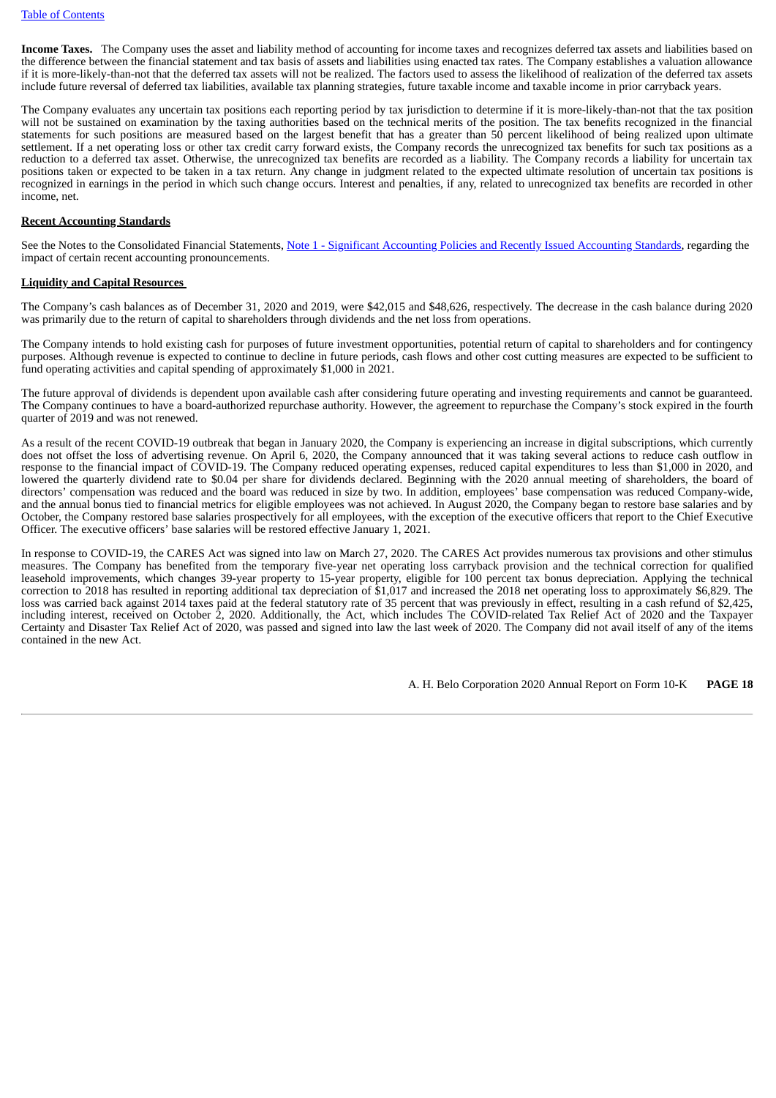**Income Taxes.** The Company uses the asset and liability method of accounting for income taxes and recognizes deferred tax assets and liabilities based on the difference between the financial statement and tax basis of assets and liabilities using enacted tax rates. The Company establishes a valuation allowance if it is more-likely-than-not that the deferred tax assets will not be realized. The factors used to assess the likelihood of realization of the deferred tax assets include future reversal of deferred tax liabilities, available tax planning strategies, future taxable income and taxable income in prior carryback years.

The Company evaluates any uncertain tax positions each reporting period by tax jurisdiction to determine if it is more-likely-than-not that the tax position will not be sustained on examination by the taxing authorities based on the technical merits of the position. The tax benefits recognized in the financial statements for such positions are measured based on the largest benefit that has a greater than 50 percent likelihood of being realized upon ultimate settlement. If a net operating loss or other tax credit carry forward exists, the Company records the unrecognized tax benefits for such tax positions as a reduction to a deferred tax asset. Otherwise, the unrecognized tax benefits are recorded as a liability. The Company records a liability for uncertain tax positions taken or expected to be taken in a tax return. Any change in judgment related to the expected ultimate resolution of uncertain tax positions is recognized in earnings in the period in which such change occurs. Interest and penalties, if any, related to unrecognized tax benefits are recorded in other income, net.

## **Recent Accounting Standards**

See the Notes to the Consolidated Financial Statements, Note 1 - Significant [Accounting](#page-34-1) Policies and Recently Issued Accounting Standards, regarding the impact of certain recent accounting pronouncements.

## **Liquidity and Capital Resources**

The Company's cash balances as of December 31, 2020 and 2019, were \$42,015 and \$48,626, respectively. The decrease in the cash balance during 2020 was primarily due to the return of capital to shareholders through dividends and the net loss from operations.

The Company intends to hold existing cash for purposes of future investment opportunities, potential return of capital to shareholders and for contingency purposes. Although revenue is expected to continue to decline in future periods, cash flows and other cost cutting measures are expected to be sufficient to fund operating activities and capital spending of approximately \$1,000 in 2021.

The future approval of dividends is dependent upon available cash after considering future operating and investing requirements and cannot be guaranteed. The Company continues to have a board-authorized repurchase authority. However, the agreement to repurchase the Company's stock expired in the fourth quarter of 2019 and was not renewed.

As a result of the recent COVID-19 outbreak that began in January 2020, the Company is experiencing an increase in digital subscriptions, which currently does not offset the loss of advertising revenue. On April 6, 2020, the Company announced that it was taking several actions to reduce cash outflow in response to the financial impact of COVID-19. The Company reduced operating expenses, reduced capital expenditures to less than \$1,000 in 2020, and lowered the quarterly dividend rate to \$0.04 per share for dividends declared. Beginning with the 2020 annual meeting of shareholders, the board of directors' compensation was reduced and the board was reduced in size by two. In addition, employees' base compensation was reduced Company-wide, and the annual bonus tied to financial metrics for eligible employees was not achieved. In August 2020, the Company began to restore base salaries and by October, the Company restored base salaries prospectively for all employees, with the exception of the executive officers that report to the Chief Executive Officer. The executive officers' base salaries will be restored effective January 1, 2021.

In response to COVID-19, the CARES Act was signed into law on March 27, 2020. The CARES Act provides numerous tax provisions and other stimulus measures. The Company has benefited from the temporary five-year net operating loss carryback provision and the technical correction for qualified leasehold improvements, which changes 39-year property to 15-year property, eligible for 100 percent tax bonus depreciation. Applying the technical correction to 2018 has resulted in reporting additional tax depreciation of \$1,017 and increased the 2018 net operating loss to approximately \$6,829. The loss was carried back against 2014 taxes paid at the federal statutory rate of 35 percent that was previously in effect, resulting in a cash refund of \$2,425, including interest, received on October 2, 2020. Additionally, the Act, which includes The COVID-related Tax Relief Act of 2020 and the Taxpayer Certainty and Disaster Tax Relief Act of 2020, was passed and signed into law the last week of 2020. The Company did not avail itself of any of the items contained in the new Act.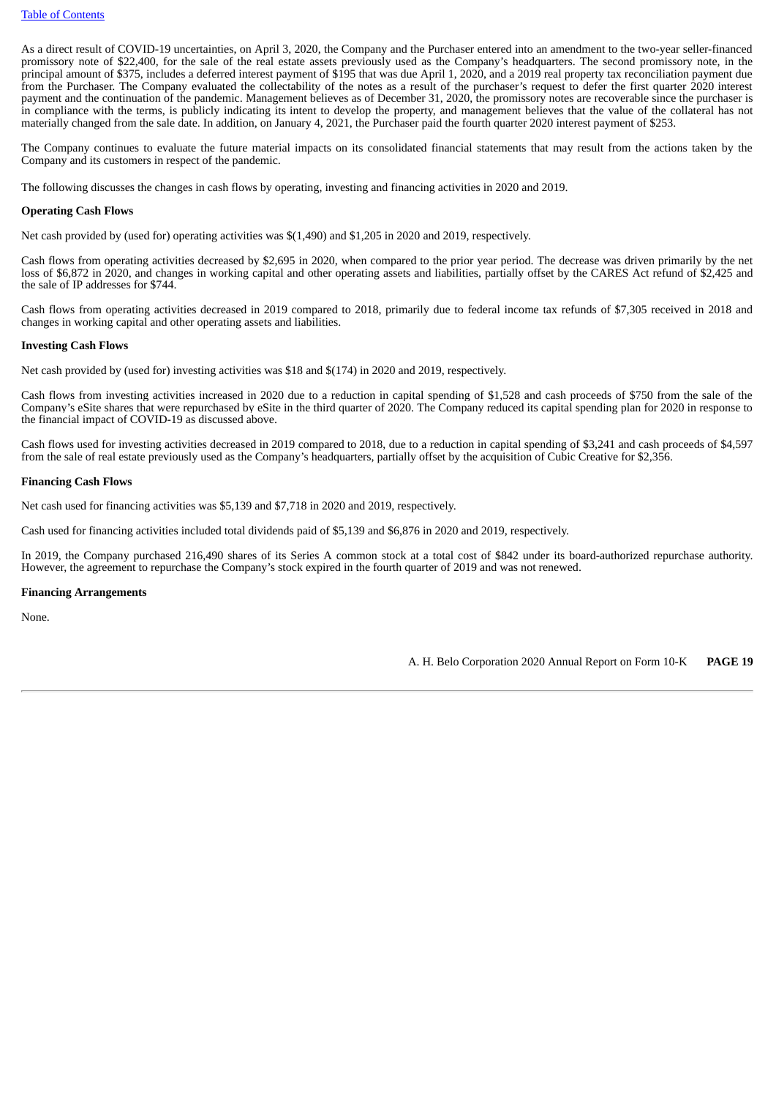As a direct result of COVID-19 uncertainties, on April 3, 2020, the Company and the Purchaser entered into an amendment to the two-year seller-financed promissory note of \$22,400, for the sale of the real estate assets previously used as the Company's headquarters. The second promissory note, in the principal amount of \$375, includes a deferred interest payment of \$195 that was due April 1, 2020, and a 2019 real property tax reconciliation payment due from the Purchaser. The Company evaluated the collectability of the notes as a result of the purchaser's request to defer the first quarter 2020 interest payment and the continuation of the pandemic. Management believes as of December 31, 2020, the promissory notes are recoverable since the purchaser is in compliance with the terms, is publicly indicating its intent to develop the property, and management believes that the value of the collateral has not materially changed from the sale date. In addition, on January 4, 2021, the Purchaser paid the fourth quarter 2020 interest payment of \$253.

The Company continues to evaluate the future material impacts on its consolidated financial statements that may result from the actions taken by the Company and its customers in respect of the pandemic.

The following discusses the changes in cash flows by operating, investing and financing activities in 2020 and 2019.

## **Operating Cash Flows**

Net cash provided by (used for) operating activities was \$(1,490) and \$1,205 in 2020 and 2019, respectively.

Cash flows from operating activities decreased by \$2,695 in 2020, when compared to the prior year period. The decrease was driven primarily by the net loss of \$6,872 in 2020, and changes in working capital and other operating assets and liabilities, partially offset by the CARES Act refund of \$2,425 and the sale of IP addresses for \$744.

Cash flows from operating activities decreased in 2019 compared to 2018, primarily due to federal income tax refunds of \$7,305 received in 2018 and changes in working capital and other operating assets and liabilities.

### **Investing Cash Flows**

Net cash provided by (used for) investing activities was \$18 and \$(174) in 2020 and 2019, respectively.

Cash flows from investing activities increased in 2020 due to a reduction in capital spending of \$1,528 and cash proceeds of \$750 from the sale of the Company's eSite shares that were repurchased by eSite in the third quarter of 2020. The Company reduced its capital spending plan for 2020 in response to the financial impact of COVID-19 as discussed above.

Cash flows used for investing activities decreased in 2019 compared to 2018, due to a reduction in capital spending of \$3,241 and cash proceeds of \$4,597 from the sale of real estate previously used as the Company's headquarters, partially offset by the acquisition of Cubic Creative for \$2,356.

### **Financing Cash Flows**

Net cash used for financing activities was \$5,139 and \$7,718 in 2020 and 2019, respectively.

Cash used for financing activities included total dividends paid of \$5,139 and \$6,876 in 2020 and 2019, respectively.

In 2019, the Company purchased 216,490 shares of its Series A common stock at a total cost of \$842 under its board-authorized repurchase authority. However, the agreement to repurchase the Company's stock expired in the fourth quarter of 2019 and was not renewed.

### **Financing Arrangements**

None.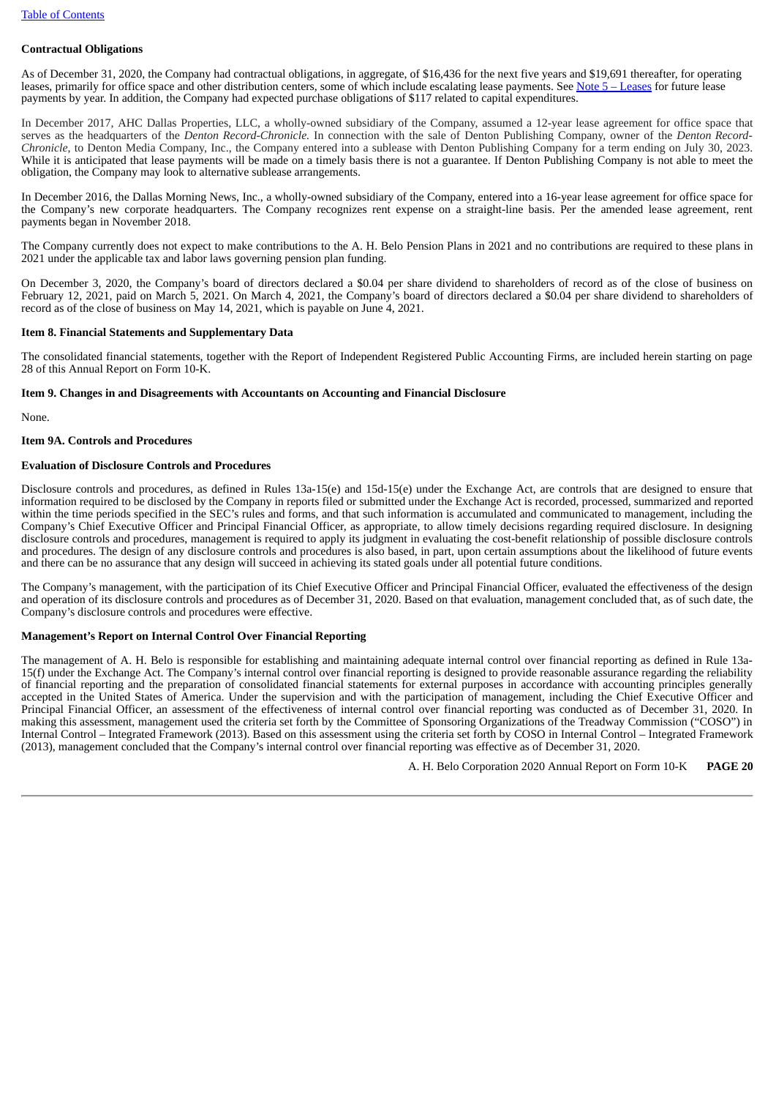# **Contractual Obligations**

As of December 31, 2020, the Company had contractual obligations, in aggregate, of \$16,436 for the next five years and \$19,691 thereafter, for operating leases, primarily for office space and other distribution centers, some of which include escalating lease payments. See Note  $5 -$  [Leases](#page-40-0) for future lease payments by year. In addition, the Company had expected purchase obligations of \$117 related to capital expenditures.

In December 2017, AHC Dallas Properties, LLC, a wholly-owned subsidiary of the Company, assumed a 12-year lease agreement for office space that serves as the headquarters of the *Denton Record-Chronicle.* In connection with the sale of Denton Publishing Company, owner of the *Denton Record-Chronicle*, to Denton Media Company, Inc., the Company entered into a sublease with Denton Publishing Company for a term ending on July 30, 2023. While it is anticipated that lease payments will be made on a timely basis there is not a guarantee. If Denton Publishing Company is not able to meet the obligation, the Company may look to alternative sublease arrangements.

In December 2016, the Dallas Morning News, Inc., a wholly-owned subsidiary of the Company, entered into a 16-year lease agreement for office space for the Company's new corporate headquarters. The Company recognizes rent expense on a straight-line basis. Per the amended lease agreement, rent payments began in November 2018.

The Company currently does not expect to make contributions to the A. H. Belo Pension Plans in 2021 and no contributions are required to these plans in 2021 under the applicable tax and labor laws governing pension plan funding.

On December 3, 2020, the Company's board of directors declared a \$0.04 per share dividend to shareholders of record as of the close of business on February 12, 2021, paid on March 5, 2021. On March 4, 2021, the Company's board of directors declared a \$0.04 per share dividend to shareholders of record as of the close of business on May 14, 2021, which is payable on June 4, 2021.

## <span id="page-19-0"></span>**Item 8. Financial Statements and Supplementary Data**

The consolidated financial statements, together with the Report of Independent Registered Public Accounting Firms, are included herein starting on page 28 of this Annual Report on Form 10-K.

## <span id="page-19-1"></span>**Item 9. Changes in and Disagreements with Accountants on Accounting and Financial Disclosure**

None.

## <span id="page-19-2"></span>**Item 9A. Controls and Procedures**

## **Evaluation of Disclosure Controls and Procedures**

Disclosure controls and procedures, as defined in Rules 13a-15(e) and 15d-15(e) under the Exchange Act, are controls that are designed to ensure that information required to be disclosed by the Company in reports filed or submitted under the Exchange Act is recorded, processed, summarized and reported within the time periods specified in the SEC's rules and forms, and that such information is accumulated and communicated to management, including the Company's Chief Executive Officer and Principal Financial Officer, as appropriate, to allow timely decisions regarding required disclosure. In designing disclosure controls and procedures, management is required to apply its judgment in evaluating the cost-benefit relationship of possible disclosure controls and procedures. The design of any disclosure controls and procedures is also based, in part, upon certain assumptions about the likelihood of future events and there can be no assurance that any design will succeed in achieving its stated goals under all potential future conditions.

The Company's management, with the participation of its Chief Executive Officer and Principal Financial Officer, evaluated the effectiveness of the design and operation of its disclosure controls and procedures as of December 31, 2020. Based on that evaluation, management concluded that, as of such date, the Company's disclosure controls and procedures were effective.

## **Management's Report on Internal Control Over Financial Reporting**

The management of A. H. Belo is responsible for establishing and maintaining adequate internal control over financial reporting as defined in Rule 13a-15(f) under the Exchange Act. The Company's internal control over financial reporting is designed to provide reasonable assurance regarding the reliability of financial reporting and the preparation of consolidated financial statements for external purposes in accordance with accounting principles generally accepted in the United States of America. Under the supervision and with the participation of management, including the Chief Executive Officer and Principal Financial Officer, an assessment of the effectiveness of internal control over financial reporting was conducted as of December 31, 2020. In making this assessment, management used the criteria set forth by the Committee of Sponsoring Organizations of the Treadway Commission ("COSO") in Internal Control – Integrated Framework (2013). Based on this assessment using the criteria set forth by COSO in Internal Control – Integrated Framework (2013), management concluded that the Company's internal control over financial reporting was effective as of December 31, 2020.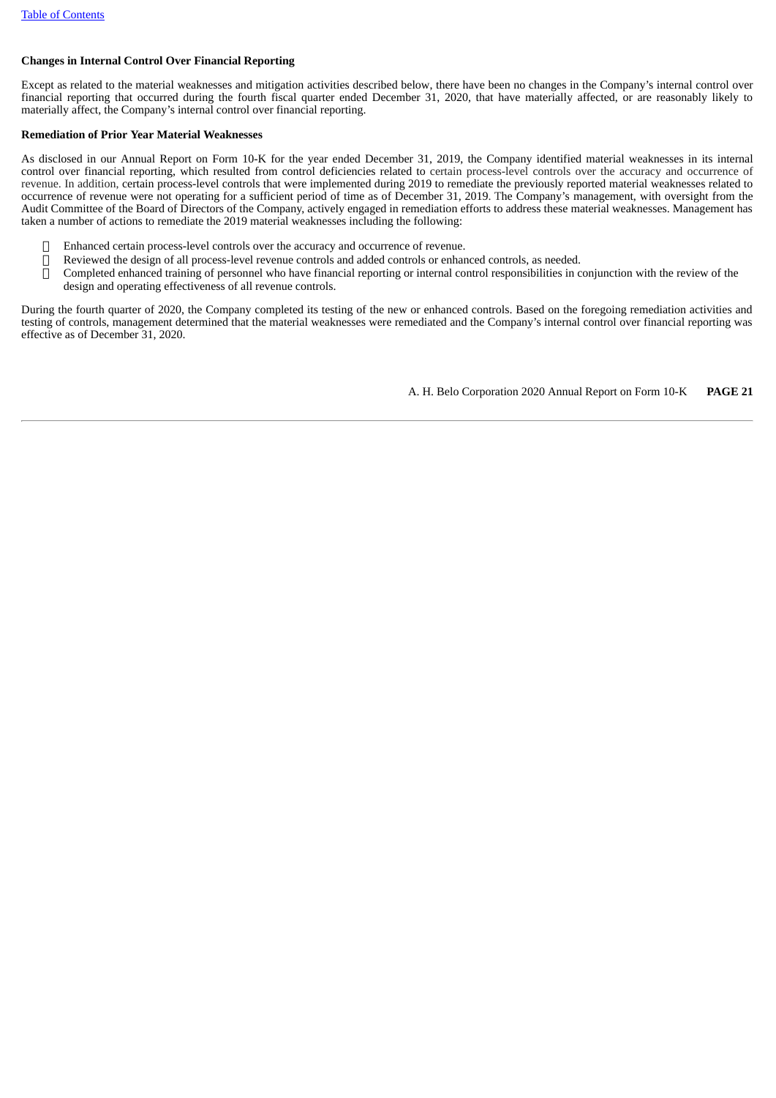# **Changes in Internal Control Over Financial Reporting**

Except as related to the material weaknesses and mitigation activities described below, there have been no changes in the Company's internal control over financial reporting that occurred during the fourth fiscal quarter ended December 31, 2020, that have materially affected, or are reasonably likely to materially affect, the Company's internal control over financial reporting.

# **Remediation of Prior Year Material Weaknesses**

As disclosed in our Annual Report on Form 10-K for the year ended December 31, 2019, the Company identified material weaknesses in its internal control over financial reporting, which resulted from control deficiencies related to certain process-level controls over the accuracy and occurrence of revenue. In addition, certain process-level controls that were implemented during 2019 to remediate the previously reported material weaknesses related to occurrence of revenue were not operating for a sufficient period of time as of December 31, 2019. The Company's management, with oversight from the Audit Committee of the Board of Directors of the Company, actively engaged in remediation efforts to address these material weaknesses. Management has taken a number of actions to remediate the 2019 material weaknesses including the following:

- Enhanced certain process-level controls over the accuracy and occurrence of revenue.
- □ Reviewed the design of all process-level revenue controls and added controls or enhanced controls, as needed.<br>□ Completed enhanced training of personnel who have financial reporting or internal control responsibilities
- Completed enhanced training of personnel who have financial reporting or internal control responsibilities in conjunction with the review of the design and operating effectiveness of all revenue controls.

<span id="page-20-0"></span>During the fourth quarter of 2020, the Company completed its testing of the new or enhanced controls. Based on the foregoing remediation activities and testing of controls, management determined that the material weaknesses were remediated and the Company's internal control over financial reporting was effective as of December 31, 2020.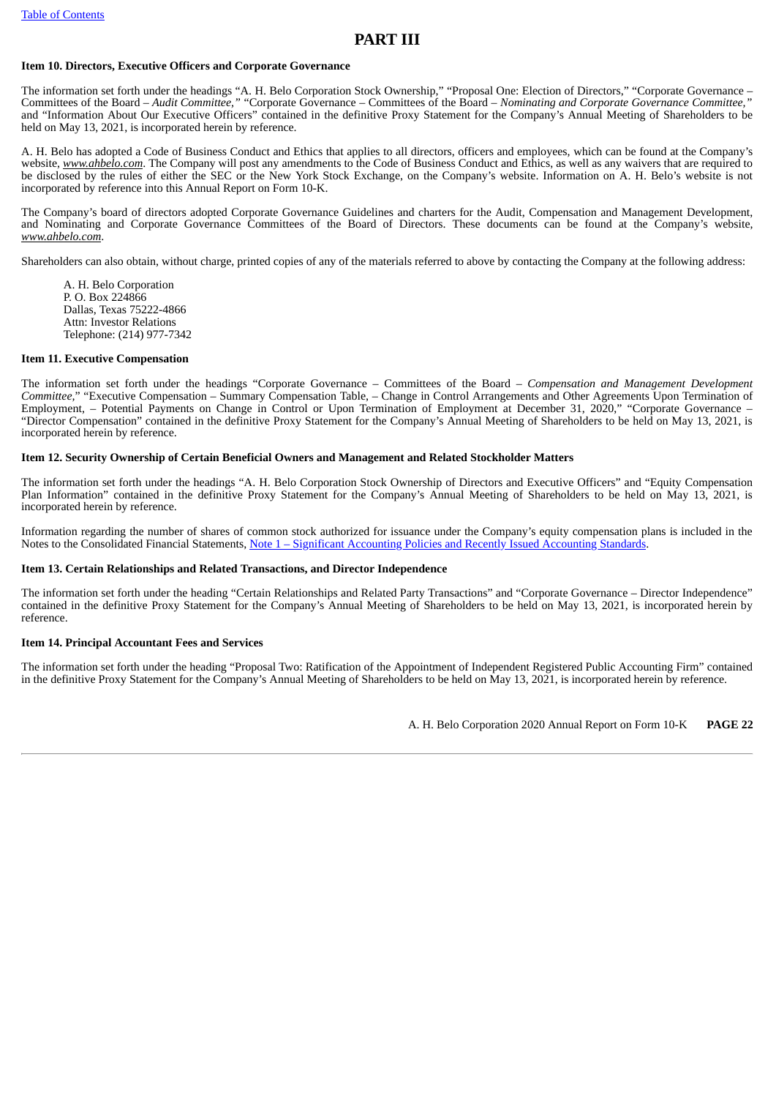# **PART III**

## <span id="page-21-0"></span>**Item 10. Directors, Executive Officers and Corporate Governance**

The information set forth under the headings "A. H. Belo Corporation Stock Ownership," "Proposal One: Election of Directors," "Corporate Governance – Committees of the Board – *Audit Committee,"* "Corporate Governance – Committees of the Board – *Nominating and Corporate Governance Committee,"* and "Information About Our Executive Officers" contained in the definitive Proxy Statement for the Company's Annual Meeting of Shareholders to be held on May 13, 2021, is incorporated herein by reference.

A. H. Belo has adopted a Code of Business Conduct and Ethics that applies to all directors, officers and employees, which can be found at the Company's website, *www.ahbelo.com*. The Company will post any amendments to the Code of Business Conduct and Ethics, as well as any waivers that are required to be disclosed by the rules of either the SEC or the New York Stock Exchange, on the Company's website. Information on A. H. Belo's website is not incorporated by reference into this Annual Report on Form 10-K.

The Company's board of directors adopted Corporate Governance Guidelines and charters for the Audit, Compensation and Management Development, and Nominating and Corporate Governance Committees of the Board of Directors. These documents can be found at the Company's website, *www.ahbelo.com*.

Shareholders can also obtain, without charge, printed copies of any of the materials referred to above by contacting the Company at the following address:

A. H. Belo Corporation P. O. Box 224866 Dallas, Texas 75222-4866 Attn: Investor Relations Telephone: (214) 977-7342

## <span id="page-21-1"></span>**Item 11. Executive Compensation**

The information set forth under the headings "Corporate Governance – Committees of the Board – *Compensation and Management Development Committee,*" "Executive Compensation – Summary Compensation Table, – Change in Control Arrangements and Other Agreements Upon Termination of Employment, – Potential Payments on Change in Control or Upon Termination of Employment at December 31, 2020," "Corporate Governance – "Director Compensation" contained in the definitive Proxy Statement for the Company's Annual Meeting of Shareholders to be held on May 13, 2021, is incorporated herein by reference.

## <span id="page-21-2"></span>**Item 12. Security Ownership of Certain Beneficial Owners and Management and Related Stockholder Matters**

The information set forth under the headings "A. H. Belo Corporation Stock Ownership of Directors and Executive Officers" and "Equity Compensation Plan Information" contained in the definitive Proxy Statement for the Company's Annual Meeting of Shareholders to be held on May 13, 2021, is incorporated herein by reference.

Information regarding the number of shares of common stock authorized for issuance under the Company's equity compensation plans is included in the Notes to the Consolidated Financial Statements, Note 1 – Significant [Accounting](#page-34-1) Policies and Recently Issued Accounting Standards.

### <span id="page-21-3"></span>**Item 13. Certain Relationships and Related Transactions, and Director Independence**

The information set forth under the heading "Certain Relationships and Related Party Transactions" and "Corporate Governance – Director Independence" contained in the definitive Proxy Statement for the Company's Annual Meeting of Shareholders to be held on May 13, 2021, is incorporated herein by reference.

### <span id="page-21-4"></span>**Item 14. Principal Accountant Fees and Services**

<span id="page-21-5"></span>The information set forth under the heading "Proposal Two: Ratification of the Appointment of Independent Registered Public Accounting Firm" contained in the definitive Proxy Statement for the Company's Annual Meeting of Shareholders to be held on May 13, 2021, is incorporated herein by reference.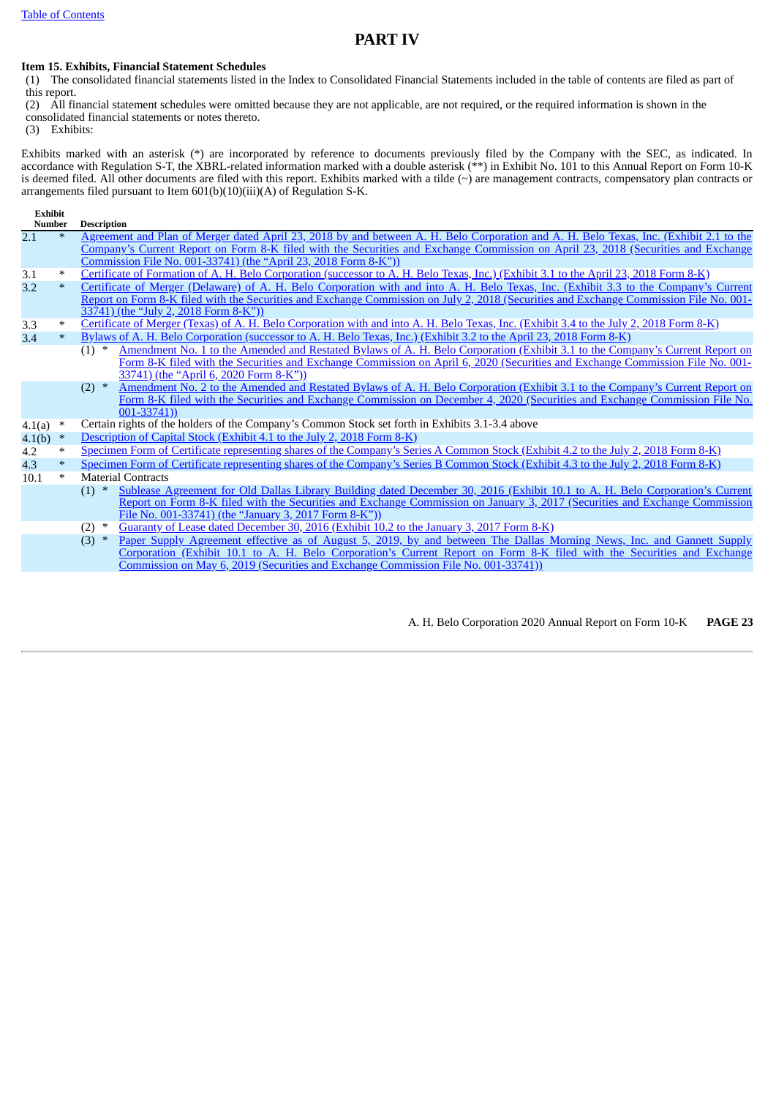# **PART IV**

## <span id="page-22-0"></span>**Item 15. Exhibits, Financial Statement Schedules**

(1) The consolidated financial statements listed in the Index to Consolidated Financial Statements included in the table of contents are filed as part of this report.

(2) All financial statement schedules were omitted because they are not applicable, are not required, or the required information is shown in the consolidated financial statements or notes thereto.

(3) Exhibits:

Exhibits marked with an asterisk (\*) are incorporated by reference to documents previously filed by the Company with the SEC, as indicated. In accordance with Regulation S-T, the XBRL-related information marked with a double asterisk (\*\*) in Exhibit No. 101 to this Annual Report on Form 10-K is deemed filed. All other documents are filed with this report. Exhibits marked with a tilde  $(\sim)$  are management contracts, compensatory plan contracts or arrangements filed pursuant to Item 601(b)(10)(iii)(A) of Regulation S-K.

| Exhibit |        |
|---------|--------|
| Numbor  | Doceni |
|         |        |

| <b>Number</b> |        | <b>Description</b>                                                                                                                      |
|---------------|--------|-----------------------------------------------------------------------------------------------------------------------------------------|
| 2.1           | $\ast$ | Agreement and Plan of Merger dated April 23, 2018 by and between A. H. Belo Corporation and A. H. Belo Texas, Inc. (Exhibit 2.1 to the  |
|               |        | Company's Current Report on Form 8-K filed with the Securities and Exchange Commission on April 23, 2018 (Securities and Exchange       |
|               |        | Commission File No. 001-33741) (the "April 23, 2018 Form 8-K"))                                                                         |
| 3.1           | $\ast$ | Certificate of Formation of A, H. Belo Corporation (successor to A, H. Belo Texas, Inc.) (Exhibit 3.1 to the April 23, 2018 Form 8-K)   |
| 3.2           | $\ast$ | Certificate of Merger (Delaware) of A. H. Belo Corporation with and into A. H. Belo Texas, Inc. (Exhibit 3.3 to the Company's Current   |
|               |        | Report on Form 8-K filed with the Securities and Exchange Commission on July 2, 2018 (Securities and Exchange Commission File No. 001-  |
|               |        | 33741) (the "July 2, 2018 Form 8-K"))                                                                                                   |
| 3.3           | $\ast$ | Certificate of Merger (Texas) of A. H. Belo Corporation with and into A. H. Belo Texas, Inc. (Exhibit 3.4 to the July 2, 2018 Form 8-K) |
| 3.4           | $\ast$ | Bylaws of A. H. Belo Corporation (successor to A. H. Belo Texas, Inc.) (Exhibit 3.2 to the April 23, 2018 Form 8-K)                     |
|               |        | Amendment No. 1 to the Amended and Restated Bylaws of A. H. Belo Corporation (Exhibit 3.1 to the Company's Current Report on<br>$(1)$ * |
|               |        | Form 8-K filed with the Securities and Exchange Commission on April 6, 2020 (Securities and Exchange Commission File No. 001-           |
|               |        | 33741) (the "April 6, 2020 Form 8-K"))                                                                                                  |
|               |        | Amendment No. 2 to the Amended and Restated Bylaws of A. H. Belo Corporation (Exhibit 3.1 to the Company's Current Report on<br>$(2)$ * |
|               |        | Form 8-K filed with the Securities and Exchange Commission on December 4, 2020 (Securities and Exchange Commission File No.             |
|               |        | $001 - 33741)$                                                                                                                          |
| 4.1(a)        | $\ast$ | Certain rights of the holders of the Company's Common Stock set forth in Exhibits 3.1-3.4 above                                         |
| 4.1(b)        | $\ast$ | Description of Capital Stock (Exhibit 4.1 to the July 2, 2018 Form 8-K)                                                                 |
| 4.2           | $\ast$ | Specimen Form of Certificate representing shares of the Company's Series A Common Stock (Exhibit 4.2 to the July 2, 2018 Form 8-K)      |
| 4.3           | $\ast$ | Specimen Form of Certificate representing shares of the Company's Series B Common Stock (Exhibit 4.3 to the July 2, 2018 Form 8-K)      |
| 10.1          | $\ast$ | <b>Material Contracts</b>                                                                                                               |
|               |        | Sublease Agreement for Old Dallas Library Building dated December 30, 2016 (Exhibit 10.1 to A. H. Belo Corporation's Current<br>$(1)$ * |
|               |        | Report on Form 8-K filed with the Securities and Exchange Commission on January 3, 2017 (Securities and Exchange Commission             |
|               |        | File No. 001-33741) (the "January 3, 2017 Form 8-K"))                                                                                   |
|               |        | Guaranty of Lease dated December 30, 2016 (Exhibit 10.2 to the January 3, 2017 Form 8-K)<br>$(2)$ *                                     |
|               |        | Paper Supply Agreement effective as of August 5, 2019, by and between The Dallas Morning News, Inc. and Gannett Supply<br>$(3)$ *       |
|               |        | Corporation (Exhibit 10.1 to A. H. Belo Corporation's Current Report on Form 8-K filed with the Securities and Exchange                 |
|               |        | Commission on May 6, 2019 (Securities and Exchange Commission File No. 001-33741))                                                      |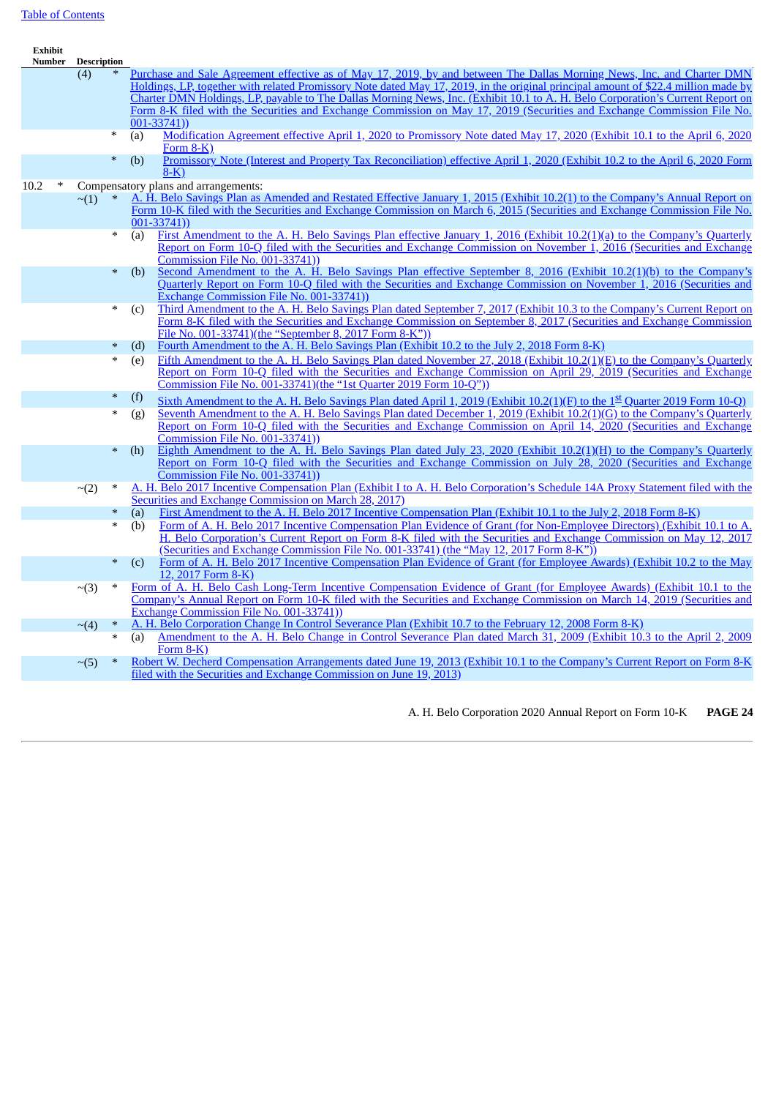# Table of [Contents](#page-1-1)

| <b>Exhibit</b> |        |             |        |                                                                                                                                            |
|----------------|--------|-------------|--------|--------------------------------------------------------------------------------------------------------------------------------------------|
| Number         |        | Description |        |                                                                                                                                            |
|                |        | (4)         |        | Purchase and Sale Agreement effective as of May 17, 2019, by and between The Dallas Morning News, Inc. and Charter DMN                     |
|                |        |             |        | Holdings, LP, together with related Promissory Note dated May 17, 2019, in the original principal amount of \$22.4 million made by         |
|                |        |             |        | Charter DMN Holdings, LP, payable to The Dallas Morning News, Inc. (Exhibit 10.1 to A. H. Belo Corporation's Current Report on             |
|                |        |             |        | Form 8-K filed with the Securities and Exchange Commission on May 17, 2019 (Securities and Exchange Commission File No.                    |
|                |        |             |        | $001 - 33741)$                                                                                                                             |
|                |        |             | $\ast$ | Modification Agreement effective April 1, 2020 to Promissory Note dated May 17, 2020 (Exhibit 10.1 to the April 6, 2020<br>(a)             |
|                |        |             |        | Form $8-K$ )                                                                                                                               |
|                |        |             |        | Promissory Note (Interest and Property Tax Reconciliation) effective April 1, 2020 (Exhibit 10.2 to the April 6, 2020 Form<br>(b)<br>$8-K$ |
| 10.2           | $\ast$ |             |        | Compensatory plans and arrangements:                                                                                                       |
|                |        | $\sim$ (1)  | $\ast$ | A. H. Belo Savings Plan as Amended and Restated Effective January 1, 2015 (Exhibit 10.2(1) to the Company's Annual Report on               |
|                |        |             |        | Form 10-K filed with the Securities and Exchange Commission on March 6, 2015 (Securities and Exchange Commission File No.                  |
|                |        |             |        | $001 - 33741)$                                                                                                                             |
|                |        |             | $\ast$ | First Amendment to the A. H. Belo Savings Plan effective January 1, 2016 (Exhibit 10.2(1)(a) to the Company's Quarterly<br>(a)             |
|                |        |             |        | Report on Form 10-Q filed with the Securities and Exchange Commission on November 1, 2016 (Securities and Exchange                         |
|                |        |             |        | Commission File No. 001-33741))                                                                                                            |
|                |        |             |        | Second Amendment to the A. H. Belo Savings Plan effective September 8, 2016 (Exhibit 10.2(1)(b) to the Company's<br>(b)                    |
|                |        |             |        | Quarterly Report on Form 10-Q filed with the Securities and Exchange Commission on November 1, 2016 (Securities and                        |
|                |        |             |        | Exchange Commission File No. 001-33741))                                                                                                   |
|                |        |             | *      | Third Amendment to the A. H. Belo Savings Plan dated September 7, 2017 (Exhibit 10.3 to the Company's Current Report on<br>(c)             |
|                |        |             |        | Form 8-K filed with the Securities and Exchange Commission on September 8, 2017 (Securities and Exchange Commission                        |
|                |        |             |        | File No. 001-33741)(the "September 8, 2017 Form 8-K"))                                                                                     |
|                |        |             |        | Fourth Amendment to the A. H. Belo Savings Plan (Exhibit 10.2 to the July 2, 2018 Form 8-K)<br>(d)                                         |
|                |        |             |        | Fifth Amendment to the A. H. Belo Savings Plan dated November 27, 2018 (Exhibit 10.2(1)(E) to the Company's Quarterly<br>(e)               |
|                |        |             |        | Report on Form 10-Q filed with the Securities and Exchange Commission on April 29, 2019 (Securities and Exchange                           |
|                |        |             |        | Commission File No. 001-33741)(the "1st Quarter 2019 Form 10-Q"))                                                                          |
|                |        |             |        | (f)<br>Sixth Amendment to the A. H. Belo Savings Plan dated April 1, 2019 (Exhibit 10.2(1)(F) to the $151$ Quarter 2019 Form 10-Q)         |
|                |        |             |        | Seventh Amendment to the A. H. Belo Savings Plan dated December 1, 2019 (Exhibit 10.2(1)(G) to the Company's Quarterly<br>(g)              |
|                |        |             |        | Report on Form 10-Q filed with the Securities and Exchange Commission on April 14, 2020 (Securities and Exchange                           |
|                |        |             |        | <b>Commission File No. 001-33741)</b>                                                                                                      |
|                |        |             | *      | Eighth Amendment to the A. H. Belo Savings Plan dated July 23, 2020 (Exhibit 10.2(1)(H) to the Company's Quarterly<br>(h)                  |
|                |        |             |        | Report on Form 10-Q filed with the Securities and Exchange Commission on July 28, 2020 (Securities and Exchange                            |
|                |        |             |        | Commission File No. 001-33741)                                                                                                             |
|                |        | $\sim$ (2)  | $\ast$ | A. H. Belo 2017 Incentive Compensation Plan (Exhibit I to A. H. Belo Corporation's Schedule 14A Proxy Statement filed with the             |
|                |        |             |        | Securities and Exchange Commission on March 28, 2017)                                                                                      |
|                |        |             | $\ast$ | First Amendment to the A. H. Belo 2017 Incentive Compensation Plan (Exhibit 10.1 to the July 2, 2018 Form 8-K)<br>(a)                      |
|                |        |             | $\ast$ | Form of A. H. Belo 2017 Incentive Compensation Plan Evidence of Grant (for Non-Employee Directors) (Exhibit 10.1 to A.<br>(b)              |
|                |        |             |        | H. Belo Corporation's Current Report on Form 8-K filed with the Securities and Exchange Commission on May 12, 2017                         |
|                |        |             |        | (Securities and Exchange Commission File No. 001-33741) (the "May 12, 2017 Form 8-K"))                                                     |
|                |        |             | $\ast$ | Form of A. H. Belo 2017 Incentive Compensation Plan Evidence of Grant (for Employee Awards) (Exhibit 10.2 to the May<br>(c)                |
|                |        |             |        | 12, 2017 Form 8-K)                                                                                                                         |
|                |        | $\sim$ (3)  | $\ast$ | Form of A. H. Belo Cash Long-Term Incentive Compensation Evidence of Grant (for Employee Awards) (Exhibit 10.1 to the                      |
|                |        |             |        | Company's Annual Report on Form 10-K filed with the Securities and Exchange Commission on March 14, 2019 (Securities and                   |
|                |        |             |        | Exchange Commission File No. 001-33741))                                                                                                   |
|                |        | $\sim$ (4)  | $\ast$ | A. H. Belo Corporation Change In Control Severance Plan (Exhibit 10.7 to the February 12, 2008 Form 8-K)                                   |
|                |        |             | $\ast$ | Amendment to the A. H. Belo Change in Control Severance Plan dated March 31, 2009 (Exhibit 10.3 to the April 2, 2009<br>(a)                |
|                |        |             |        | Form 8-K)                                                                                                                                  |
|                |        | $\sim$ (5)  |        | Robert W. Decherd Compensation Arrangements dated June 19, 2013 (Exhibit 10.1 to the Company's Current Report on Form 8-K                  |
|                |        |             |        | filed with the Securities and Exchange Commission on June 19, 2013)                                                                        |
|                |        |             |        |                                                                                                                                            |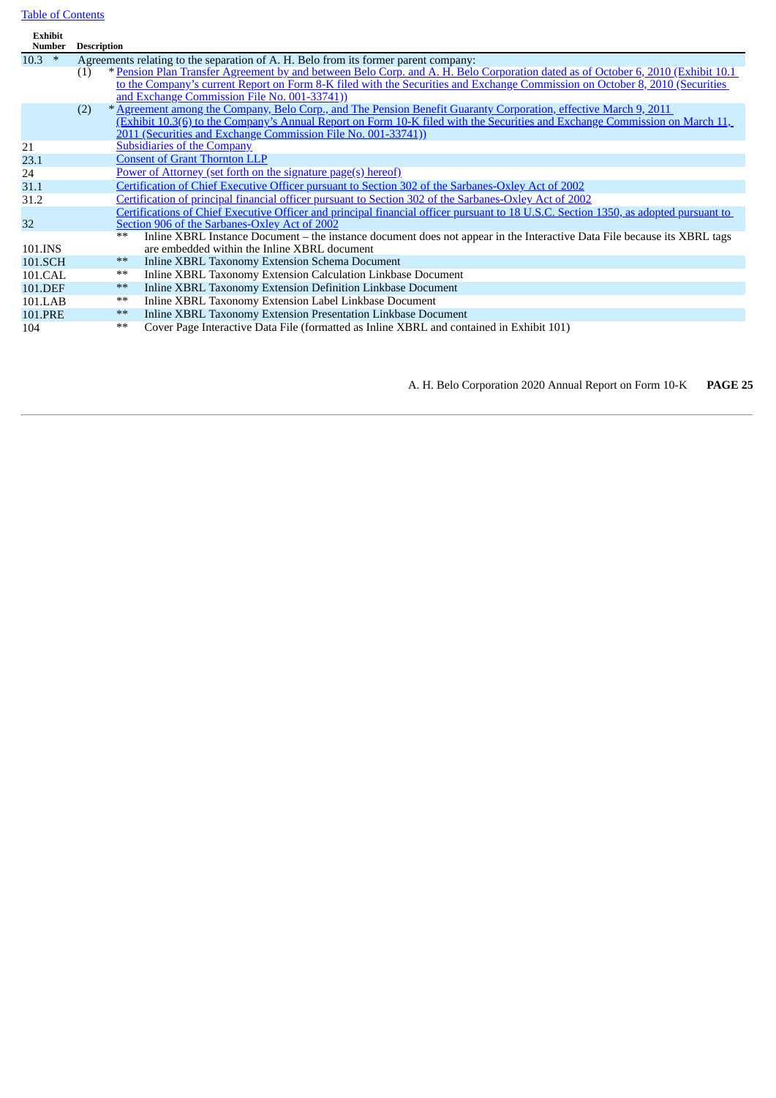# Table of [Contents](#page-1-1)

| <b>Exhibit</b> |                    |                                                                                                                                      |
|----------------|--------------------|--------------------------------------------------------------------------------------------------------------------------------------|
| Number         | <b>Description</b> |                                                                                                                                      |
| $10.3$ *       |                    | Agreements relating to the separation of A. H. Belo from its former parent company:                                                  |
|                | (1)                | * Pension Plan Transfer Agreement by and between Belo Corp. and A. H. Belo Corporation dated as of October 6, 2010 (Exhibit 10.1     |
|                |                    | to the Company's current Report on Form 8-K filed with the Securities and Exchange Commission on October 8, 2010 (Securities         |
|                |                    | and Exchange Commission File No. 001-33741))                                                                                         |
|                | (2)                | * Agreement among the Company, Belo Corp., and The Pension Benefit Guaranty Corporation, effective March 9, 2011                     |
|                |                    | (Exhibit 10.3(6) to the Company's Annual Report on Form 10-K filed with the Securities and Exchange Commission on March 11,          |
|                |                    | 2011 (Securities and Exchange Commission File No. 001-33741))                                                                        |
| 21             |                    | <b>Subsidiaries of the Company</b>                                                                                                   |
| 23.1           |                    | <b>Consent of Grant Thornton LLP</b>                                                                                                 |
| 24             |                    | Power of Attorney (set forth on the signature page(s) hereof)                                                                        |
| 31.1           |                    | Certification of Chief Executive Officer pursuant to Section 302 of the Sarbanes-Oxley Act of 2002                                   |
| 31.2           |                    | Certification of principal financial officer pursuant to Section 302 of the Sarbanes-Oxley Act of 2002                               |
|                |                    | Certifications of Chief Executive Officer and principal financial officer pursuant to 18 U.S.C. Section 1350, as adopted pursuant to |
| 32             |                    | Section 906 of the Sarbanes-Oxley Act of 2002                                                                                        |
|                |                    | Inline XBRL Instance Document - the instance document does not appear in the Interactive Data File because its XBRL tags<br>$***$    |
| 101.INS        |                    | are embedded within the Inline XBRL document                                                                                         |
| 101.SCH        |                    | Inline XBRL Taxonomy Extension Schema Document<br>$***$                                                                              |
| 101.CAL        |                    | Inline XBRL Taxonomy Extension Calculation Linkbase Document<br>$***$                                                                |
| 101.DEF        |                    | Inline XBRL Taxonomy Extension Definition Linkbase Document<br>$***$                                                                 |
| 101.LAB        |                    | Inline XBRL Taxonomy Extension Label Linkbase Document<br>$***$                                                                      |
| 101.PRE        |                    | Inline XBRL Taxonomy Extension Presentation Linkbase Document<br>$***$                                                               |
| 104            |                    | Cover Page Interactive Data File (formatted as Inline XBRL and contained in Exhibit 101)<br>$***$                                    |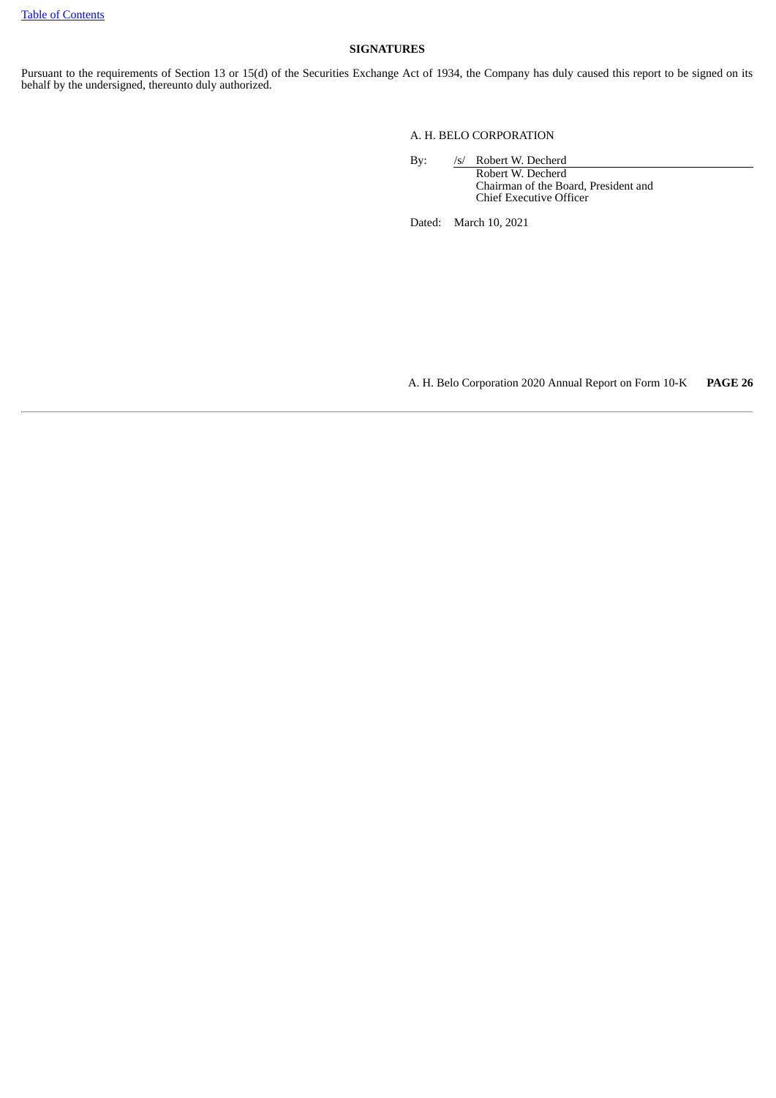## <span id="page-25-0"></span>**SIGNATURES**

Pursuant to the requirements of Section 13 or 15(d) of the Securities Exchange Act of 1934, the Company has duly caused this report to be signed on its behalf by the undersigned, thereunto duly authorized.

A. H. BELO CORPORATION

By: /s/ Robert W. Decherd

Robert W. Decherd Chairman of the Board, President and Chief Executive Officer

Dated: March 10, 2021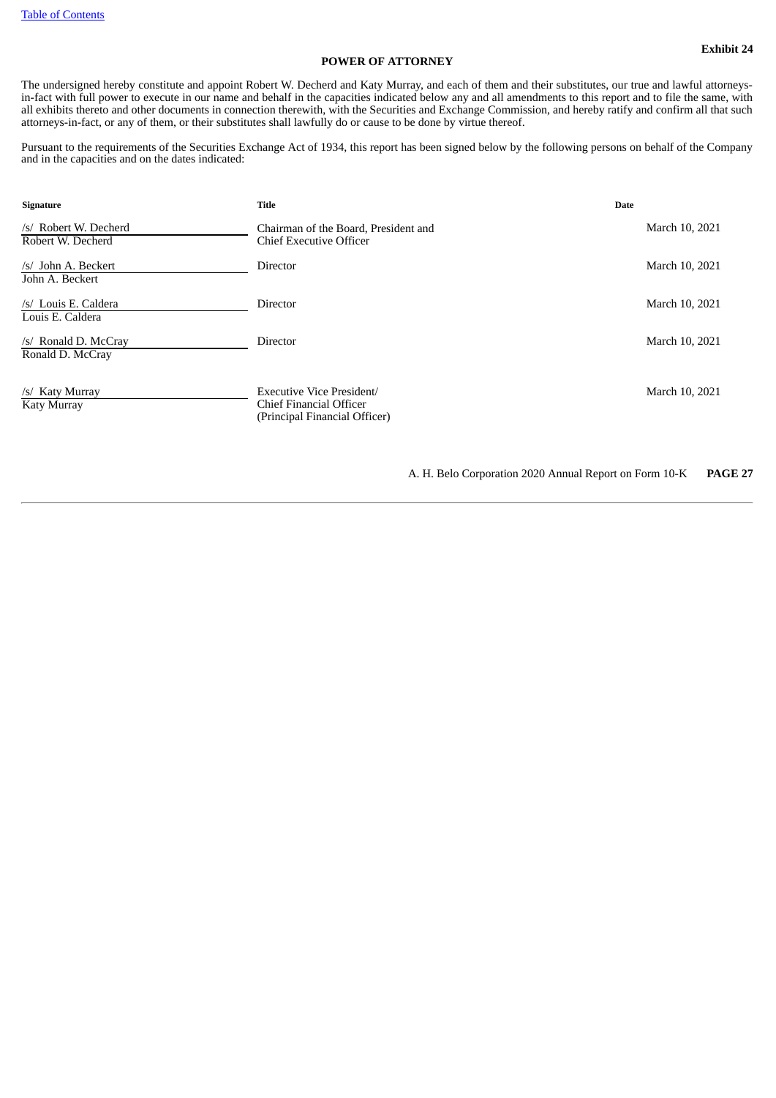## <span id="page-26-1"></span>**POWER OF ATTORNEY**

The undersigned hereby constitute and appoint Robert W. Decherd and Katy Murray, and each of them and their substitutes, our true and lawful attorneysin-fact with full power to execute in our name and behalf in the capacities indicated below any and all amendments to this report and to file the same, with all exhibits thereto and other documents in connection therewith, with the Securities and Exchange Commission, and hereby ratify and confirm all that such attorneys-in-fact, or any of them, or their substitutes shall lawfully do or cause to be done by virtue thereof.

Pursuant to the requirements of the Securities Exchange Act of 1934, this report has been signed below by the following persons on behalf of the Company and in the capacities and on the dates indicated:

<span id="page-26-0"></span>

| <b>Signature</b>                           | Title                                                                                 | Date |                |
|--------------------------------------------|---------------------------------------------------------------------------------------|------|----------------|
| /s/ Robert W. Decherd<br>Robert W. Decherd | Chairman of the Board, President and<br>Chief Executive Officer                       |      | March 10, 2021 |
| /s/ John A. Beckert<br>John A. Beckert     | Director                                                                              |      | March 10, 2021 |
| /s/ Louis E. Caldera<br>Louis E. Caldera   | Director                                                                              |      | March 10, 2021 |
| /s/ Ronald D. McCray<br>Ronald D. McCray   | Director                                                                              |      | March 10, 2021 |
| /s/ Katy Murray<br>Katy Murray             | Executive Vice President/<br>Chief Financial Officer<br>(Principal Financial Officer) |      | March 10, 2021 |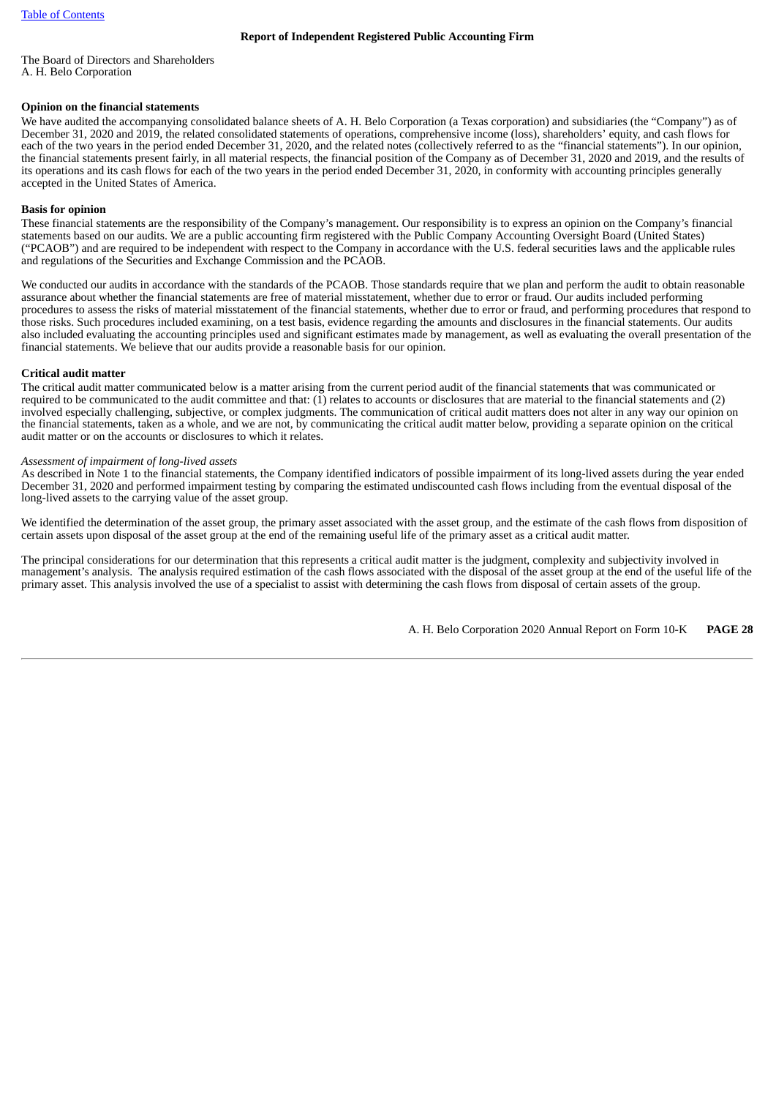The Board of Directors and Shareholders A. H. Belo Corporation

## **Opinion on the financial statements**

We have audited the accompanying consolidated balance sheets of A. H. Belo Corporation (a Texas corporation) and subsidiaries (the "Company") as of December 31, 2020 and 2019, the related consolidated statements of operations, comprehensive income (loss), shareholders' equity, and cash flows for each of the two years in the period ended December 31, 2020, and the related notes (collectively referred to as the "financial statements"). In our opinion, the financial statements present fairly, in all material respects, the financial position of the Company as of December 31, 2020 and 2019, and the results of its operations and its cash flows for each of the two years in the period ended December 31, 2020, in conformity with accounting principles generally accepted in the United States of America.

## **Basis for opinion**

These financial statements are the responsibility of the Company's management. Our responsibility is to express an opinion on the Company's financial statements based on our audits. We are a public accounting firm registered with the Public Company Accounting Oversight Board (United States) ("PCAOB") and are required to be independent with respect to the Company in accordance with the U.S. federal securities laws and the applicable rules and regulations of the Securities and Exchange Commission and the PCAOB.

We conducted our audits in accordance with the standards of the PCAOB. Those standards require that we plan and perform the audit to obtain reasonable Assurance about whether the financial statements are free of material misstatement, whether due to error or fraud. Our audits included performing procedures to assess the risks of material misstatement of the financial statements, whether due to error or fraud, and performing procedures that respond to those risks. Such procedures included examining, on a test basis, evidence regarding the amounts and disclosures in the financial statements. Our audits also included evaluating the accounting principles used and significant estimates made by management, as well as evaluating the overall presentation of the financial statements. We believe that our audits provide a reasonable basis for our opinion.

## **Critical audit matter**

The critical audit matter communicated below is a matter arising from the current period audit of the financial statements that was communicated or required to be communicated to the audit committee and that: (1) relates to accounts or disclosures that are material to the financial statements and (2) involved especially challenging, subjective, or complex judgments. The communication of critical audit matters does not alter in any way our opinion on the financial statements, taken as a whole, and we are not, by communicating the critical audit matter below, providing a separate opinion on the critical audit matter or on the accounts or disclosures to which it relates.

## *Assessment of impairment of long-lived assets*

As described in Note 1 to the financial statements, the Company identified indicators of possible impairment of its long-lived assets during the year ended December 31, 2020 and performed impairment testing by comparing the estimated undiscounted cash flows including from the eventual disposal of the long-lived assets to the carrying value of the asset group.

We identified the determination of the asset group, the primary asset associated with the asset group, and the estimate of the cash flows from disposition of certain assets upon disposal of the asset group at the end of the remaining useful life of the primary asset as a critical audit matter.

The principal considerations for our determination that this represents a critical audit matter is the judgment, complexity and subjectivity involved in management's analysis. The analysis required estimation of the cash flows associated with the disposal of the asset group at the end of the useful life of the primary asset. This analysis involved the use of a specialist to assist with determining the cash flows from disposal of certain assets of the group.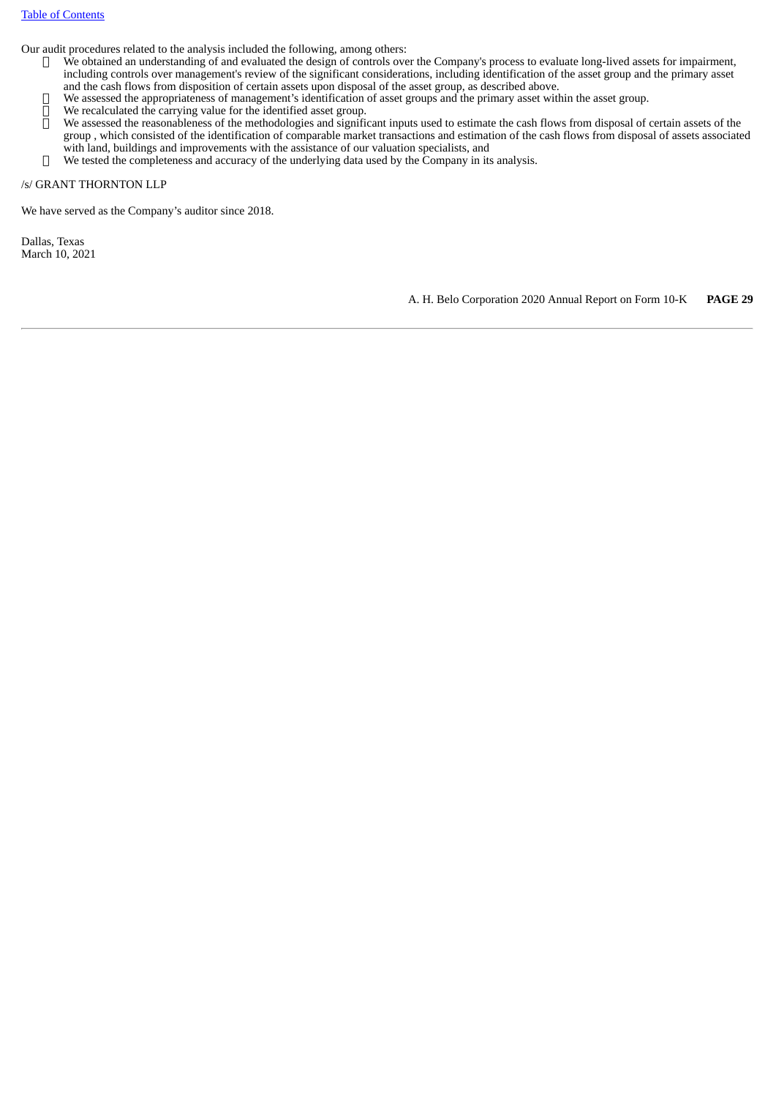#### Table of [Contents](#page-1-1)

Our audit procedures related to the analysis included the following, among others:

- □ We obtained an understanding of and evaluated the design of controls over the Company's process to evaluate long-lived assets for impairment, including controls over management's review of the significant considerations, including identification of the asset group and the primary asset and the cash flows from disposition of certain assets upon disposal of the asset group, as described above.
- $\Box$  We assessed the appropriateness of management's identification of asset groups and the primary asset within the asset group.<br>  $\Box$  We recalculated the carrying value for the identified asset group.
- □<br>
We recalculated the carrying value for the identified asset group.<br>
□<br>
We assessed the reasonableness of the methodologies and signifi
- We assessed the reasonableness of the methodologies and significant inputs used to estimate the cash flows from disposal of certain assets of the group , which consisted of the identification of comparable market transactions and estimation of the cash flows from disposal of assets associated with land, buildings and improvements with the assistance of our valuation specialists, and
- $\Box$  We tested the completeness and accuracy of the underlying data used by the Company in its analysis.

## /s/ GRANT THORNTON LLP

We have served as the Company's auditor since 2018.

Dallas, Texas March 10, 2021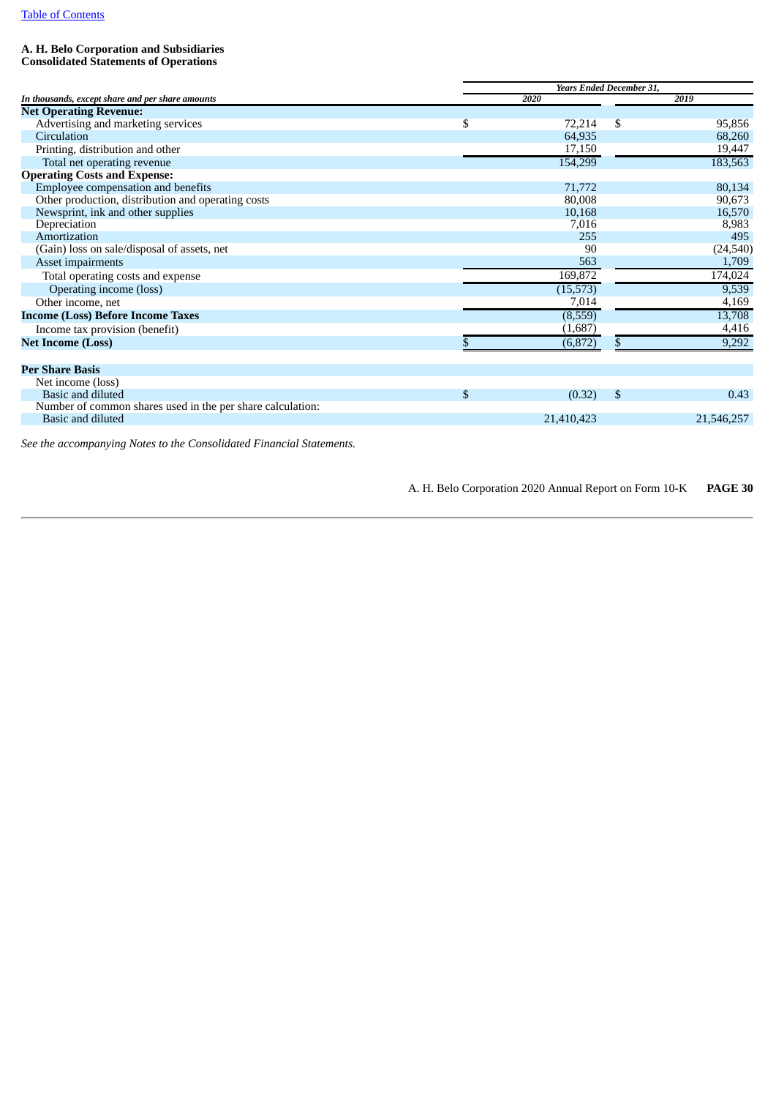<span id="page-29-0"></span>**Consolidated Statements of Operations**

|                                                            |              | <b>Years Ended December 31.</b> |    |            |
|------------------------------------------------------------|--------------|---------------------------------|----|------------|
| In thousands, except share and per share amounts           |              | 2020                            |    | 2019       |
| <b>Net Operating Revenue:</b>                              |              |                                 |    |            |
| Advertising and marketing services                         | \$           | 72,214                          | S  | 95,856     |
| Circulation                                                |              | 64,935                          |    | 68,260     |
| Printing, distribution and other                           |              | 17,150                          |    | 19,447     |
| Total net operating revenue                                |              | 154,299                         |    | 183,563    |
| <b>Operating Costs and Expense:</b>                        |              |                                 |    |            |
| Employee compensation and benefits                         |              | 71,772                          |    | 80,134     |
| Other production, distribution and operating costs         |              | 80,008                          |    | 90,673     |
| Newsprint, ink and other supplies                          |              | 10,168                          |    | 16,570     |
| Depreciation                                               |              | 7,016                           |    | 8,983      |
| Amortization                                               |              | 255                             |    | 495        |
| (Gain) loss on sale/disposal of assets, net                |              | 90                              |    | (24, 540)  |
| Asset impairments                                          |              | 563                             |    | 1,709      |
| Total operating costs and expense                          |              | 169,872                         |    | 174,024    |
| Operating income (loss)                                    |              | (15, 573)                       |    | 9,539      |
| Other income, net                                          |              | 7,014                           |    | 4,169      |
| <b>Income (Loss) Before Income Taxes</b>                   |              | (8,559)                         |    | 13,708     |
| Income tax provision (benefit)                             |              | (1,687)                         |    | 4,416      |
| <b>Net Income (Loss)</b>                                   |              | (6, 872)                        |    | 9,292      |
| <b>Per Share Basis</b>                                     |              |                                 |    |            |
| Net income (loss)                                          |              |                                 |    |            |
| Basic and diluted                                          | $\mathbb{S}$ | (0.32)                          | \$ | 0.43       |
| Number of common shares used in the per share calculation: |              |                                 |    |            |
| <b>Basic and diluted</b>                                   |              | 21,410,423                      |    | 21,546,257 |

*See the accompanying Notes to the Consolidated Financial Statements.*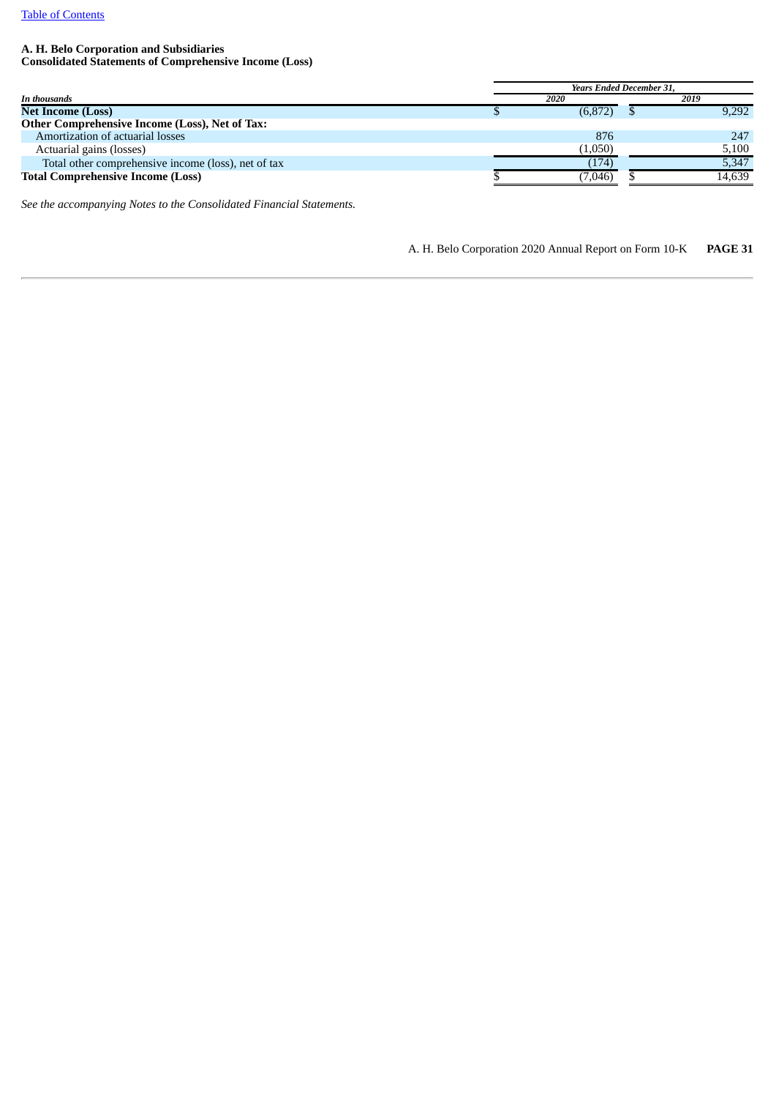<span id="page-30-0"></span>**Consolidated Statements of Comprehensive Income (Loss)**

|                                                     |      | <b>Years Ended December 31.</b> |  |        |  |  |
|-----------------------------------------------------|------|---------------------------------|--|--------|--|--|
| In thousands                                        | 2020 |                                 |  | 2019   |  |  |
| <b>Net Income (Loss)</b>                            |      | (6, 872)                        |  | 9,292  |  |  |
| Other Comprehensive Income (Loss), Net of Tax:      |      |                                 |  |        |  |  |
| Amortization of actuarial losses                    |      | 876                             |  | 247    |  |  |
| Actuarial gains (losses)                            |      | (1,050)                         |  | 5,100  |  |  |
| Total other comprehensive income (loss), net of tax |      | (174)                           |  | 5,347  |  |  |
| <b>Total Comprehensive Income (Loss)</b>            |      | (7.046)                         |  | 14.639 |  |  |
|                                                     |      |                                 |  |        |  |  |

*See the accompanying Notes to the Consolidated Financial Statements.*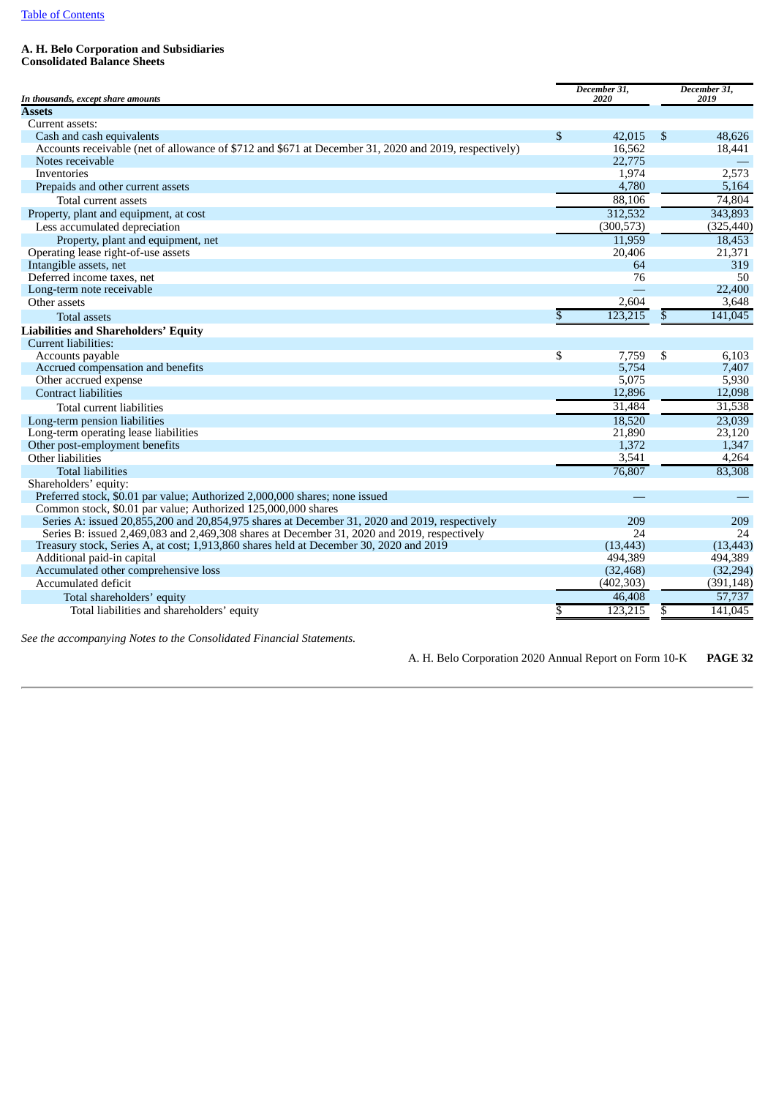<span id="page-31-0"></span>**Consolidated Balance Sheets**

| In thousands, except share amounts                                                                    | December 31,<br>2020 |                 | December 31,<br>2019 |
|-------------------------------------------------------------------------------------------------------|----------------------|-----------------|----------------------|
| <b>Assets</b>                                                                                         |                      |                 |                      |
| Current assets:                                                                                       |                      |                 |                      |
| Cash and cash equivalents                                                                             | \$<br>42,015         | \$              | 48,626               |
| Accounts receivable (net of allowance of \$712 and \$671 at December 31, 2020 and 2019, respectively) | 16,562               |                 | 18,441               |
| Notes receivable                                                                                      | 22,775               |                 |                      |
| Inventories                                                                                           | 1,974                |                 | 2,573                |
| Prepaids and other current assets                                                                     | 4,780                |                 | 5,164                |
| Total current assets                                                                                  | 88,106               |                 | 74,804               |
| Property, plant and equipment, at cost                                                                | 312,532              |                 | 343,893              |
| Less accumulated depreciation                                                                         | (300, 573)           |                 | (325, 440)           |
| Property, plant and equipment, net                                                                    | 11,959               |                 | 18,453               |
| Operating lease right-of-use assets                                                                   | 20,406               |                 | 21,371               |
| Intangible assets, net                                                                                | 64                   |                 | 319                  |
| Deferred income taxes, net                                                                            | 76                   |                 | 50                   |
| Long-term note receivable                                                                             |                      |                 | 22,400               |
| Other assets                                                                                          | 2,604                |                 | 3,648                |
| <b>Total assets</b>                                                                                   | \$<br>123,215        | $\overline{\$}$ | 141,045              |
| <b>Liabilities and Shareholders' Equity</b>                                                           |                      |                 |                      |
| Current liabilities:                                                                                  |                      |                 |                      |
| Accounts payable                                                                                      | \$<br>7,759          | \$              | 6,103                |
| Accrued compensation and benefits                                                                     | 5,754                |                 | 7,407                |
| Other accrued expense                                                                                 | 5,075                |                 | 5,930                |
| <b>Contract liabilities</b>                                                                           | 12,896               |                 | 12,098               |
| Total current liabilities                                                                             | 31,484               |                 | 31,538               |
| Long-term pension liabilities                                                                         | 18.520               |                 | 23,039               |
| Long-term operating lease liabilities                                                                 | 21,890               |                 | 23,120               |
| Other post-employment benefits                                                                        | 1,372                |                 | 1,347                |
| Other liabilities                                                                                     | 3,541                |                 | 4,264                |
| <b>Total liabilities</b>                                                                              | 76,807               |                 | 83,308               |
| Shareholders' equity:                                                                                 |                      |                 |                      |
| Preferred stock, \$0.01 par value; Authorized 2,000,000 shares; none issued                           |                      |                 |                      |
| Common stock, \$0.01 par value; Authorized 125,000,000 shares                                         |                      |                 |                      |
| Series A: issued 20,855,200 and 20,854,975 shares at December 31, 2020 and 2019, respectively         | 209                  |                 | 209                  |
| Series B: issued 2,469,083 and 2,469,308 shares at December 31, 2020 and 2019, respectively           | 24                   |                 | 24                   |
| Treasury stock, Series A, at cost; 1,913,860 shares held at December 30, 2020 and 2019                | (13, 443)            |                 | (13, 443)            |
| Additional paid-in capital                                                                            | 494,389              |                 | 494.389              |
| Accumulated other comprehensive loss                                                                  | (32, 468)            |                 | (32, 294)            |
| Accumulated deficit                                                                                   | (402, 303)           |                 | (391, 148)           |
| Total shareholders' equity                                                                            | 46,408               |                 | 57,737               |
| Total liabilities and shareholders' equity                                                            | \$<br>123,215        | \$              | 141,045              |

*See the accompanying Notes to the Consolidated Financial Statements.*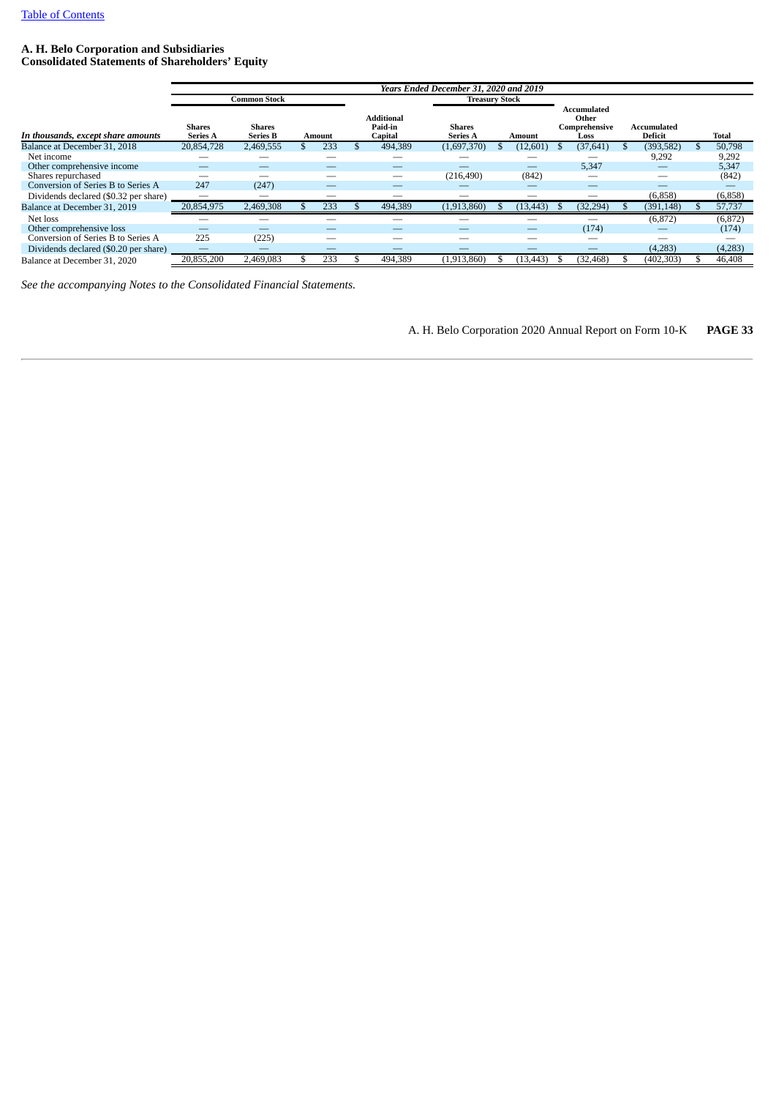## <span id="page-32-0"></span>**A. H. Belo Corporation and Subsidiaries Consolidated Statements of Shareholders' Equity**

|                                       | Years Ended December 31, 2020 and 2019 |                           |  |        |  |                                         |                           |  |           |  |                                               |                        |          |
|---------------------------------------|----------------------------------------|---------------------------|--|--------|--|-----------------------------------------|---------------------------|--|-----------|--|-----------------------------------------------|------------------------|----------|
|                                       |                                        | <b>Common Stock</b>       |  |        |  |                                         | <b>Treasury Stock</b>     |  |           |  |                                               |                        |          |
| In thousands, except share amounts    | <b>Shares</b><br><b>Series A</b>       | Shares<br><b>Series B</b> |  | Amount |  | <b>Additional</b><br>Paid-in<br>Capital | Shares<br><b>Series A</b> |  | Amount    |  | Accumulated<br>Other<br>Comprehensive<br>Loss | Accumulated<br>Deficit | Total    |
| Balance at December 31, 2018          | 20,854,728                             | 2,469,555                 |  | 233    |  | 494,389                                 | (1,697,370)               |  | (12, 601) |  | (37, 641)                                     | (393, 582)             | 50,798   |
| Net income                            |                                        |                           |  |        |  |                                         |                           |  |           |  |                                               | 9,292                  | 9,292    |
| Other comprehensive income            |                                        |                           |  |        |  |                                         |                           |  | __        |  | 5,347                                         |                        | 5,347    |
| Shares repurchased                    |                                        |                           |  |        |  | —                                       | (216, 490)                |  | (842)     |  |                                               | __                     | (842)    |
| Conversion of Series B to Series A    | 247                                    | (247)                     |  | _      |  |                                         |                           |  |           |  | --                                            |                        |          |
| Dividends declared (\$0.32 per share) |                                        |                           |  |        |  | –                                       | –                         |  |           |  | –                                             | (6,858)                | (6, 858) |
| Balance at December 31, 2019          | 20,854,975                             | 2,469,308                 |  | 233    |  | 494,389                                 | (1,913,860)               |  | (13, 443) |  | (32, 294)                                     | (391,148)              | 57,737   |
| Net loss                              |                                        |                           |  |        |  |                                         |                           |  |           |  |                                               | (6, 872)               | (6, 872) |
| Other comprehensive loss              |                                        |                           |  |        |  |                                         |                           |  |           |  | (174)                                         |                        | (174)    |
| Conversion of Series B to Series A    | 225                                    | (225)                     |  |        |  |                                         |                           |  |           |  |                                               |                        |          |
| Dividends declared (\$0.20 per share) |                                        |                           |  |        |  |                                         |                           |  |           |  |                                               | (4,283)                | (4,283)  |
| Balance at December 31, 2020          | 20,855,200                             | 2,469,083                 |  | 233    |  | 494,389                                 | (1,913,860)               |  | (13, 443) |  | (32, 468)                                     | (402, 303)             | 46,408   |

*See the accompanying Notes to the Consolidated Financial Statements.*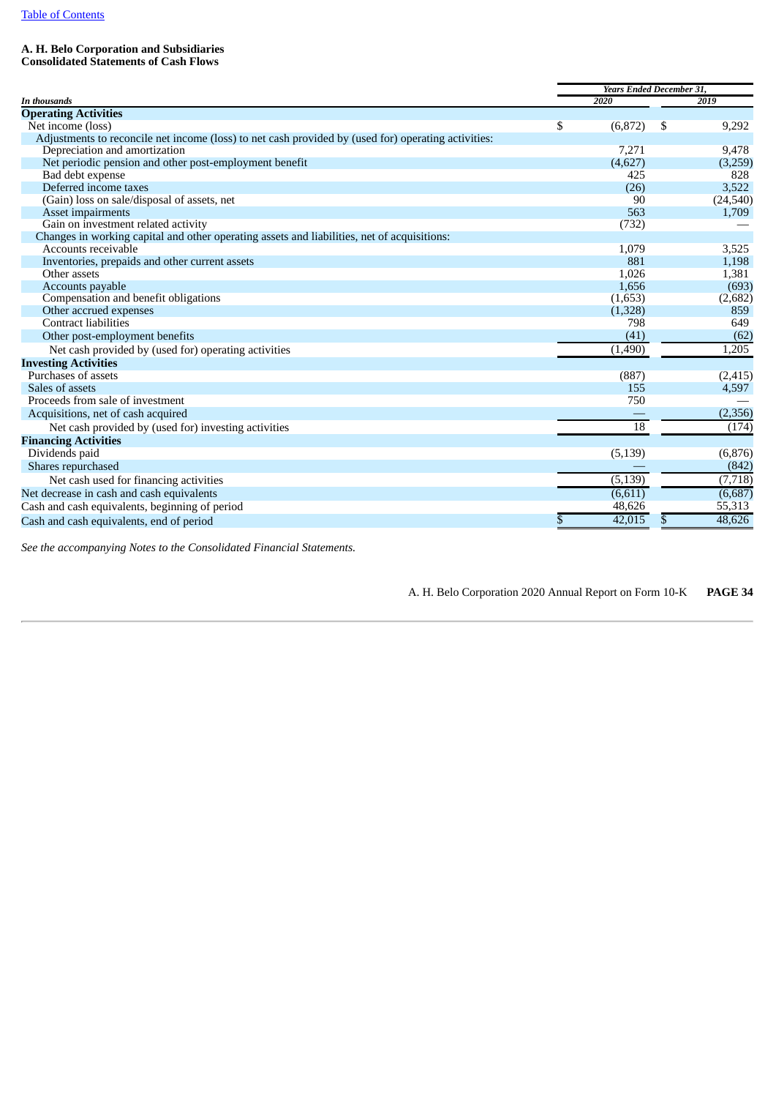<span id="page-33-0"></span>**Consolidated Statements of Cash Flows**

| 2020<br>2019<br>In thousands<br><b>Operating Activities</b><br>\$<br>Net income (loss)<br>(6, 872)<br>\$<br>9,292<br>Adjustments to reconcile net income (loss) to net cash provided by (used for) operating activities:<br>Depreciation and amortization<br>9,478<br>7,271<br>Net periodic pension and other post-employment benefit<br>(4,627)<br>Bad debt expense<br>425<br>828<br>3,522<br>Deferred income taxes<br>(26)<br>(Gain) loss on sale/disposal of assets, net<br>90<br>(24, 540)<br>563<br>Asset impairments<br>1,709<br>Gain on investment related activity<br>(732)<br>Changes in working capital and other operating assets and liabilities, net of acquisitions:<br>Accounts receivable<br>1,079<br>3,525<br>881<br>Inventories, prepaids and other current assets<br>1,198<br>Other assets<br>1,026<br>1,381<br>Accounts payable<br>1,656<br>(693)<br>Compensation and benefit obligations<br>(1,653)<br>(2,682)<br>Other accrued expenses<br>(1,328)<br>859<br><b>Contract liabilities</b><br>798<br>649<br>(41)<br>(62)<br>Other post-employment benefits<br>1.205<br>(1,490)<br>Net cash provided by (used for) operating activities |                             |  | <b>Years Ended December 31,</b> |  |  |
|------------------------------------------------------------------------------------------------------------------------------------------------------------------------------------------------------------------------------------------------------------------------------------------------------------------------------------------------------------------------------------------------------------------------------------------------------------------------------------------------------------------------------------------------------------------------------------------------------------------------------------------------------------------------------------------------------------------------------------------------------------------------------------------------------------------------------------------------------------------------------------------------------------------------------------------------------------------------------------------------------------------------------------------------------------------------------------------------------------------------------------------------------------|-----------------------------|--|---------------------------------|--|--|
| (3,259)                                                                                                                                                                                                                                                                                                                                                                                                                                                                                                                                                                                                                                                                                                                                                                                                                                                                                                                                                                                                                                                                                                                                                    |                             |  |                                 |  |  |
|                                                                                                                                                                                                                                                                                                                                                                                                                                                                                                                                                                                                                                                                                                                                                                                                                                                                                                                                                                                                                                                                                                                                                            |                             |  |                                 |  |  |
|                                                                                                                                                                                                                                                                                                                                                                                                                                                                                                                                                                                                                                                                                                                                                                                                                                                                                                                                                                                                                                                                                                                                                            |                             |  |                                 |  |  |
|                                                                                                                                                                                                                                                                                                                                                                                                                                                                                                                                                                                                                                                                                                                                                                                                                                                                                                                                                                                                                                                                                                                                                            |                             |  |                                 |  |  |
|                                                                                                                                                                                                                                                                                                                                                                                                                                                                                                                                                                                                                                                                                                                                                                                                                                                                                                                                                                                                                                                                                                                                                            |                             |  |                                 |  |  |
|                                                                                                                                                                                                                                                                                                                                                                                                                                                                                                                                                                                                                                                                                                                                                                                                                                                                                                                                                                                                                                                                                                                                                            |                             |  |                                 |  |  |
|                                                                                                                                                                                                                                                                                                                                                                                                                                                                                                                                                                                                                                                                                                                                                                                                                                                                                                                                                                                                                                                                                                                                                            |                             |  |                                 |  |  |
|                                                                                                                                                                                                                                                                                                                                                                                                                                                                                                                                                                                                                                                                                                                                                                                                                                                                                                                                                                                                                                                                                                                                                            |                             |  |                                 |  |  |
|                                                                                                                                                                                                                                                                                                                                                                                                                                                                                                                                                                                                                                                                                                                                                                                                                                                                                                                                                                                                                                                                                                                                                            |                             |  |                                 |  |  |
|                                                                                                                                                                                                                                                                                                                                                                                                                                                                                                                                                                                                                                                                                                                                                                                                                                                                                                                                                                                                                                                                                                                                                            |                             |  |                                 |  |  |
|                                                                                                                                                                                                                                                                                                                                                                                                                                                                                                                                                                                                                                                                                                                                                                                                                                                                                                                                                                                                                                                                                                                                                            |                             |  |                                 |  |  |
|                                                                                                                                                                                                                                                                                                                                                                                                                                                                                                                                                                                                                                                                                                                                                                                                                                                                                                                                                                                                                                                                                                                                                            |                             |  |                                 |  |  |
|                                                                                                                                                                                                                                                                                                                                                                                                                                                                                                                                                                                                                                                                                                                                                                                                                                                                                                                                                                                                                                                                                                                                                            |                             |  |                                 |  |  |
|                                                                                                                                                                                                                                                                                                                                                                                                                                                                                                                                                                                                                                                                                                                                                                                                                                                                                                                                                                                                                                                                                                                                                            |                             |  |                                 |  |  |
|                                                                                                                                                                                                                                                                                                                                                                                                                                                                                                                                                                                                                                                                                                                                                                                                                                                                                                                                                                                                                                                                                                                                                            |                             |  |                                 |  |  |
|                                                                                                                                                                                                                                                                                                                                                                                                                                                                                                                                                                                                                                                                                                                                                                                                                                                                                                                                                                                                                                                                                                                                                            |                             |  |                                 |  |  |
|                                                                                                                                                                                                                                                                                                                                                                                                                                                                                                                                                                                                                                                                                                                                                                                                                                                                                                                                                                                                                                                                                                                                                            |                             |  |                                 |  |  |
|                                                                                                                                                                                                                                                                                                                                                                                                                                                                                                                                                                                                                                                                                                                                                                                                                                                                                                                                                                                                                                                                                                                                                            |                             |  |                                 |  |  |
|                                                                                                                                                                                                                                                                                                                                                                                                                                                                                                                                                                                                                                                                                                                                                                                                                                                                                                                                                                                                                                                                                                                                                            |                             |  |                                 |  |  |
|                                                                                                                                                                                                                                                                                                                                                                                                                                                                                                                                                                                                                                                                                                                                                                                                                                                                                                                                                                                                                                                                                                                                                            |                             |  |                                 |  |  |
|                                                                                                                                                                                                                                                                                                                                                                                                                                                                                                                                                                                                                                                                                                                                                                                                                                                                                                                                                                                                                                                                                                                                                            |                             |  |                                 |  |  |
|                                                                                                                                                                                                                                                                                                                                                                                                                                                                                                                                                                                                                                                                                                                                                                                                                                                                                                                                                                                                                                                                                                                                                            | <b>Investing Activities</b> |  |                                 |  |  |
| Purchases of assets<br>(887)<br>(2, 415)                                                                                                                                                                                                                                                                                                                                                                                                                                                                                                                                                                                                                                                                                                                                                                                                                                                                                                                                                                                                                                                                                                                   |                             |  |                                 |  |  |
| Sales of assets<br>155<br>4,597                                                                                                                                                                                                                                                                                                                                                                                                                                                                                                                                                                                                                                                                                                                                                                                                                                                                                                                                                                                                                                                                                                                            |                             |  |                                 |  |  |
| Proceeds from sale of investment<br>750                                                                                                                                                                                                                                                                                                                                                                                                                                                                                                                                                                                                                                                                                                                                                                                                                                                                                                                                                                                                                                                                                                                    |                             |  |                                 |  |  |
| (2, 356)<br>Acquisitions, net of cash acquired                                                                                                                                                                                                                                                                                                                                                                                                                                                                                                                                                                                                                                                                                                                                                                                                                                                                                                                                                                                                                                                                                                             |                             |  |                                 |  |  |
| 18<br>(174)<br>Net cash provided by (used for) investing activities                                                                                                                                                                                                                                                                                                                                                                                                                                                                                                                                                                                                                                                                                                                                                                                                                                                                                                                                                                                                                                                                                        |                             |  |                                 |  |  |
| <b>Financing Activities</b>                                                                                                                                                                                                                                                                                                                                                                                                                                                                                                                                                                                                                                                                                                                                                                                                                                                                                                                                                                                                                                                                                                                                |                             |  |                                 |  |  |
| Dividends paid<br>(5, 139)<br>(6, 876)                                                                                                                                                                                                                                                                                                                                                                                                                                                                                                                                                                                                                                                                                                                                                                                                                                                                                                                                                                                                                                                                                                                     |                             |  |                                 |  |  |
| Shares repurchased<br>(842)                                                                                                                                                                                                                                                                                                                                                                                                                                                                                                                                                                                                                                                                                                                                                                                                                                                                                                                                                                                                                                                                                                                                |                             |  |                                 |  |  |
| (5, 139)<br>(7, 718)<br>Net cash used for financing activities                                                                                                                                                                                                                                                                                                                                                                                                                                                                                                                                                                                                                                                                                                                                                                                                                                                                                                                                                                                                                                                                                             |                             |  |                                 |  |  |
| Net decrease in cash and cash equivalents<br>(6,611)<br>(6,687)                                                                                                                                                                                                                                                                                                                                                                                                                                                                                                                                                                                                                                                                                                                                                                                                                                                                                                                                                                                                                                                                                            |                             |  |                                 |  |  |
| 48,626<br>55,313<br>Cash and cash equivalents, beginning of period                                                                                                                                                                                                                                                                                                                                                                                                                                                                                                                                                                                                                                                                                                                                                                                                                                                                                                                                                                                                                                                                                         |                             |  |                                 |  |  |
| 42.015<br>\$<br>48,626<br>\$<br>Cash and cash equivalents, end of period                                                                                                                                                                                                                                                                                                                                                                                                                                                                                                                                                                                                                                                                                                                                                                                                                                                                                                                                                                                                                                                                                   |                             |  |                                 |  |  |

*See the accompanying Notes to the Consolidated Financial Statements.*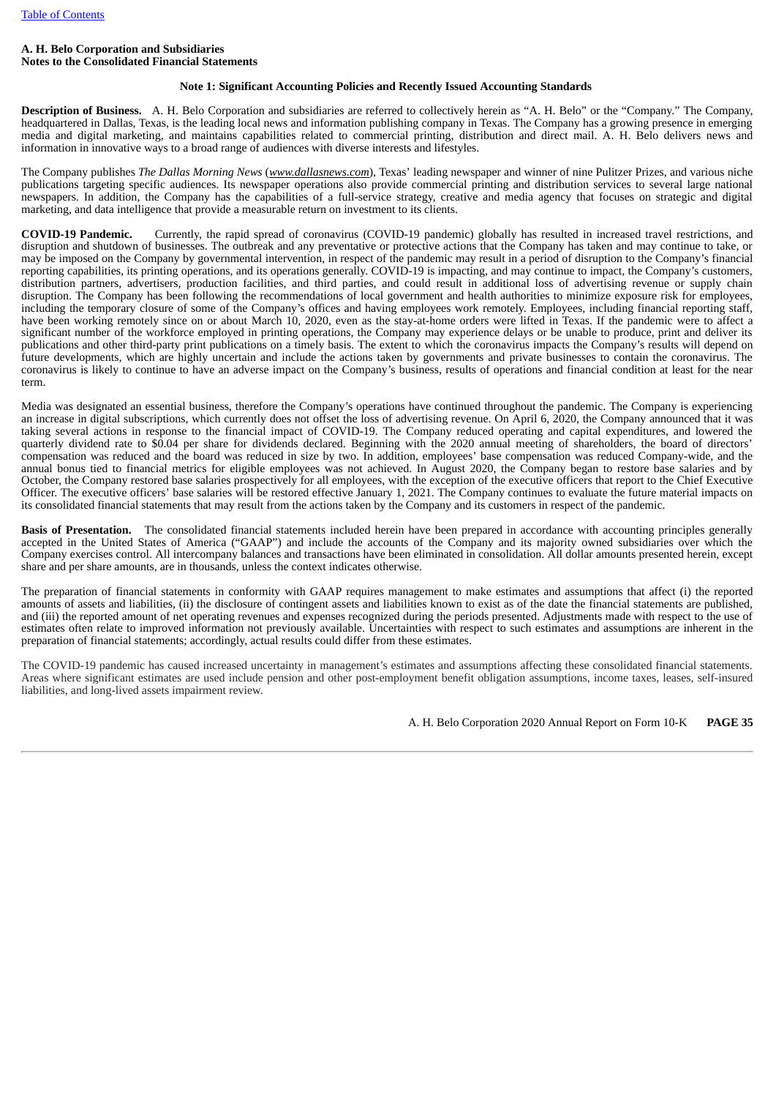## <span id="page-34-1"></span><span id="page-34-0"></span>**A. H. Belo Corporation and Subsidiaries Notes to the Consolidated Financial Statements**

# **Note 1: Significant Accounting Policies and Recently Issued Accounting Standards**

**Description of Business.** A. H. Belo Corporation and subsidiaries are referred to collectively herein as "A. H. Belo" or the "Company." The Company, headquartered in Dallas, Texas, is the leading local news and information publishing company in Texas. The Company has a growing presence in emerging media and digital marketing, and maintains capabilities related to commercial printing, distribution and direct mail. A. H. Belo delivers news and information in innovative ways to a broad range of audiences with diverse interests and lifestyles.

The Company publishes *The Dallas Morning News* (*www.dallasnews.com*), Texas' leading newspaper and winner of nine Pulitzer Prizes, and various niche publications targeting specific audiences. Its newspaper operations also provide commercial printing and distribution services to several large national newspapers. In addition, the Company has the capabilities of a full-service strategy, creative and media agency that focuses on strategic and digital marketing, and data intelligence that provide a measurable return on investment to its clients.

**COVID-19 Pandemic.** Currently, the rapid spread of coronavirus (COVID-19 pandemic) globally has resulted in increased travel restrictions, and disruption and shutdown of businesses. The outbreak and any preventative or protective actions that the Company has taken and may continue to take, or may be imposed on the Company by governmental intervention, in respect of the pandemic may result in a period of disruption to the Company's financial reporting capabilities, its printing operations, and its operations generally. COVID-19 is impacting, and may continue to impact, the Company's customers, distribution partners, advertisers, production facilities, and third parties, and could result in additional loss of advertising revenue or supply chain disruption. The Company has been following the recommendations of local government and health authorities to minimize exposure risk for employees, including the temporary closure of some of the Company's offices and having employees work remotely. Employees, including financial reporting staff, have been working remotely since on or about March 10, 2020, even as the stay-at-home orders were lifted in Texas. If the pandemic were to affect a significant number of the workforce employed in printing operations, the Company may experience delays or be unable to produce, print and deliver its publications and other third-party print publications on a timely basis. The extent to which the coronavirus impacts the Company's results will depend on future developments, which are highly uncertain and include the actions taken by governments and private businesses to contain the coronavirus. The coronavirus is likely to continue to have an adverse impact on the Company's business, results of operations and financial condition at least for the near term.

Media was designated an essential business, therefore the Company's operations have continued throughout the pandemic. The Company is experiencing an increase in digital subscriptions, which currently does not offset the loss of advertising revenue. On April 6, 2020, the Company announced that it was taking several actions in response to the financial impact of COVID-19. The Company reduced operating and capital expenditures, and lowered the quarterly dividend rate to \$0.04 per share for dividends declared. Beginning with the 2020 annual meeting of shareholders, the board of directors' compensation was reduced and the board was reduced in size by two. In addition, employees' base compensation was reduced Company-wide, and the annual bonus tied to financial metrics for eligible employees was not achieved. In August 2020, the Company began to restore base salaries and by October, the Company restored base salaries prospectively for all employees, with the exception of the executive officers that report to the Chief Executive Officer. The executive officers' base salaries will be restored effective January 1, 2021. The Company continues to evaluate the future material impacts on its consolidated financial statements that may result from the actions taken by the Company and its customers in respect of the pandemic.

**Basis of Presentation.** The consolidated financial statements included herein have been prepared in accordance with accounting principles generally accepted in the United States of America ("GAAP") and include the accounts of the Company and its majority owned subsidiaries over which the Company exercises control. All intercompany balances and transactions have been eliminated in consolidation. All dollar amounts presented herein, except share and per share amounts, are in thousands, unless the context indicates otherwise.

The preparation of financial statements in conformity with GAAP requires management to make estimates and assumptions that affect (i) the reported amounts of assets and liabilities, (ii) the disclosure of contingent assets and liabilities known to exist as of the date the financial statements are published, and (iii) the reported amount of net operating revenues and expenses recognized during the periods presented. Adjustments made with respect to the use of estimates often relate to improved information not previously available. Uncertainties with respect to such estimates and assumptions are inherent in the preparation of financial statements; accordingly, actual results could differ from these estimates.

The COVID-19 pandemic has caused increased uncertainty in management's estimates and assumptions affecting these consolidated financial statements. Areas where significant estimates are used include pension and other post-employment benefit obligation assumptions, income taxes, leases, self-insured liabilities, and long-lived assets impairment review.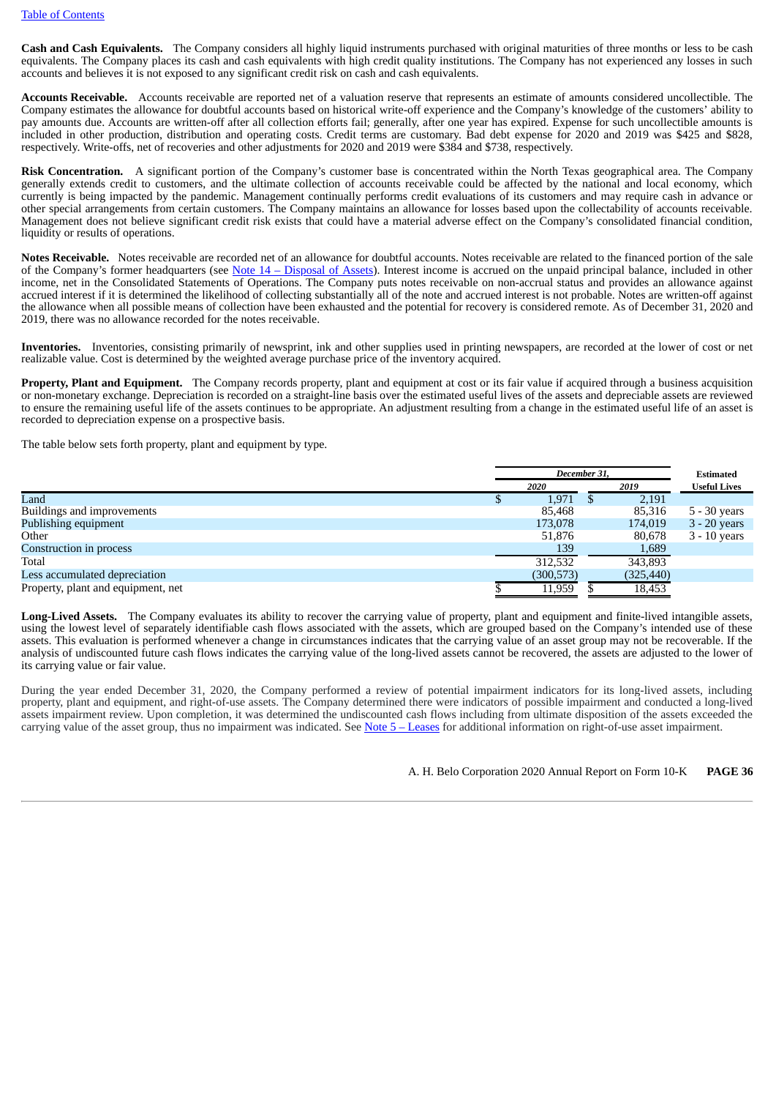**Cash and Cash Equivalents.** The Company considers all highly liquid instruments purchased with original maturities of three months or less to be cash equivalents. The Company places its cash and cash equivalents with high credit quality institutions. The Company has not experienced any losses in such accounts and believes it is not exposed to any significant credit risk on cash and cash equivalents.

**Accounts Receivable.** Accounts receivable are reported net of a valuation reserve that represents an estimate of amounts considered uncollectible. The Company estimates the allowance for doubtful accounts based on historical write-off experience and the Company's knowledge of the customers' ability to pay amounts due. Accounts are written-off after all collection efforts fail; generally, after one year has expired. Expense for such uncollectible amounts is included in other production, distribution and operating costs. Credit terms are customary. Bad debt expense for 2020 and 2019 was \$425 and \$828, respectively. Write-offs, net of recoveries and other adjustments for 2020 and 2019 were \$384 and \$738, respectively.

**Risk Concentration.** A significant portion of the Company's customer base is concentrated within the North Texas geographical area. The Company generally extends credit to customers, and the ultimate collection of accounts receivable could be affected by the national and local economy, which currently is being impacted by the pandemic. Management continually performs credit evaluations of its customers and may require cash in advance or other special arrangements from certain customers. The Company maintains an allowance for losses based upon the collectability of accounts receivable. Management does not believe significant credit risk exists that could have a material adverse effect on the Company's consolidated financial condition, liquidity or results of operations.

**Notes Receivable.** Notes receivable are recorded net of an allowance for doubtful accounts. Notes receivable are related to the financed portion of the sale of the Company's former headquarters (see Note 14 – [Disposal](#page-48-0) of Assets). Interest income is accrued on the unpaid principal balance, included in other income, net in the Consolidated Statements of Operations. The Company puts notes receivable on non-accrual status and provides an allowance against accrued interest if it is determined the likelihood of collecting substantially all of the note and accrued interest is not probable. Notes are written-off against the allowance when all possible means of collection have been exhausted and the potential for recovery is considered remote. As of December 31, 2020 and 2019, there was no allowance recorded for the notes receivable.

**Inventories.** Inventories, consisting primarily of newsprint, ink and other supplies used in printing newspapers, are recorded at the lower of cost or net realizable value. Cost is determined by the weighted average purchase price of the inventory acquired.

**Property, Plant and Equipment.** The Company records property, plant and equipment at cost or its fair value if acquired through a business acquisition or non-monetary exchange. Depreciation is recorded on a straight-line basis over the estimated useful lives of the assets and depreciable assets are reviewed to ensure the remaining useful life of the assets continues to be appropriate. An adjustment resulting from a change in the estimated useful life of an asset is recorded to depreciation expense on a prospective basis.

The table below sets forth property, plant and equipment by type.

|                                    | December 31, |            |  |            | <b>Estimated</b>    |
|------------------------------------|--------------|------------|--|------------|---------------------|
|                                    |              | 2020       |  | 2019       | <b>Useful Lives</b> |
| Land                               |              | 1,971      |  | 2,191      |                     |
| Buildings and improvements         |              | 85,468     |  | 85,316     | 5 - 30 years        |
| Publishing equipment               |              | 173,078    |  | 174,019    | 3 - 20 years        |
| Other                              |              | 51,876     |  | 80,678     | $3 - 10$ years      |
| Construction in process            |              | 139        |  | 1,689      |                     |
| Total                              |              | 312.532    |  | 343,893    |                     |
| Less accumulated depreciation      |              | (300, 573) |  | (325, 440) |                     |
| Property, plant and equipment, net |              | 11,959     |  | 18,453     |                     |

**Long-Lived Assets.** The Company evaluates its ability to recover the carrying value of property, plant and equipment and finite-lived intangible assets, using the lowest level of separately identifiable cash flows associated with the assets, which are grouped based on the Company's intended use of these assets. This evaluation is performed whenever a change in circumstances indicates that the carrying value of an asset group may not be recoverable. If the analysis of undiscounted future cash flows indicates the carrying value of the long-lived assets cannot be recovered, the assets are adjusted to the lower of its carrying value or fair value.

During the year ended December 31, 2020, the Company performed a review of potential impairment indicators for its long-lived assets, including property, plant and equipment, and right-of-use assets. The Company determined there were indicators of possible impairment and conducted a long-lived assets impairment review. Upon completion, it was determined the undiscounted cash flows including from ultimate disposition of the assets exceeded the carrying value of the asset group, thus no impairment was indicated. See Note  $5 -$  [Leases](#page-40-0) for additional information on right-of-use asset impairment.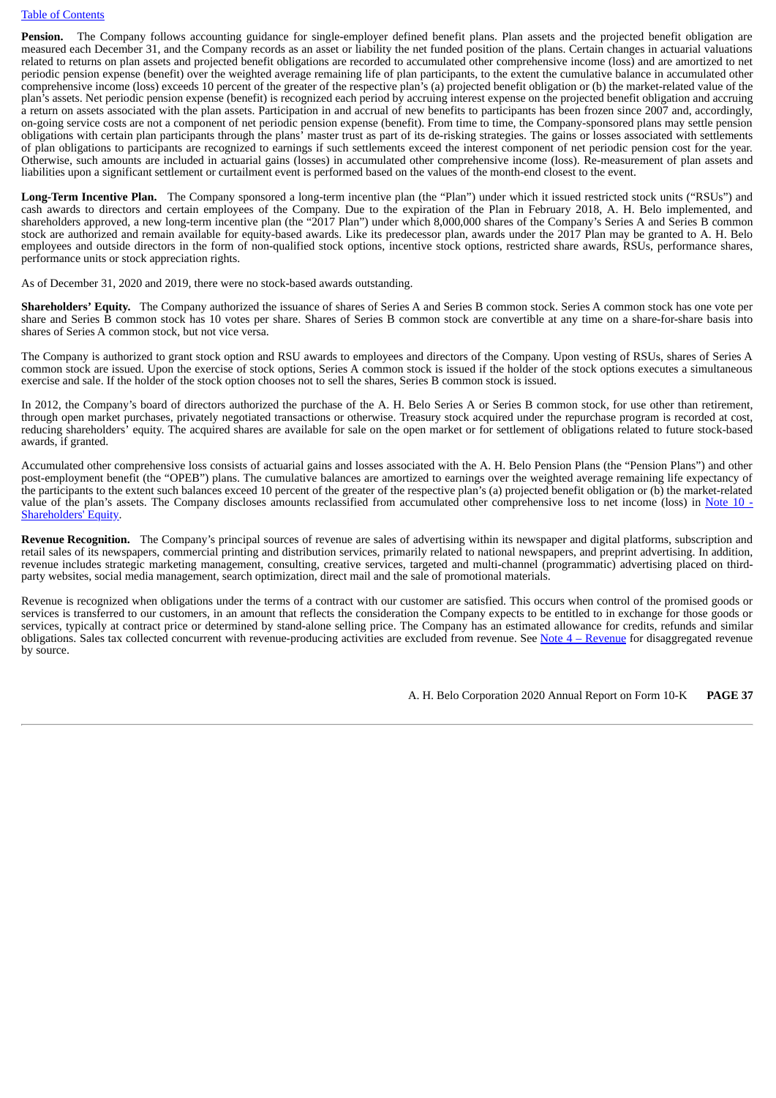### Table of [Contents](#page-1-1)

Pension. The Company follows accounting guidance for single-employer defined benefit plans. Plan assets and the projected benefit obligation are measured each December 31, and the Company records as an asset or liability the net funded position of the plans. Certain changes in actuarial valuations related to returns on plan assets and projected benefit obligations are recorded to accumulated other comprehensive income (loss) and are amortized to net periodic pension expense (benefit) over the weighted average remaining life of plan participants, to the extent the cumulative balance in accumulated other comprehensive income (loss) exceeds 10 percent of the greater of the respective plan's (a) projected benefit obligation or (b) the market-related value of the plan's assets. Net periodic pension expense (benefit) is recognized each period by accruing interest expense on the projected benefit obligation and accruing a return on assets associated with the plan assets. Participation in and accrual of new benefits to participants has been frozen since 2007 and, accordingly, on-going service costs are not a component of net periodic pension expense (benefit). From time to time, the Company-sponsored plans may settle pension obligations with certain plan participants through the plans' master trust as part of its de-risking strategies. The gains or losses associated with settlements of plan obligations to participants are recognized to earnings if such settlements exceed the interest component of net periodic pension cost for the year. Otherwise, such amounts are included in actuarial gains (losses) in accumulated other comprehensive income (loss). Re-measurement of plan assets and liabilities upon a significant settlement or curtailment event is performed based on the values of the month-end closest to the event.

**Long-Term Incentive Plan.** The Company sponsored a long-term incentive plan (the "Plan") under which it issued restricted stock units ("RSUs") and cash awards to directors and certain employees of the Company. Due to the expiration of the Plan in February 2018, A. H. Belo implemented, and shareholders approved, a new long-term incentive plan (the "2017 Plan") under which 8,000,000 shares of the Company's Series A and Series B common stock are authorized and remain available for equity-based awards. Like its predecessor plan, awards under the 2017 Plan may be granted to A. H. Belo employees and outside directors in the form of non-qualified stock options, incentive stock options, restricted share awards, RSUs, performance shares, performance units or stock appreciation rights.

As of December 31, 2020 and 2019, there were no stock-based awards outstanding.

**Shareholders' Equity.** The Company authorized the issuance of shares of Series A and Series B common stock. Series A common stock has one vote per share and Series B common stock has 10 votes per share. Shares of Series B common stock are convertible at any time on a share-for-share basis into shares of Series A common stock, but not vice versa.

The Company is authorized to grant stock option and RSU awards to employees and directors of the Company. Upon vesting of RSUs, shares of Series A common stock are issued. Upon the exercise of stock options, Series A common stock is issued if the holder of the stock options executes a simultaneous exercise and sale. If the holder of the stock option chooses not to sell the shares, Series B common stock is issued.

In 2012, the Company's board of directors authorized the purchase of the A. H. Belo Series A or Series B common stock, for use other than retirement, through open market purchases, privately negotiated transactions or otherwise. Treasury stock acquired under the repurchase program is recorded at cost, reducing shareholders' equity. The acquired shares are available for sale on the open market or for settlement of obligations related to future stock-based awards, if granted.

Accumulated other comprehensive loss consists of actuarial gains and losses associated with the A. H. Belo Pension Plans (the "Pension Plans") and other post-employment benefit (the "OPEB") plans. The cumulative balances are amortized to earnings over the weighted average remaining life expectancy of the participants to the extent such balances exceed 10 percent of the greater of the respective plan's (a) projected benefit obligation or (b) the market-related value of the plan's assets. The Company discloses amounts reclassified from accumulated other [comprehensive](#page-47-0) loss to net income (loss) in Note 10 -Shareholders' Equity.

**Revenue Recognition.** The Company's principal sources of revenue are sales of advertising within its newspaper and digital platforms, subscription and retail sales of its newspapers, commercial printing and distribution services, primarily related to national newspapers, and preprint advertising. In addition, revenue includes strategic marketing management, consulting, creative services, targeted and multi-channel (programmatic) advertising placed on thirdparty websites, social media management, search optimization, direct mail and the sale of promotional materials.

Revenue is recognized when obligations under the terms of a contract with our customer are satisfied. This occurs when control of the promised goods or services is transferred to our customers, in an amount that reflects the consideration the Company expects to be entitled to in exchange for those goods or services, typically at contract price or determined by stand-alone selling price. The Company has an estimated allowance for credits, refunds and similar obligations. Sales tax collected concurrent with revenue-producing activities are excluded from revenue. See Note  $4 -$  [Revenue](#page-38-1) for disaggregated revenue by source.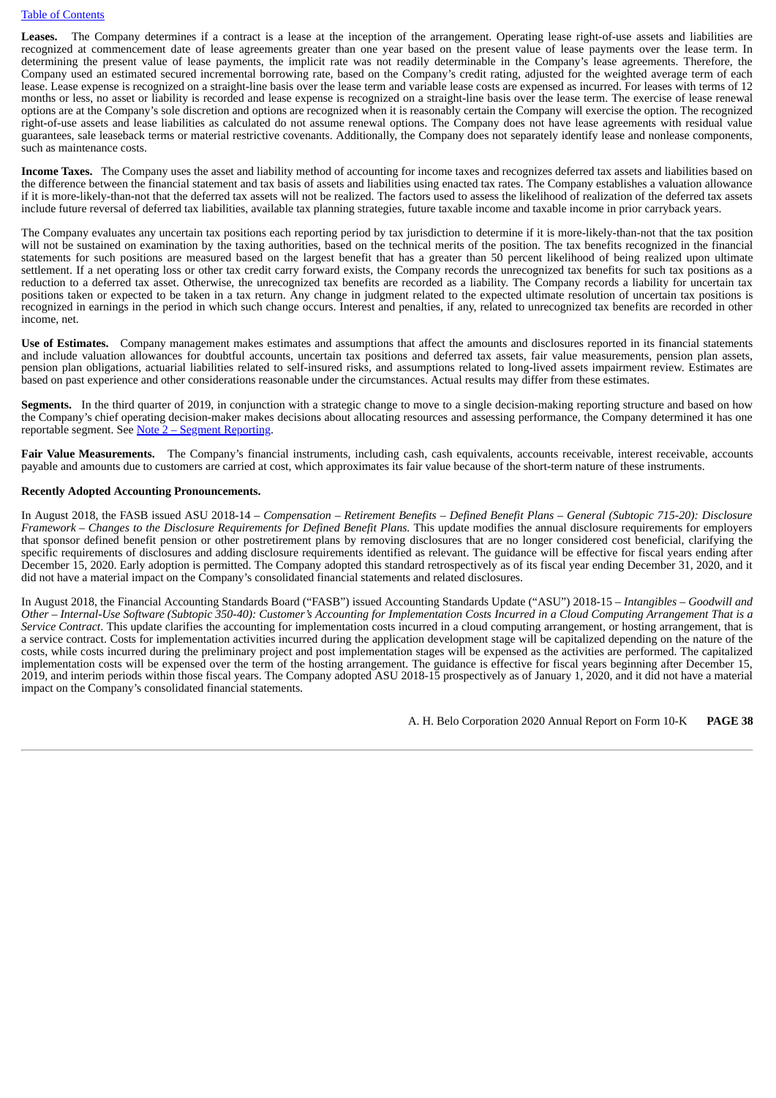Leases. The Company determines if a contract is a lease at the inception of the arrangement. Operating lease right-of-use assets and liabilities are recognized at commencement date of lease agreements greater than one year based on the present value of lease payments over the lease term. In determining the present value of lease payments, the implicit rate was not readily determinable in the Company's lease agreements. Therefore, the Company used an estimated secured incremental borrowing rate, based on the Company's credit rating, adjusted for the weighted average term of each lease. Lease expense is recognized on a straight-line basis over the lease term and variable lease costs are expensed as incurred. For leases with terms of 12 months or less, no asset or liability is recorded and lease expense is recognized on a straight-line basis over the lease term. The exercise of lease renewal options are at the Company's sole discretion and options are recognized when it is reasonably certain the Company will exercise the option. The recognized right-of-use assets and lease liabilities as calculated do not assume renewal options. The Company does not have lease agreements with residual value guarantees, sale leaseback terms or material restrictive covenants. Additionally, the Company does not separately identify lease and nonlease components, such as maintenance costs.

**Income Taxes.** The Company uses the asset and liability method of accounting for income taxes and recognizes deferred tax assets and liabilities based on the difference between the financial statement and tax basis of assets and liabilities using enacted tax rates. The Company establishes a valuation allowance if it is more-likely-than-not that the deferred tax assets will not be realized. The factors used to assess the likelihood of realization of the deferred tax assets include future reversal of deferred tax liabilities, available tax planning strategies, future taxable income and taxable income in prior carryback years.

The Company evaluates any uncertain tax positions each reporting period by tax jurisdiction to determine if it is more-likely-than-not that the tax position will not be sustained on examination by the taxing authorities, based on the technical merits of the position. The tax benefits recognized in the financial statements for such positions are measured based on the largest benefit that has a greater than 50 percent likelihood of being realized upon ultimate settlement. If a net operating loss or other tax credit carry forward exists, the Company records the unrecognized tax benefits for such tax positions as a reduction to a deferred tax asset. Otherwise, the unrecognized tax benefits are recorded as a liability. The Company records a liability for uncertain tax positions taken or expected to be taken in a tax return. Any change in judgment related to the expected ultimate resolution of uncertain tax positions is recognized in earnings in the period in which such change occurs. Interest and penalties, if any, related to unrecognized tax benefits are recorded in other income, net.

**Use of Estimates.** Company management makes estimates and assumptions that affect the amounts and disclosures reported in its financial statements and include valuation allowances for doubtful accounts, uncertain tax positions and deferred tax assets, fair value measurements, pension plan assets, pension plan obligations, actuarial liabilities related to self-insured risks, and assumptions related to long-lived assets impairment review. Estimates are based on past experience and other considerations reasonable under the circumstances. Actual results may differ from these estimates.

Segments. In the third quarter of 2019, in conjunction with a strategic change to move to a single decision-making reporting structure and based on how the Company's chief operating decision-maker makes decisions about allocating resources and assessing performance, the Company determined it has one reportable segment. See Note 2 – Segment [Reporting.](#page-38-0)

Fair Value Measurements. The Company's financial instruments, including cash, cash equivalents, accounts receivable, interest receivable, accounts payable and amounts due to customers are carried at cost, which approximates its fair value because of the short-term nature of these instruments.

## **Recently Adopted Accounting Pronouncements.**

In August 2018, the FASB issued ASU 2018-14 - Compensation - Retirement Benefits - Defined Benefit Plans - General (Subtopic 715-20): Disclosure *Framework* – *Changes to the Disclosure Requirements for Defined Benefit Plans.* This update modifies the annual disclosure requirements for employers that sponsor defined benefit pension or other postretirement plans by removing disclosures that are no longer considered cost beneficial, clarifying the specific requirements of disclosures and adding disclosure requirements identified as relevant. The guidance will be effective for fiscal years ending after December 15, 2020. Early adoption is permitted. The Company adopted this standard retrospectively as of its fiscal year ending December 31, 2020, and it did not have a material impact on the Company's consolidated financial statements and related disclosures.

In August 2018, the Financial Accounting Standards Board ("FASB") issued Accounting Standards Update ("ASU") 2018-15 – *Intangibles – Goodwill and* Other - Internal-Use Software (Subtopic 350-40): Customer's Accounting for Implementation Costs Incurred in a Cloud Computing Arrangement That is a *Service Contract*. This update clarifies the accounting for implementation costs incurred in a cloud computing arrangement, or hosting arrangement, that is a service contract. Costs for implementation activities incurred during the application development stage will be capitalized depending on the nature of the costs, while costs incurred during the preliminary project and post implementation stages will be expensed as the activities are performed. The capitalized implementation costs will be expensed over the term of the hosting arrangement. The guidance is effective for fiscal years beginning after December 15, 2019, and interim periods within those fiscal years. The Company adopted ASU 2018-15 prospectively as of January 1, 2020, and it did not have a material impact on the Company's consolidated financial statements.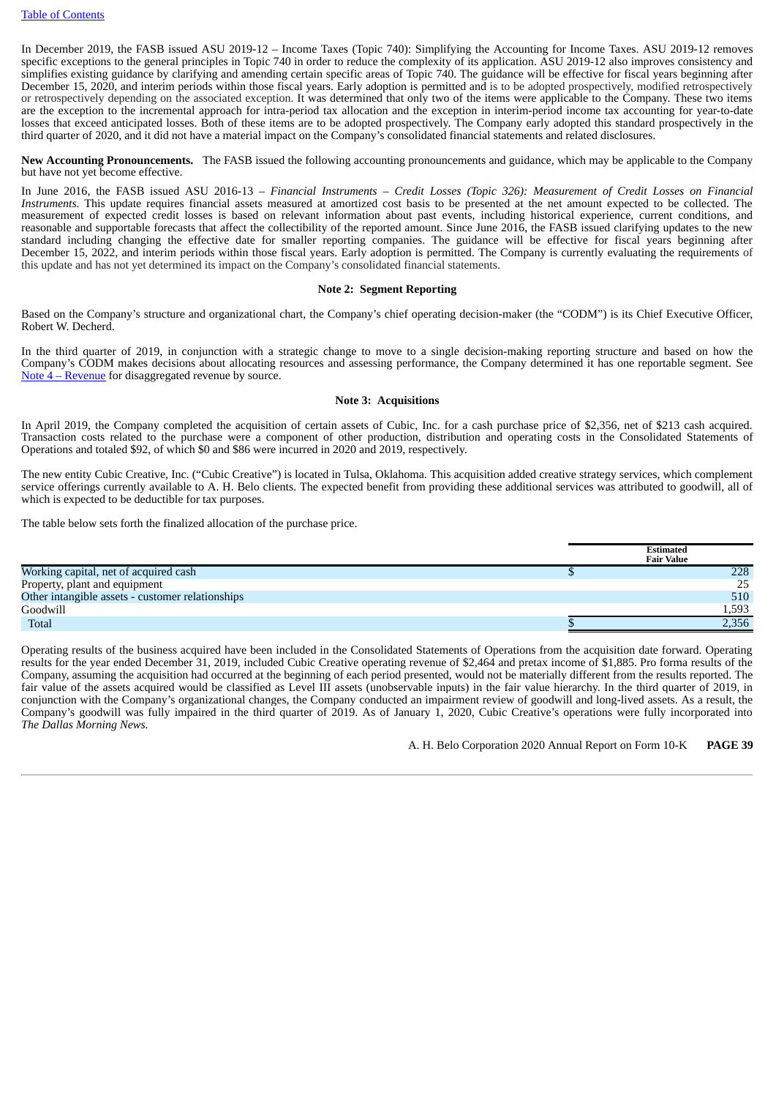In December 2019, the FASB issued ASU 2019-12 – Income Taxes (Topic 740): Simplifying the Accounting for Income Taxes. ASU 2019-12 removes specific exceptions to the general principles in Topic 740 in order to reduce the complexity of its application. ASU 2019-12 also improves consistency and simplifies existing guidance by clarifying and amending certain specific areas of Topic 740. The guidance will be effective for fiscal years beginning after December 15, 2020, and interim periods within those fiscal years. Early adoption is permitted and is to be adopted prospectively, modified retrospectively or retrospectively depending on the associated exception. It was determined that only two of the items were applicable to the Company. These two items are the exception to the incremental approach for intra-period tax allocation and the exception in interim-period income tax accounting for year-to-date losses that exceed anticipated losses. Both of these items are to be adopted prospectively. The Company early adopted this standard prospectively in the third quarter of 2020, and it did not have a material impact on the Company's consolidated financial statements and related disclosures.

**New Accounting Pronouncements.** The FASB issued the following accounting pronouncements and guidance, which may be applicable to the Company but have not yet become effective.

In June 2016, the FASB issued ASU 2016-13 - Financial Instruments - Credit Losses (Topic 326): Measurement of Credit Losses on Financial *Instruments.* This update requires financial assets measured at amortized cost basis to be presented at the net amount expected to be collected. The measurement of expected credit losses is based on relevant information about past events, including historical experience, current conditions, and reasonable and supportable forecasts that affect the collectibility of the reported amount. Since June 2016, the FASB issued clarifying updates to the new standard including changing the effective date for smaller reporting companies. The guidance will be effective for fiscal years beginning after December 15, 2022, and interim periods within those fiscal years. Early adoption is permitted. The Company is currently evaluating the requirements of this update and has not yet determined its impact on the Company's consolidated financial statements.

### **Note 2: Segment Reporting**

<span id="page-38-0"></span>Based on the Company's structure and organizational chart, the Company's chief operating decision-maker (the "CODM") is its Chief Executive Officer, Robert W. Decherd.

In the third quarter of 2019, in conjunction with a strategic change to move to a single decision-making reporting structure and based on how the Company's CODM makes decisions about allocating resources and assessing performance, the Company determined it has one reportable segment. See Note 4 – [Revenue](#page-38-1) for disaggregated revenue by source.

### **Note 3: Acquisitions**

In April 2019, the Company completed the acquisition of certain assets of Cubic, Inc. for a cash purchase price of \$2,356, net of \$213 cash acquired. Transaction costs related to the purchase were a component of other production, distribution and operating costs in the Consolidated Statements of Operations and totaled \$92, of which \$0 and \$86 were incurred in 2020 and 2019, respectively.

The new entity Cubic Creative, Inc. ("Cubic Creative") is located in Tulsa, Oklahoma. This acquisition added creative strategy services, which complement service offerings currently available to A. H. Belo clients. The expected benefit from providing these additional services was attributed to goodwill, all of which is expected to be deductible for tax purposes.

The table below sets forth the finalized allocation of the purchase price.

|                                                  | <b>Estimated</b><br><b>Fair Value</b> |
|--------------------------------------------------|---------------------------------------|
| Working capital, net of acquired cash            | 228                                   |
| Property, plant and equipment                    | 25                                    |
| Other intangible assets - customer relationships | 510                                   |
| Goodwill                                         | 1,593                                 |
| <b>Total</b>                                     | 2,356                                 |

<span id="page-38-1"></span>Operating results of the business acquired have been included in the Consolidated Statements of Operations from the acquisition date forward. Operating results for the year ended December 31, 2019, included Cubic Creative operating revenue of \$2,464 and pretax income of \$1,885. Pro forma results of the Company, assuming the acquisition had occurred at the beginning of each period presented, would not be materially different from the results reported. The fair value of the assets acquired would be classified as Level III assets (unobservable inputs) in the fair value hierarchy. In the third quarter of 2019, in conjunction with the Company's organizational changes, the Company conducted an impairment review of goodwill and long-lived assets. As a result, the Company's goodwill was fully impaired in the third quarter of 2019. As of January 1, 2020, Cubic Creative's operations were fully incorporated into *The Dallas Morning News.*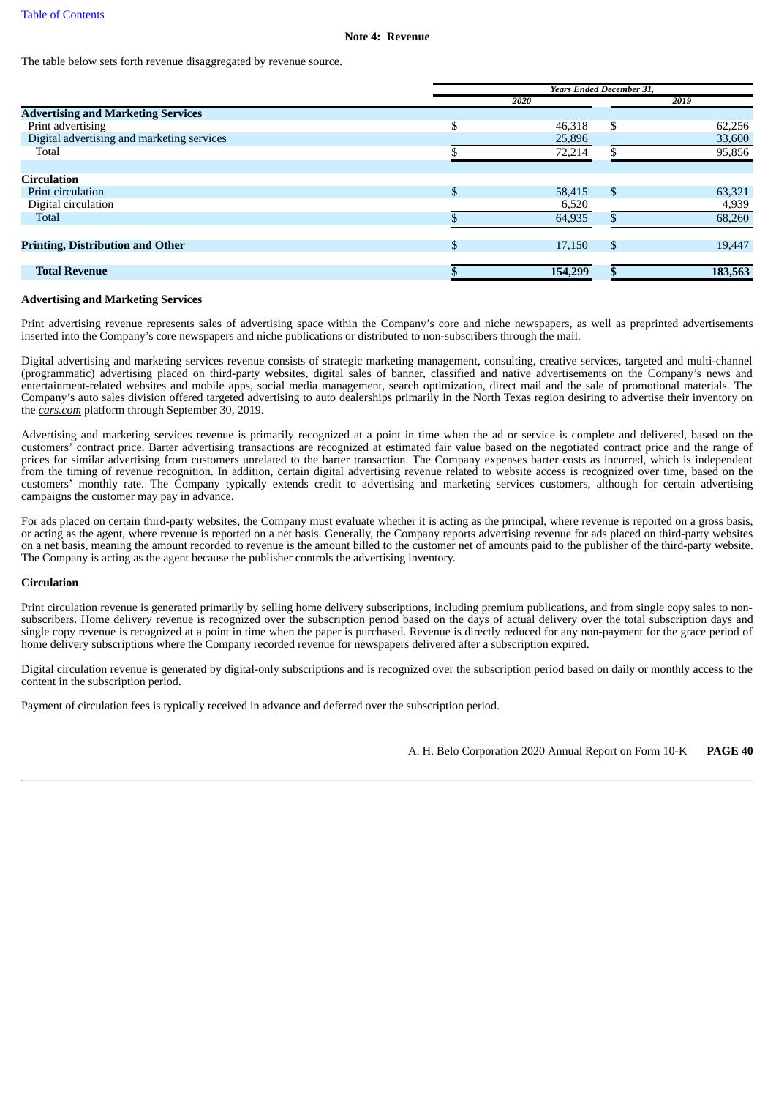## **Note 4: Revenue**

The table below sets forth revenue disaggregated by revenue source.

|                                            |        | <b>Years Ended December 31,</b> |    |         |  |  |
|--------------------------------------------|--------|---------------------------------|----|---------|--|--|
|                                            |        | 2020                            |    | 2019    |  |  |
| <b>Advertising and Marketing Services</b>  |        |                                 |    |         |  |  |
| Print advertising                          | ¢<br>P | 46,318                          | \$ | 62,256  |  |  |
| Digital advertising and marketing services |        | 25,896                          |    | 33,600  |  |  |
| Total                                      |        | 72,214                          |    | 95,856  |  |  |
|                                            |        |                                 |    |         |  |  |
| <b>Circulation</b>                         |        |                                 |    |         |  |  |
| Print circulation                          | \$     | 58,415                          | \$ | 63,321  |  |  |
| Digital circulation                        |        | 6,520                           |    | 4,939   |  |  |
| Total                                      |        | 64,935                          |    | 68,260  |  |  |
|                                            |        |                                 |    |         |  |  |
| <b>Printing, Distribution and Other</b>    | \$     | 17,150                          | \$ | 19,447  |  |  |
| <b>Total Revenue</b>                       |        | 154,299                         |    | 183,563 |  |  |
|                                            |        |                                 |    |         |  |  |

### **Advertising and Marketing Services**

Print advertising revenue represents sales of advertising space within the Company's core and niche newspapers, as well as preprinted advertisements inserted into the Company's core newspapers and niche publications or distributed to non-subscribers through the mail.

Digital advertising and marketing services revenue consists of strategic marketing management, consulting, creative services, targeted and multi-channel (programmatic) advertising placed on third-party websites, digital sales of banner, classified and native advertisements on the Company's news and entertainment-related websites and mobile apps, social media management, search optimization, direct mail and the sale of promotional materials. The Company's auto sales division offered targeted advertising to auto dealerships primarily in the North Texas region desiring to advertise their inventory on the *cars.com* platform through September 30, 2019.

Advertising and marketing services revenue is primarily recognized at a point in time when the ad or service is complete and delivered, based on the customers' contract price. Barter advertising transactions are recognized at estimated fair value based on the negotiated contract price and the range of prices for similar advertising from customers unrelated to the barter transaction. The Company expenses barter costs as incurred, which is independent from the timing of revenue recognition. In addition, certain digital advertising revenue related to website access is recognized over time, based on the customers' monthly rate. The Company typically extends credit to advertising and marketing services customers, although for certain advertising campaigns the customer may pay in advance.

For ads placed on certain third-party websites, the Company must evaluate whether it is acting as the principal, where revenue is reported on a gross basis, or acting as the agent, where revenue is reported on a net basis. Generally, the Company reports advertising revenue for ads placed on third-party websites on a net basis, meaning the amount recorded to revenue is the amount billed to the customer net of amounts paid to the publisher of the third-party website. The Company is acting as the agent because the publisher controls the advertising inventory.

## **Circulation**

Print circulation revenue is generated primarily by selling home delivery subscriptions, including premium publications, and from single copy sales to nonsubscribers. Home delivery revenue is recognized over the subscription period based on the days of actual delivery over the total subscription days and single copy revenue is recognized at a point in time when the paper is purchased. Revenue is directly reduced for any non-payment for the grace period of home delivery subscriptions where the Company recorded revenue for newspapers delivered after a subscription expired.

Digital circulation revenue is generated by digital-only subscriptions and is recognized over the subscription period based on daily or monthly access to the content in the subscription period.

Payment of circulation fees is typically received in advance and deferred over the subscription period.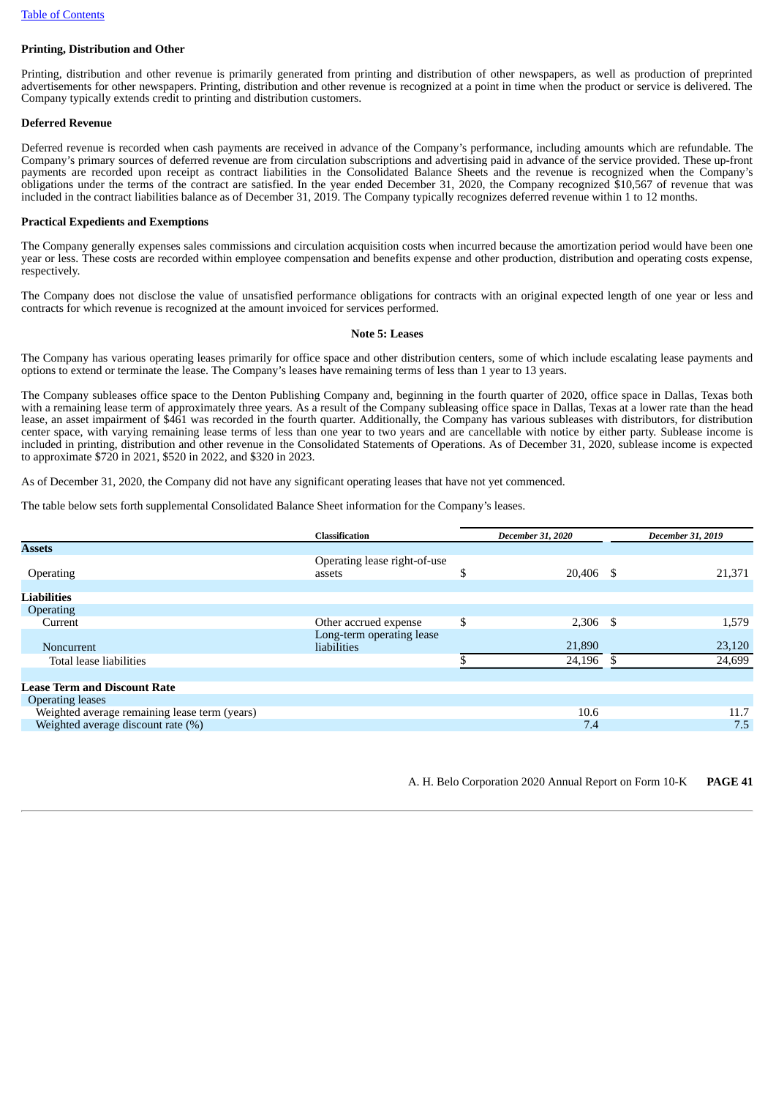# **Printing, Distribution and Other**

Printing, distribution and other revenue is primarily generated from printing and distribution of other newspapers, as well as production of preprinted advertisements for other newspapers. Printing, distribution and other revenue is recognized at a point in time when the product or service is delivered. The Company typically extends credit to printing and distribution customers.

## **Deferred Revenue**

Deferred revenue is recorded when cash payments are received in advance of the Company's performance, including amounts which are refundable. The Company's primary sources of deferred revenue are from circulation subscriptions and advertising paid in advance of the service provided. These up-front payments are recorded upon receipt as contract liabilities in the Consolidated Balance Sheets and the revenue is recognized when the Company's obligations under the terms of the contract are satisfied. In the year ended December 31, 2020, the Company recognized \$10,567 of revenue that was included in the contract liabilities balance as of December 31, 2019. The Company typically recognizes deferred revenue within 1 to 12 months.

## **Practical Expedients and Exemptions**

The Company generally expenses sales commissions and circulation acquisition costs when incurred because the amortization period would have been one year or less. These costs are recorded within employee compensation and benefits expense and other production, distribution and operating costs expense, respectively.

The Company does not disclose the value of unsatisfied performance obligations for contracts with an original expected length of one year or less and contracts for which revenue is recognized at the amount invoiced for services performed.

## **Note 5: Leases**

<span id="page-40-0"></span>The Company has various operating leases primarily for office space and other distribution centers, some of which include escalating lease payments and options to extend or terminate the lease. The Company's leases have remaining terms of less than 1 year to 13 years.

The Company subleases office space to the Denton Publishing Company and, beginning in the fourth quarter of 2020, office space in Dallas, Texas both with a remaining lease term of approximately three years. As a result of the Company subleasing office space in Dallas, Texas at a lower rate than the head lease, an asset impairment of \$461 was recorded in the fourth quarter. Additionally, the Company has various subleases with distributors, for distribution center space, with varying remaining lease terms of less than one year to two years and are cancellable with notice by either party. Sublease income is included in printing, distribution and other revenue in the Consolidated Statements of Operations. As of December 31, 2020, sublease income is expected to approximate \$720 in 2021, \$520 in 2022, and \$320 in 2023.

As of December 31, 2020, the Company did not have any significant operating leases that have not yet commenced.

The table below sets forth supplemental Consolidated Balance Sheet information for the Company's leases.

|                                               | <b>Classification</b>                    | December 31, 2020 | December 31, 2019 |
|-----------------------------------------------|------------------------------------------|-------------------|-------------------|
| <b>Assets</b>                                 |                                          |                   |                   |
| Operating                                     | Operating lease right-of-use<br>assets   | 20,406 \$         | 21,371            |
| <b>Liabilities</b>                            |                                          |                   |                   |
| <b>Operating</b>                              |                                          |                   |                   |
| Current                                       | Other accrued expense                    | \$<br>$2,306$ \$  | 1,579             |
| Noncurrent                                    | Long-term operating lease<br>liabilities | 21,890            | 23,120            |
| Total lease liabilities                       |                                          | 24,196            | 24,699            |
|                                               |                                          |                   |                   |
| <b>Lease Term and Discount Rate</b>           |                                          |                   |                   |
| <b>Operating leases</b>                       |                                          |                   |                   |
| Weighted average remaining lease term (years) |                                          | 10.6              | 11.7              |
| Weighted average discount rate (%)            |                                          | 7.4               | 7.5               |
|                                               |                                          |                   |                   |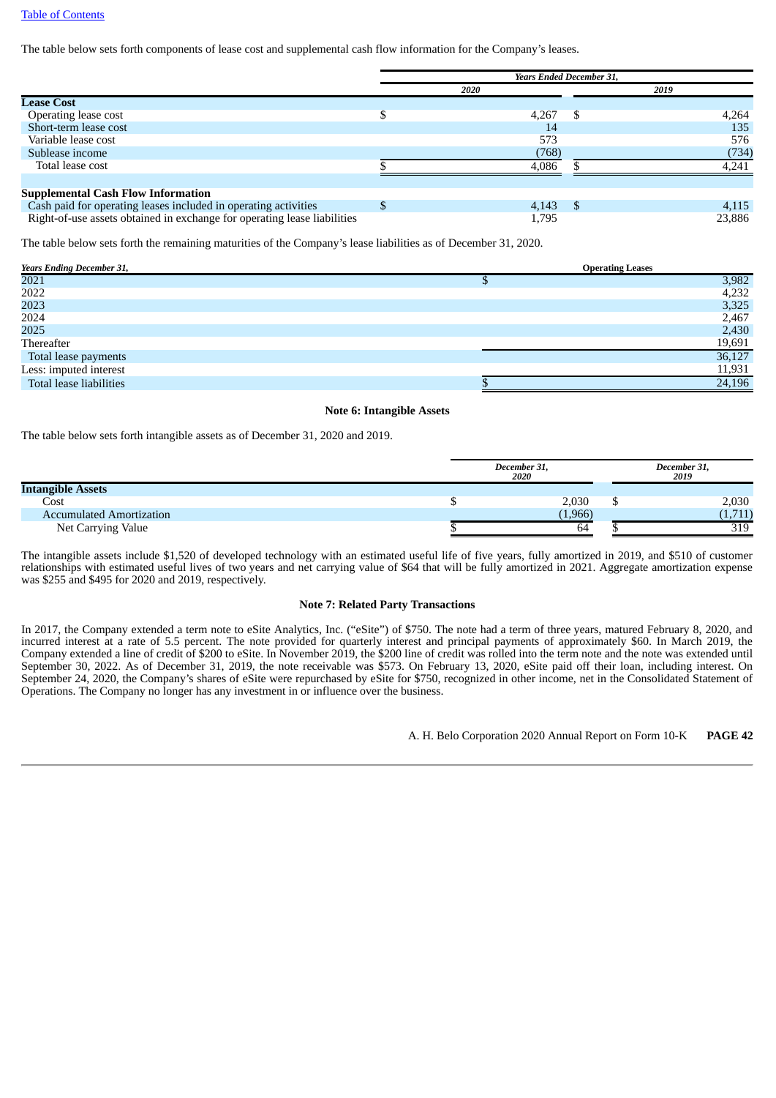### Table of [Contents](#page-1-1)

The table below sets forth components of lease cost and supplemental cash flow information for the Company's leases.

|                                                                          | <b>Years Ended December 31,</b> |       |  |        |  |  |  |
|--------------------------------------------------------------------------|---------------------------------|-------|--|--------|--|--|--|
|                                                                          |                                 | 2020  |  | 2019   |  |  |  |
| <b>Lease Cost</b>                                                        |                                 |       |  |        |  |  |  |
| Operating lease cost                                                     |                                 | 4,267 |  | 4,264  |  |  |  |
| Short-term lease cost                                                    |                                 | 14    |  | 135    |  |  |  |
| Variable lease cost                                                      |                                 | 573   |  | 576    |  |  |  |
| Sublease income                                                          |                                 | (768) |  | (734)  |  |  |  |
| Total lease cost                                                         |                                 | 4.086 |  | 4,241  |  |  |  |
|                                                                          |                                 |       |  |        |  |  |  |
| <b>Supplemental Cash Flow Information</b>                                |                                 |       |  |        |  |  |  |
| Cash paid for operating leases included in operating activities          |                                 | 4.143 |  | 4,115  |  |  |  |
| Right-of-use assets obtained in exchange for operating lease liabilities |                                 | 1,795 |  | 23.886 |  |  |  |

The table below sets forth the remaining maturities of the Company's lease liabilities as of December 31, 2020.

| <b>Operating Leases</b> |
|-------------------------|
| 3,982                   |
| 4,232                   |
| 3,325                   |
| 2,467                   |
| 2,430                   |
| 19,691                  |
| 36,127                  |
| 11,931                  |
| 24,196                  |
|                         |

## **Note 6: Intangible Assets**

The table below sets forth intangible assets as of December 31, 2020 and 2019.

|                                 | December 31,<br>2020 | December 31,<br>2019 |
|---------------------------------|----------------------|----------------------|
| <b>Intangible Assets</b>        |                      |                      |
| Cost                            | 2,030                | 2,030                |
| <b>Accumulated Amortization</b> | (1,966)              | (1,711)              |
| Net Carrying Value              | 64                   | 319                  |

The intangible assets include \$1,520 of developed technology with an estimated useful life of five years, fully amortized in 2019, and \$510 of customer relationships with estimated useful lives of two years and net carrying value of \$64 that will be fully amortized in 2021. Aggregate amortization expense was \$255 and \$495 for 2020 and 2019, respectively.

## **Note 7: Related Party Transactions**

In 2017, the Company extended a term note to eSite Analytics, Inc. ("eSite") of \$750. The note had a term of three years, matured February 8, 2020, and incurred interest at a rate of 5.5 percent. The note provided for quarterly interest and principal payments of approximately \$60. In March 2019, the Company extended a line of credit of \$200 to eSite. In November 2019, the \$200 line of credit was rolled into the term note and the note was extended until September 30, 2022. As of December 31, 2019, the note receivable was \$573. On February 13, 2020, eSite paid off their loan, including interest. On September 24, 2020, the Company's shares of eSite were repurchased by eSite for \$750, recognized in other income, net in the Consolidated Statement of Operations. The Company no longer has any investment in or influence over the business.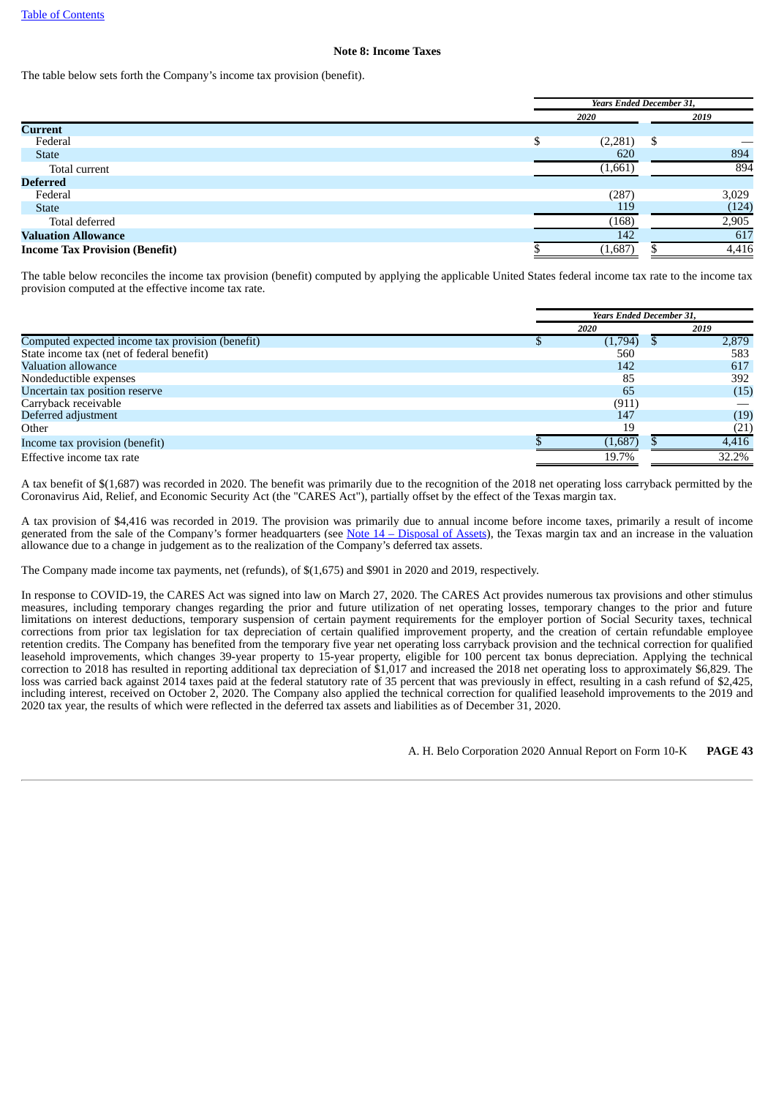## **Note 8: Income Taxes**

The table below sets forth the Company's income tax provision (benefit).

|                                       |   | <b>Years Ended December 31,</b> |       |
|---------------------------------------|---|---------------------------------|-------|
|                                       |   | 2020                            | 2019  |
| <b>Current</b>                        |   |                                 |       |
| Federal                               | S | (2, 281)                        | \$    |
| <b>State</b>                          |   | 620                             | 894   |
| Total current                         |   | (1,661)                         | 894   |
| Deferred                              |   |                                 |       |
| Federal                               |   | (287                            | 3,029 |
| <b>State</b>                          |   | 119                             | (124) |
| Total deferred                        |   | (168)                           | 2,905 |
| <b>Valuation Allowance</b>            |   | 142                             | 617   |
| <b>Income Tax Provision (Benefit)</b> |   | (1,687)                         | 4.416 |

The table below reconciles the income tax provision (benefit) computed by applying the applicable United States federal income tax rate to the income tax provision computed at the effective income tax rate.

|                                                  | <b>Years Ended December 31,</b> |       |
|--------------------------------------------------|---------------------------------|-------|
|                                                  | 2020                            | 2019  |
| Computed expected income tax provision (benefit) | (1,794)                         | 2,879 |
| State income tax (net of federal benefit)        | 560                             | 583   |
| Valuation allowance                              | 142                             | 617   |
| Nondeductible expenses                           | 85                              | 392   |
| Uncertain tax position reserve                   | 65                              | (15)  |
| Carryback receivable                             | (911)                           |       |
| Deferred adjustment                              | 147                             | (19)  |
| Other                                            | 19                              | (21)  |
| Income tax provision (benefit)                   | 1.687                           | 4,416 |
| Effective income tax rate                        | 19.7%                           | 32.2% |
|                                                  |                                 |       |

A tax benefit of \$(1,687) was recorded in 2020. The benefit was primarily due to the recognition of the 2018 net operating loss carryback permitted by the Coronavirus Aid, Relief, and Economic Security Act (the "CARES Act"), partially offset by the effect of the Texas margin tax.

A tax provision of \$4,416 was recorded in 2019. The provision was primarily due to annual income before income taxes, primarily a result of income generated from the sale of the Company's former headquarters (see Note 14 – [Disposal](#page-48-0) of Assets), the Texas margin tax and an increase in the valuation allowance due to a change in judgement as to the realization of the Company's deferred tax assets.

The Company made income tax payments, net (refunds), of \$(1,675) and \$901 in 2020 and 2019, respectively.

In response to COVID-19, the CARES Act was signed into law on March 27, 2020. The CARES Act provides numerous tax provisions and other stimulus measures, including temporary changes regarding the prior and future utilization of net operating losses, temporary changes to the prior and future limitations on interest deductions, temporary suspension of certain payment requirements for the employer portion of Social Security taxes, technical corrections from prior tax legislation for tax depreciation of certain qualified improvement property, and the creation of certain refundable employee retention credits. The Company has benefited from the temporary five year net operating loss carryback provision and the technical correction for qualified leasehold improvements, which changes 39-year property to 15-year property, eligible for 100 percent tax bonus depreciation. Applying the technical correction to 2018 has resulted in reporting additional tax depreciation of \$1,017 and increased the 2018 net operating loss to approximately \$6,829. The loss was carried back against 2014 taxes paid at the federal statutory rate of 35 percent that was previously in effect, resulting in a cash refund of \$2,425, including interest, received on October 2, 2020. The Company also applied the technical correction for qualified leasehold improvements to the 2019 and 2020 tax year, the results of which were reflected in the deferred tax assets and liabilities as of December 31, 2020.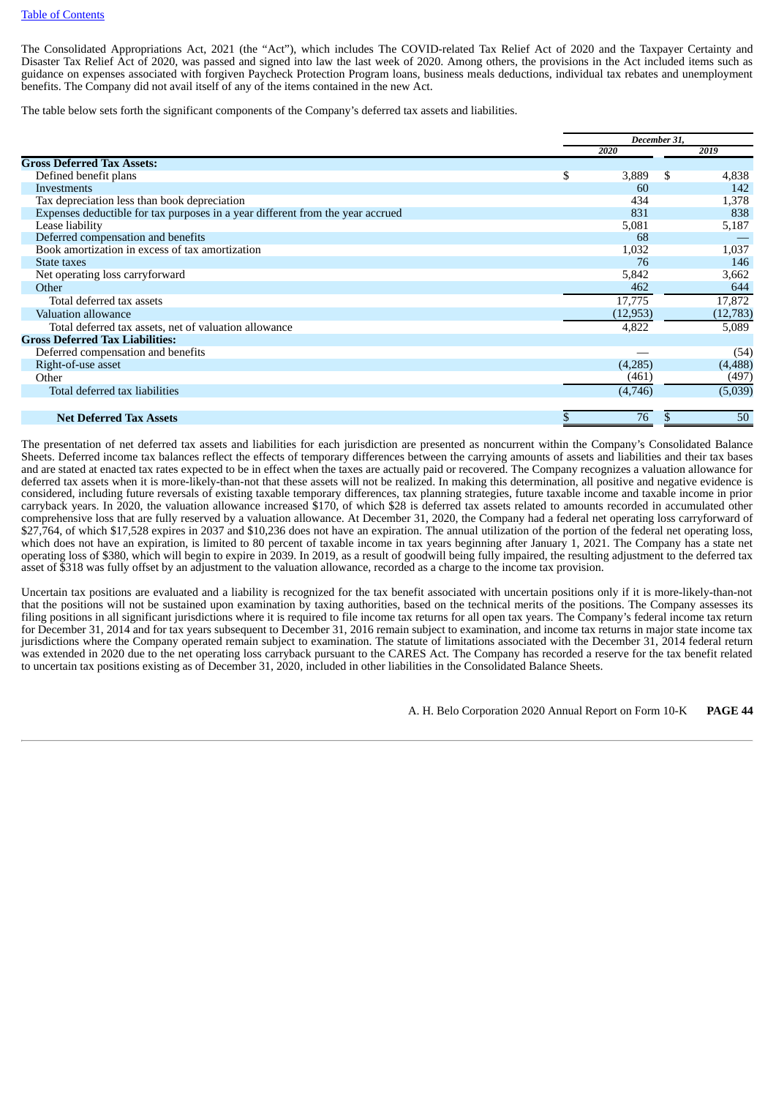The Consolidated Appropriations Act, 2021 (the "Act"), which includes The COVID-related Tax Relief Act of 2020 and the Taxpayer Certainty and Disaster Tax Relief Act of 2020, was passed and signed into law the last week of 2020. Among others, the provisions in the Act included items such as guidance on expenses associated with forgiven Paycheck Protection Program loans, business meals deductions, individual tax rebates and unemployment benefits. The Company did not avail itself of any of the items contained in the new Act.

The table below sets forth the significant components of the Company's deferred tax assets and liabilities.

|                                                                                | December 31, |    |           |  |  |
|--------------------------------------------------------------------------------|--------------|----|-----------|--|--|
|                                                                                | 2020         |    | 2019      |  |  |
| <b>Gross Deferred Tax Assets:</b>                                              |              |    |           |  |  |
| Defined benefit plans                                                          | \$<br>3,889  | -S | 4,838     |  |  |
| Investments                                                                    | 60           |    | 142       |  |  |
| Tax depreciation less than book depreciation                                   | 434          |    | 1,378     |  |  |
| Expenses deductible for tax purposes in a year different from the year accrued | 831          |    | 838       |  |  |
| Lease liability                                                                | 5,081        |    | 5,187     |  |  |
| Deferred compensation and benefits                                             | 68           |    |           |  |  |
| Book amortization in excess of tax amortization                                | 1,032        |    | 1,037     |  |  |
| State taxes                                                                    | 76           |    | 146       |  |  |
| Net operating loss carryforward                                                | 5,842        |    | 3,662     |  |  |
| Other                                                                          | 462          |    | 644       |  |  |
| Total deferred tax assets                                                      | 17,775       |    | 17,872    |  |  |
| Valuation allowance                                                            | (12, 953)    |    | (12, 783) |  |  |
| Total deferred tax assets, net of valuation allowance                          | 4,822        |    | 5,089     |  |  |
| <b>Gross Deferred Tax Liabilities:</b>                                         |              |    |           |  |  |
| Deferred compensation and benefits                                             |              |    | (54)      |  |  |
| Right-of-use asset                                                             | (4,285)      |    | (4, 488)  |  |  |
| Other                                                                          | (461)        |    | (497)     |  |  |
| Total deferred tax liabilities                                                 | (4,746)      |    | (5,039)   |  |  |
| <b>Net Deferred Tax Assets</b>                                                 | 76           |    | 50        |  |  |

The presentation of net deferred tax assets and liabilities for each jurisdiction are presented as noncurrent within the Company's Consolidated Balance Sheets. Deferred income tax balances reflect the effects of temporary differences between the carrying amounts of assets and liabilities and their tax bases and are stated at enacted tax rates expected to be in effect when the taxes are actually paid or recovered. The Company recognizes a valuation allowance for deferred tax assets when it is more-likely-than-not that these assets will not be realized. In making this determination, all positive and negative evidence is considered, including future reversals of existing taxable temporary differences, tax planning strategies, future taxable income and taxable income in prior carryback years. In 2020, the valuation allowance increased \$170, of which \$28 is deferred tax assets related to amounts recorded in accumulated other comprehensive loss that are fully reserved by a valuation allowance. At December 31, 2020, the Company had a federal net operating loss carryforward of \$27,764, of which \$17,528 expires in 2037 and \$10,236 does not have an expiration. The annual utilization of the portion of the federal net operating loss, which does not have an expiration, is limited to 80 percent of taxable income in tax years beginning after January 1, 2021. The Company has a state net operating loss of \$380, which will begin to expire in 2039. In 2019, as a result of goodwill being fully impaired, the resulting adjustment to the deferred tax asset of \$318 was fully offset by an adjustment to the valuation allowance, recorded as a charge to the income tax provision.

Uncertain tax positions are evaluated and a liability is recognized for the tax benefit associated with uncertain positions only if it is more-likely-than-not that the positions will not be sustained upon examination by taxing authorities, based on the technical merits of the positions. The Company assesses its filing positions in all significant jurisdictions where it is required to file income tax returns for all open tax years. The Company's federal income tax return for December 31, 2014 and for tax years subsequent to December 31, 2016 remain subject to examination, and income tax returns in major state income tax jurisdictions where the Company operated remain subject to examination. The statute of limitations associated with the December 31, 2014 federal return was extended in 2020 due to the net operating loss carryback pursuant to the CARES Act. The Company has recorded a reserve for the tax benefit related to uncertain tax positions existing as of December 31, 2020, included in other liabilities in the Consolidated Balance Sheets.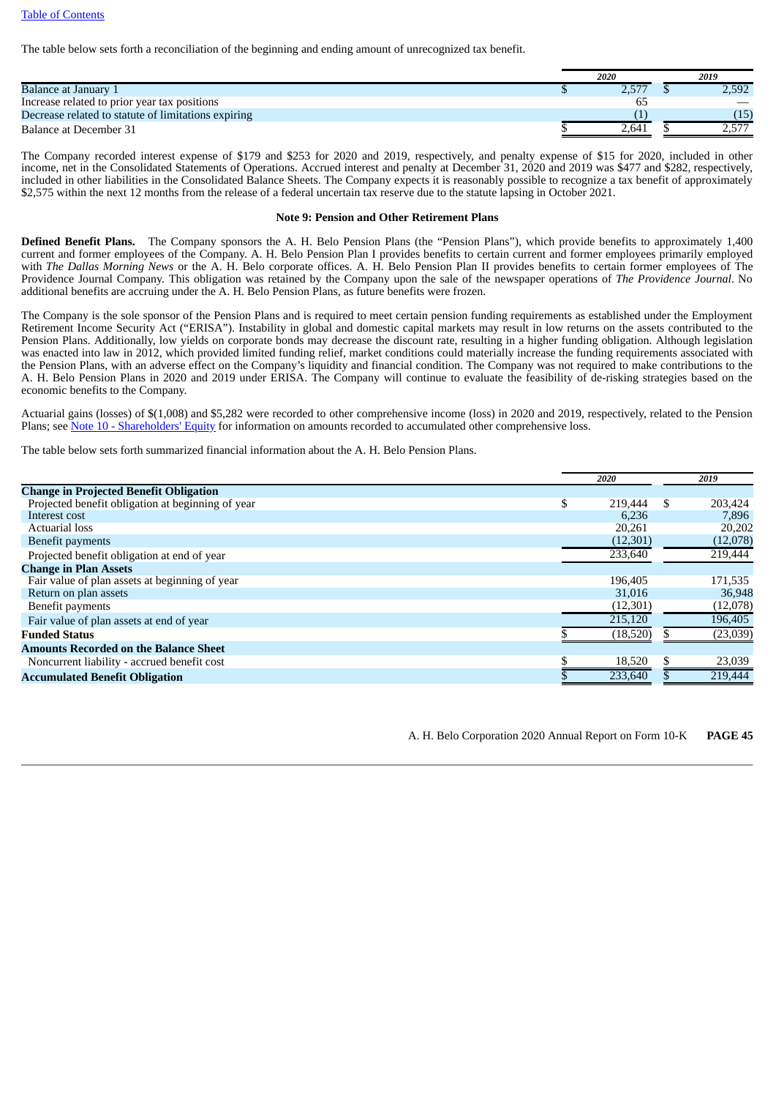The table below sets forth a reconciliation of the beginning and ending amount of unrecognized tax benefit.

|                                                     | 2020                | 2019  |
|-----------------------------------------------------|---------------------|-------|
| <b>Balance at January 1</b>                         | $2,57$ <sup>-</sup> | 2,592 |
| Increase related to prior year tax positions        |                     |       |
| Decrease related to statute of limitations expiring |                     | (15)  |
| Balance at December 31                              | 2.641               | 2,5/  |

The Company recorded interest expense of \$179 and \$253 for 2020 and 2019, respectively, and penalty expense of \$15 for 2020, included in other income, net in the Consolidated Statements of Operations. Accrued interest and penalty at December 31, 2020 and 2019 was \$477 and \$282, respectively, included in other liabilities in the Consolidated Balance Sheets. The Company expects it is reasonably possible to recognize a tax benefit of approximately \$2,575 within the next 12 months from the release of a federal uncertain tax reserve due to the statute lapsing in October 2021.

#### **Note 9: Pension and Other Retirement Plans**

<span id="page-44-0"></span>**Defined Benefit Plans.** The Company sponsors the A. H. Belo Pension Plans (the "Pension Plans"), which provide benefits to approximately 1,400 current and former employees of the Company. A. H. Belo Pension Plan I provides benefits to certain current and former employees primarily employed with *The Dallas Morning News* or the A. H. Belo corporate offices. A. H. Belo Pension Plan II provides benefits to certain former employees of The Providence Journal Company. This obligation was retained by the Company upon the sale of the newspaper operations of *The Providence Journal*. No additional benefits are accruing under the A. H. Belo Pension Plans, as future benefits were frozen.

The Company is the sole sponsor of the Pension Plans and is required to meet certain pension funding requirements as established under the Employment Retirement Income Security Act ("ERISA"). Instability in global and domestic capital markets may result in low returns on the assets contributed to the Pension Plans. Additionally, low yields on corporate bonds may decrease the discount rate, resulting in a higher funding obligation. Although legislation was enacted into law in 2012, which provided limited funding relief, market conditions could materially increase the funding requirements associated with the Pension Plans, with an adverse effect on the Company's liquidity and financial condition. The Company was not required to make contributions to the A. H. Belo Pension Plans in 2020 and 2019 under ERISA. The Company will continue to evaluate the feasibility of de-risking strategies based on the economic benefits to the Company.

Actuarial gains (losses) of \$(1,008) and \$5,282 were recorded to other comprehensive income (loss) in 2020 and 2019, respectively, related to the Pension Plans; see Note 10 - [Shareholders'](#page-47-0) Equity for information on amounts recorded to accumulated other comprehensive loss.

The table below sets forth summarized financial information about the A. H. Belo Pension Plans.

|                                                   | 2020          |    | 2019     |
|---------------------------------------------------|---------------|----|----------|
| <b>Change in Projected Benefit Obligation</b>     |               |    |          |
| Projected benefit obligation at beginning of year | \$<br>219,444 | -S | 203.424  |
| Interest cost                                     | 6.236         |    | 7,896    |
| Actuarial loss                                    | 20,261        |    | 20,202   |
| <b>Benefit payments</b>                           | (12, 301)     |    | (12,078) |
| Projected benefit obligation at end of year       | 233,640       |    | 219,444  |
| <b>Change in Plan Assets</b>                      |               |    |          |
| Fair value of plan assets at beginning of year    | 196.405       |    | 171,535  |
| Return on plan assets                             | 31,016        |    | 36,948   |
| Benefit payments                                  | (12, 301)     |    | (12,078) |
| Fair value of plan assets at end of year          | 215,120       |    | 196,405  |
| <b>Funded Status</b>                              | (18, 520)     |    | (23,039) |
| <b>Amounts Recorded on the Balance Sheet</b>      |               |    |          |
| Noncurrent liability - accrued benefit cost       | 18,520        |    | 23,039   |
| <b>Accumulated Benefit Obligation</b>             | 233,640       |    | 219,444  |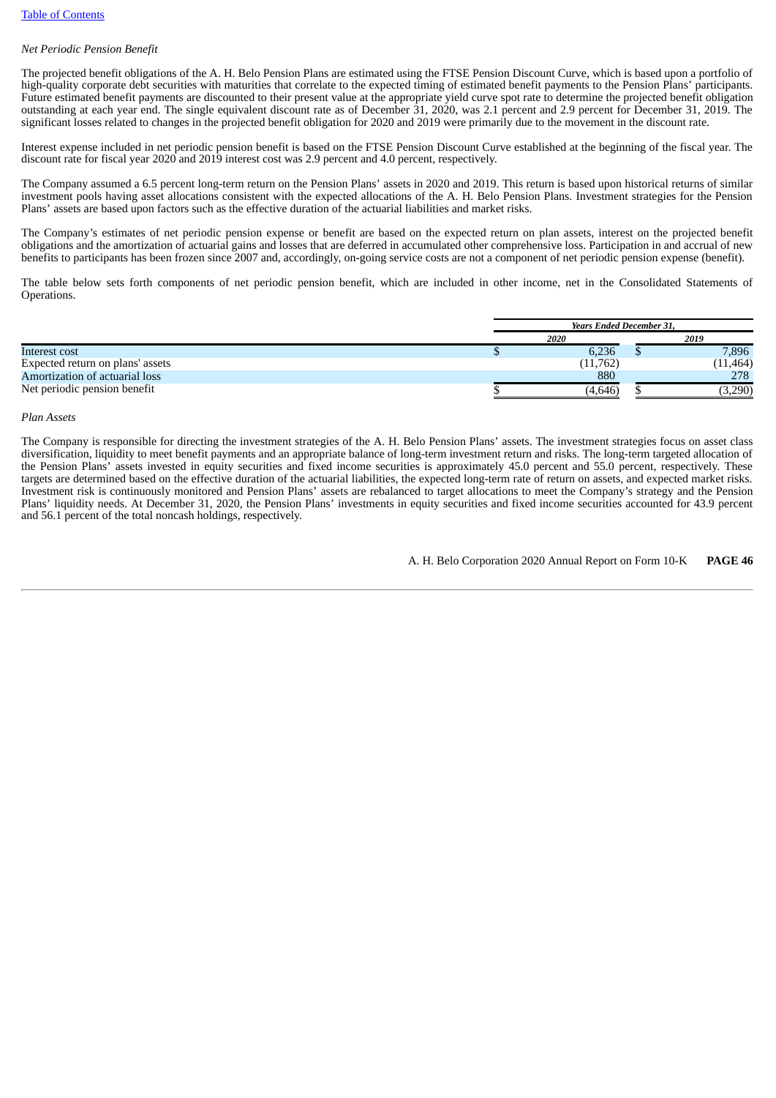# *Net Periodic Pension Benefit*

The projected benefit obligations of the A. H. Belo Pension Plans are estimated using the FTSE Pension Discount Curve, which is based upon a portfolio of high-quality corporate debt securities with maturities that correlate to the expected timing of estimated benefit payments to the Pension Plans' participants. Future estimated benefit payments are discounted to their present value at the appropriate yield curve spot rate to determine the projected benefit obligation outstanding at each year end. The single equivalent discount rate as of December 31, 2020, was 2.1 percent and 2.9 percent for December 31, 2019. The significant losses related to changes in the projected benefit obligation for 2020 and 2019 were primarily due to the movement in the discount rate.

Interest expense included in net periodic pension benefit is based on the FTSE Pension Discount Curve established at the beginning of the fiscal year. The discount rate for fiscal year 2020 and 2019 interest cost was 2.9 percent and 4.0 percent, respectively.

The Company assumed a 6.5 percent long-term return on the Pension Plans' assets in 2020 and 2019. This return is based upon historical returns of similar investment pools having asset allocations consistent with the expected allocations of the A. H. Belo Pension Plans. Investment strategies for the Pension Plans' assets are based upon factors such as the effective duration of the actuarial liabilities and market risks.

The Company's estimates of net periodic pension expense or benefit are based on the expected return on plan assets, interest on the projected benefit obligations and the amortization of actuarial gains and losses that are deferred in accumulated other comprehensive loss. Participation in and accrual of new benefits to participants has been frozen since 2007 and, accordingly, on-going service costs are not a component of net periodic pension expense (benefit).

The table below sets forth components of net periodic pension benefit, which are included in other income, net in the Consolidated Statements of Operations.

|                                  | <b>Years Ended December 31.</b> |          |  |           |  |  |  |
|----------------------------------|---------------------------------|----------|--|-----------|--|--|--|
|                                  | 2020                            |          |  | 2019      |  |  |  |
| Interest cost                    |                                 | 6,236    |  | 7,896     |  |  |  |
| Expected return on plans' assets |                                 | (11,762) |  | (11, 464) |  |  |  |
| Amortization of actuarial loss   |                                 | 880      |  | 278       |  |  |  |
| Net periodic pension benefit     |                                 | (4.646)  |  | (3,290)   |  |  |  |

#### *Plan Assets*

The Company is responsible for directing the investment strategies of the A. H. Belo Pension Plans' assets. The investment strategies focus on asset class diversification, liquidity to meet benefit payments and an appropriate balance of long-term investment return and risks. The long-term targeted allocation of the Pension Plans' assets invested in equity securities and fixed income securities is approximately 45.0 percent and 55.0 percent, respectively. These targets are determined based on the effective duration of the actuarial liabilities, the expected long-term rate of return on assets, and expected market risks. Investment risk is continuously monitored and Pension Plans' assets are rebalanced to target allocations to meet the Company's strategy and the Pension Plans' liquidity needs. At December 31, 2020, the Pension Plans' investments in equity securities and fixed income securities accounted for 43.9 percent and 56.1 percent of the total noncash holdings, respectively.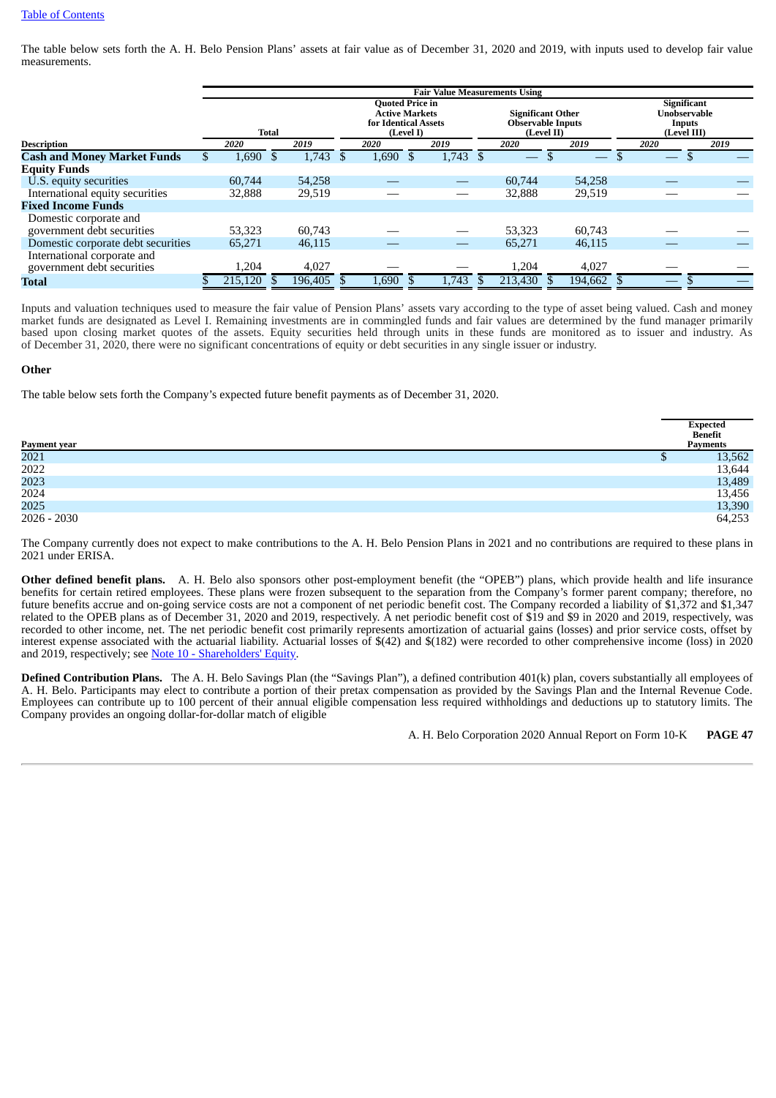## Table of [Contents](#page-1-1)

The table below sets forth the A. H. Belo Pension Plans' assets at fair value as of December 31, 2020 and 2019, with inputs used to develop fair value measurements.

|                                    |              |         |  |         |    |                                                                                                                                                            |  |                     |  | <b>Fair Value Measurements Using</b> |     |         |  |                          |  |      |                                                             |  |  |  |
|------------------------------------|--------------|---------|--|---------|----|------------------------------------------------------------------------------------------------------------------------------------------------------------|--|---------------------|--|--------------------------------------|-----|---------|--|--------------------------|--|------|-------------------------------------------------------------|--|--|--|
|                                    | <b>Total</b> |         |  |         |    | <b>Ouoted Price in</b><br><b>Active Markets</b><br><b>Significant Other</b><br><b>Observable Inputs</b><br>for Identical Assets<br>(Level I)<br>(Level II) |  |                     |  |                                      |     |         |  |                          |  |      | <b>Significant</b><br>Unobservable<br>Inputs<br>(Level III) |  |  |  |
| <b>Description</b>                 |              | 2020    |  | 2019    |    | 2020                                                                                                                                                       |  | 2019                |  | 2020                                 |     | 2019    |  | 2020                     |  | 2019 |                                                             |  |  |  |
| <b>Cash and Money Market Funds</b> |              | 1.690   |  | 1,743   | -S | 1.690                                                                                                                                                      |  | $1.743 \text{ } $s$ |  |                                      | \$. |         |  | $\overline{\phantom{0}}$ |  |      |                                                             |  |  |  |
| <b>Equity Funds</b>                |              |         |  |         |    |                                                                                                                                                            |  |                     |  |                                      |     |         |  |                          |  |      |                                                             |  |  |  |
| U.S. equity securities             |              | 60,744  |  | 54,258  |    |                                                                                                                                                            |  |                     |  | 60,744                               |     | 54,258  |  |                          |  |      |                                                             |  |  |  |
| International equity securities    |              | 32,888  |  | 29,519  |    |                                                                                                                                                            |  |                     |  | 32,888                               |     | 29,519  |  |                          |  |      |                                                             |  |  |  |
| <b>Fixed Income Funds</b>          |              |         |  |         |    |                                                                                                                                                            |  |                     |  |                                      |     |         |  |                          |  |      |                                                             |  |  |  |
| Domestic corporate and             |              |         |  |         |    |                                                                                                                                                            |  |                     |  |                                      |     |         |  |                          |  |      |                                                             |  |  |  |
| government debt securities         |              | 53,323  |  | 60,743  |    |                                                                                                                                                            |  |                     |  | 53,323                               |     | 60,743  |  |                          |  |      |                                                             |  |  |  |
| Domestic corporate debt securities |              | 65,271  |  | 46,115  |    |                                                                                                                                                            |  |                     |  | 65,271                               |     | 46,115  |  |                          |  |      |                                                             |  |  |  |
| International corporate and        |              |         |  |         |    |                                                                                                                                                            |  |                     |  |                                      |     |         |  |                          |  |      |                                                             |  |  |  |
| government debt securities         |              | 1,204   |  | 4,027   |    |                                                                                                                                                            |  |                     |  | 1,204                                |     | 4,027   |  |                          |  |      |                                                             |  |  |  |
| <b>Total</b>                       |              | 215,120 |  | 196.405 |    | 1,690                                                                                                                                                      |  | 1.743               |  | 213,430                              |     | 194,662 |  |                          |  |      |                                                             |  |  |  |

Inputs and valuation techniques used to measure the fair value of Pension Plans' assets vary according to the type of asset being valued. Cash and money market funds are designated as Level I. Remaining investments are in commingled funds and fair values are determined by the fund manager primarily based upon closing market quotes of the assets. Equity securities held through units in these funds are monitored as to issuer and industry. As of December 31, 2020, there were no significant concentrations of equity or debt securities in any single issuer or industry.

### **Other**

The table below sets forth the Company's expected future benefit payments as of December 31, 2020.

| Payment year  | <b>Expected</b><br><b>Benefit</b><br><b>Payments</b> |
|---------------|------------------------------------------------------|
| 2021          | 13,562                                               |
|               | 13,644                                               |
| 2022<br>2023  | 13,489                                               |
| 2024          | 13,456                                               |
| 2025          | 13,390                                               |
| $2026 - 2030$ | 64,253                                               |

The Company currently does not expect to make contributions to the A. H. Belo Pension Plans in 2021 and no contributions are required to these plans in 2021 under ERISA.

**Other defined benefit plans.** A. H. Belo also sponsors other post-employment benefit (the "OPEB") plans, which provide health and life insurance benefits for certain retired employees. These plans were frozen subsequent to the separation from the Company's former parent company; therefore, no future benefits accrue and on-going service costs are not a component of net periodic benefit cost. The Company recorded a liability of \$1,372 and \$1,347 related to the OPEB plans as of December 31, 2020 and 2019, respectively. A net periodic benefit cost of \$19 and \$9 in 2020 and 2019, respectively, was recorded to other income, net. The net periodic benefit cost primarily represents amortization of actuarial gains (losses) and prior service costs, offset by interest expense associated with the actuarial liability. Actuarial losses of \$(42) and \$(182) were recorded to other comprehensive income (loss) in 2020 and 2019, respectively; see Note 10 - [Shareholders'](#page-47-0) Equity.

**Defined Contribution Plans.** The A. H. Belo Savings Plan (the "Savings Plan"), a defined contribution 401(k) plan, covers substantially all employees of A. H. Belo. Participants may elect to contribute a portion of their pretax compensation as provided by the Savings Plan and the Internal Revenue Code. Employees can contribute up to 100 percent of their annual eligible compensation less required withholdings and deductions up to statutory limits. The Company provides an ongoing dollar-for-dollar match of eligible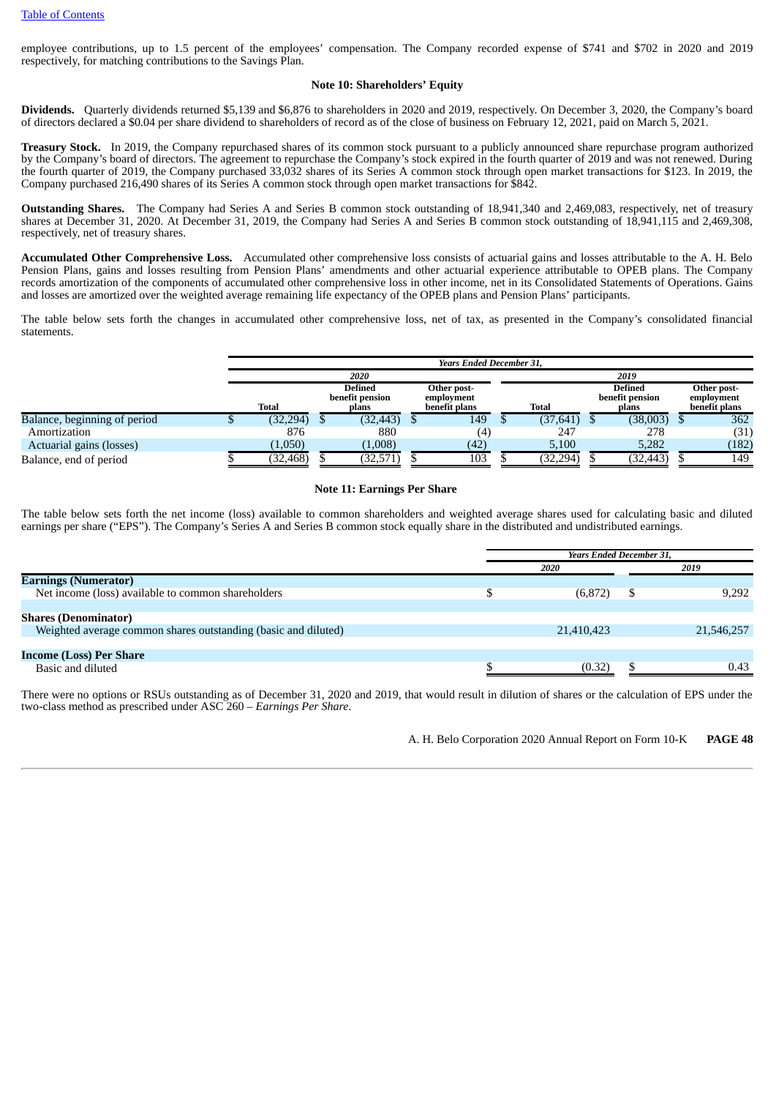employee contributions, up to 1.5 percent of the employees' compensation. The Company recorded expense of \$741 and \$702 in 2020 and 2019 respectively, for matching contributions to the Savings Plan.

### **Note 10: Shareholders' Equity**

<span id="page-47-0"></span>**Dividends.** Quarterly dividends returned \$5,139 and \$6,876 to shareholders in 2020 and 2019, respectively. On December 3, 2020, the Company's board of directors declared a \$0.04 per share dividend to shareholders of record as of the close of business on February 12, 2021, paid on March 5, 2021.

**Treasury Stock.** In 2019, the Company repurchased shares of its common stock pursuant to a publicly announced share repurchase program authorized by the Company's board of directors. The agreement to repurchase the Company's stock expired in the fourth quarter of 2019 and was not renewed. During the fourth quarter of 2019, the Company purchased 33,032 shares of its Series A common stock through open market transactions for \$123. In 2019, the Company purchased 216,490 shares of its Series A common stock through open market transactions for \$842.

**Outstanding Shares.** The Company had Series A and Series B common stock outstanding of 18,941,340 and 2,469,083, respectively, net of treasury shares at December 31, 2020. At December 31, 2019, the Company had Series A and Series B common stock outstanding of 18,941,115 and 2,469,308, respectively, net of treasury shares.

**Accumulated Other Comprehensive Loss.** Accumulated other comprehensive loss consists of actuarial gains and losses attributable to the A. H. Belo Pension Plans, gains and losses resulting from Pension Plans' amendments and other actuarial experience attributable to OPEB plans. The Company records amortization of the components of accumulated other comprehensive loss in other income, net in its Consolidated Statements of Operations. Gains and losses are amortized over the weighted average remaining life expectancy of the OPEB plans and Pension Plans' participants.

The table below sets forth the changes in accumulated other comprehensive loss, net of tax, as presented in the Company's consolidated financial statements.

|                              | <b>Years Ended December 31.</b>                            |      |           |                                            |      |  |              |           |                                            |           |                                            |       |
|------------------------------|------------------------------------------------------------|------|-----------|--------------------------------------------|------|--|--------------|-----------|--------------------------------------------|-----------|--------------------------------------------|-------|
|                              |                                                            | 2020 |           |                                            |      |  | 2019         |           |                                            |           |                                            |       |
|                              | <b>Defined</b><br>benefit pension<br><b>Total</b><br>plans |      |           | Other post-<br>employment<br>benefit plans |      |  | <b>Total</b> |           | <b>Defined</b><br>benefit pension<br>plans |           | Other post-<br>employment<br>benefit plans |       |
| Balance, beginning of period | (32, 294)                                                  |      | (32, 443) |                                            | 149  |  |              | (37, 641) |                                            | (38,003)  |                                            | 362   |
| Amortization                 | 876                                                        |      | 880       |                                            | (4)  |  |              | 247       |                                            | 278       |                                            | (31)  |
| Actuarial gains (losses)     | (1,050)                                                    |      | (1,008)   |                                            | (42) |  |              | 5,100     |                                            | 5,282     |                                            | (182) |
| Balance, end of period       | (32, 468)                                                  |      | (32,571)  |                                            | 103  |  |              | (32, 294) |                                            | (32, 443) |                                            | 149   |

## **Note 11: Earnings Per Share**

The table below sets forth the net income (loss) available to common shareholders and weighted average shares used for calculating basic and diluted earnings per share ("EPS"). The Company's Series A and Series B common stock equally share in the distributed and undistributed earnings.

|                                                                | <b>Years Ended December 31,</b> |   |            |  |  |  |  |
|----------------------------------------------------------------|---------------------------------|---|------------|--|--|--|--|
|                                                                | 2020                            |   |            |  |  |  |  |
| <b>Earnings (Numerator)</b>                                    |                                 |   |            |  |  |  |  |
| Net income (loss) available to common shareholders             | (6,872)                         | S | 9.292      |  |  |  |  |
|                                                                |                                 |   |            |  |  |  |  |
| <b>Shares (Denominator)</b>                                    |                                 |   |            |  |  |  |  |
| Weighted average common shares outstanding (basic and diluted) | 21,410,423                      |   | 21,546,257 |  |  |  |  |
|                                                                |                                 |   |            |  |  |  |  |
| <b>Income (Loss) Per Share</b>                                 |                                 |   |            |  |  |  |  |
| Basic and diluted                                              | (0.32)                          |   | 0.43       |  |  |  |  |
|                                                                |                                 |   |            |  |  |  |  |

There were no options or RSUs outstanding as of December 31, 2020 and 2019, that would result in dilution of shares or the calculation of EPS under the two-class method as prescribed under ASC 260 – *Earnings Per Share*.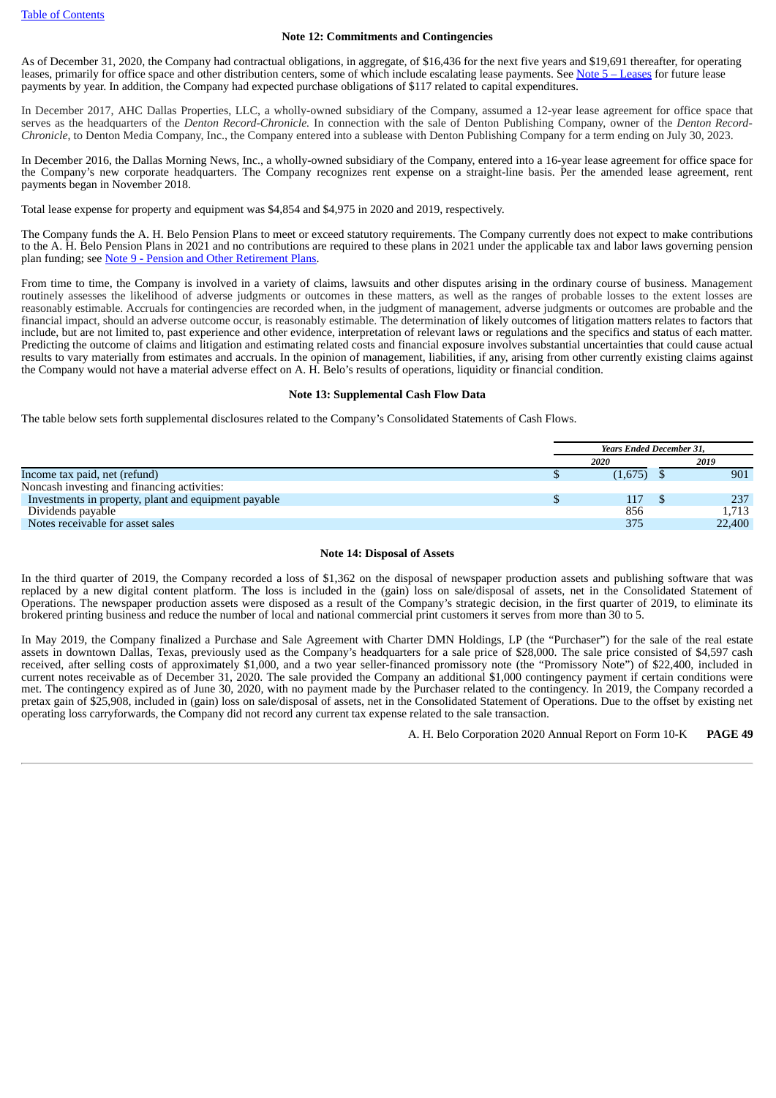## **Note 12: Commitments and Contingencies**

As of December 31, 2020, the Company had contractual obligations, in aggregate, of \$16,436 for the next five years and \$19,691 thereafter, for operating leases, primarily for office space and other distribution centers, some of which include escalating lease payments. See Note 5 – [Leases](#page-40-0) for future lease payments by year. In addition, the Company had expected purchase obligations of \$117 related to capital expenditures.

In December 2017, AHC Dallas Properties, LLC, a wholly-owned subsidiary of the Company, assumed a 12-year lease agreement for office space that serves as the headquarters of the *Denton Record-Chronicle.* In connection with the sale of Denton Publishing Company, owner of the *Denton Record-Chronicle*, to Denton Media Company, Inc., the Company entered into a sublease with Denton Publishing Company for a term ending on July 30, 2023.

In December 2016, the Dallas Morning News, Inc., a wholly-owned subsidiary of the Company, entered into a 16-year lease agreement for office space for the Company's new corporate headquarters. The Company recognizes rent expense on a straight-line basis. Per the amended lease agreement, rent payments began in November 2018.

Total lease expense for property and equipment was \$4,854 and \$4,975 in 2020 and 2019, respectively.

The Company funds the A. H. Belo Pension Plans to meet or exceed statutory requirements. The Company currently does not expect to make contributions to the A. H. Belo Pension Plans in 2021 and no contributions are required to these plans in 2021 under the applicable tax and labor laws governing pension plan funding; see Note 9 - Pension and Other [Retirement](#page-44-0) Plans.

From time to time, the Company is involved in a variety of claims, lawsuits and other disputes arising in the ordinary course of business. Management routinely assesses the likelihood of adverse judgments or outcomes in these matters, as well as the ranges of probable losses to the extent losses are reasonably estimable. Accruals for contingencies are recorded when, in the judgment of management, adverse judgments or outcomes are probable and the financial impact, should an adverse outcome occur, is reasonably estimable. The determination of likely outcomes of litigation matters relates to factors that include, but are not limited to, past experience and other evidence, interpretation of relevant laws or regulations and the specifics and status of each matter. Predicting the outcome of claims and litigation and estimating related costs and financial exposure involves substantial uncertainties that could cause actual results to vary materially from estimates and accruals. In the opinion of management, liabilities, if any, arising from other currently existing claims against the Company would not have a material adverse effect on A. H. Belo's results of operations, liquidity or financial condition.

#### **Note 13: Supplemental Cash Flow Data**

The table below sets forth supplemental disclosures related to the Company's Consolidated Statements of Cash Flows.

|                                                      | <b>Years Ended December 31.</b> |  |        |
|------------------------------------------------------|---------------------------------|--|--------|
|                                                      | 2020                            |  | 2019   |
| Income tax paid, net (refund)                        | (1,675)                         |  | 901    |
| Noncash investing and financing activities:          |                                 |  |        |
| Investments in property, plant and equipment payable | 117                             |  | 237    |
| Dividends payable                                    | 856                             |  | 1.713  |
| Notes receivable for asset sales                     | 375                             |  | 22,400 |

## **Note 14: Disposal of Assets**

<span id="page-48-0"></span>In the third quarter of 2019, the Company recorded a loss of \$1,362 on the disposal of newspaper production assets and publishing software that was replaced by a new digital content platform. The loss is included in the (gain) loss on sale/disposal of assets, net in the Consolidated Statement of Operations. The newspaper production assets were disposed as a result of the Company's strategic decision, in the first quarter of 2019, to eliminate its brokered printing business and reduce the number of local and national commercial print customers it serves from more than 30 to 5.

In May 2019, the Company finalized a Purchase and Sale Agreement with Charter DMN Holdings, LP (the "Purchaser") for the sale of the real estate assets in downtown Dallas, Texas, previously used as the Company's headquarters for a sale price of \$28,000. The sale price consisted of \$4,597 cash received, after selling costs of approximately \$1,000, and a two year seller-financed promissory note (the "Promissory Note") of \$22,400, included in current notes receivable as of December 31, 2020. The sale provided the Company an additional \$1,000 contingency payment if certain conditions were met. The contingency expired as of June 30, 2020, with no payment made by the Purchaser related to the contingency. In 2019, the Company recorded a pretax gain of \$25,908, included in (gain) loss on sale/disposal of assets, net in the Consolidated Statement of Operations. Due to the offset by existing net operating loss carryforwards, the Company did not record any current tax expense related to the sale transaction.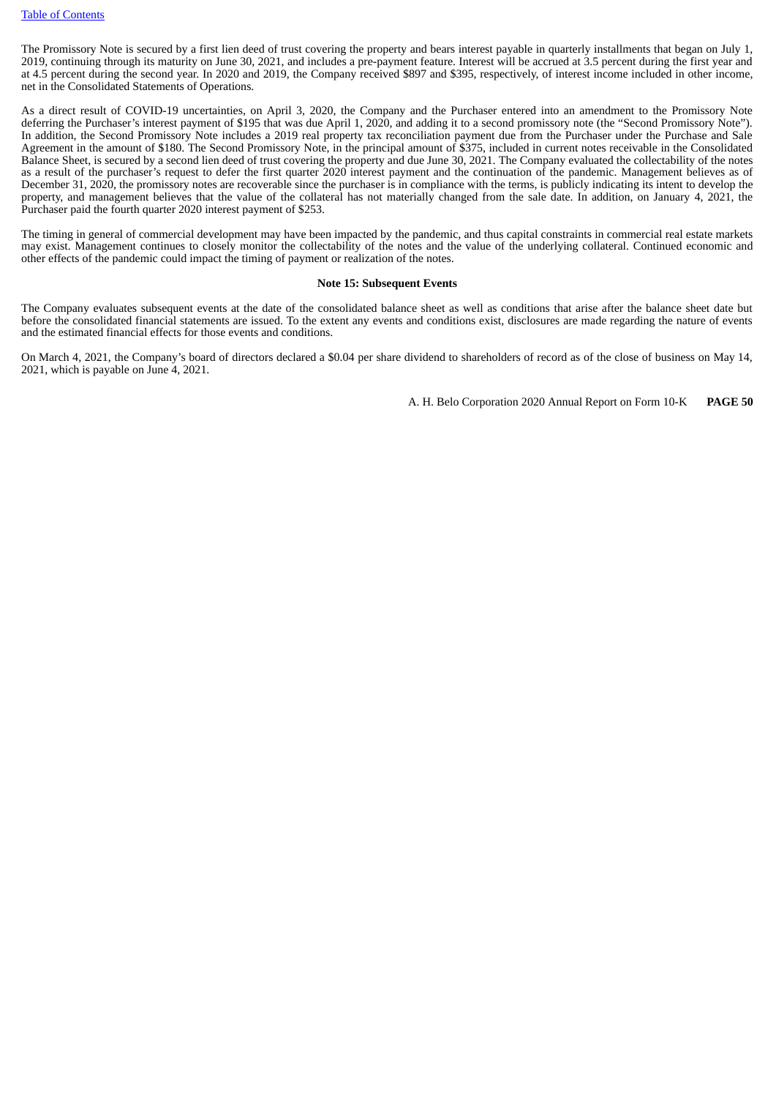The Promissory Note is secured by a first lien deed of trust covering the property and bears interest payable in quarterly installments that began on July 1, 2019, continuing through its maturity on June 30, 2021, and includes a pre-payment feature. Interest will be accrued at 3.5 percent during the first year and at 4.5 percent during the second year. In 2020 and 2019, the Company received \$897 and \$395, respectively, of interest income included in other income, net in the Consolidated Statements of Operations.

As a direct result of COVID-19 uncertainties, on April 3, 2020, the Company and the Purchaser entered into an amendment to the Promissory Note deferring the Purchaser's interest payment of \$195 that was due April 1, 2020, and adding it to a second promissory note (the "Second Promissory Note"). In addition, the Second Promissory Note includes a 2019 real property tax reconciliation payment due from the Purchaser under the Purchase and Sale Agreement in the amount of \$180. The Second Promissory Note, in the principal amount of \$375, included in current notes receivable in the Consolidated Balance Sheet, is secured by a second lien deed of trust covering the property and due June 30, 2021. The Company evaluated the collectability of the notes as a result of the purchaser's request to defer the first quarter 2020 interest payment and the continuation of the pandemic. Management believes as of December 31, 2020, the promissory notes are recoverable since the purchaser is in compliance with the terms, is publicly indicating its intent to develop the property, and management believes that the value of the collateral has not materially changed from the sale date. In addition, on January 4, 2021, the Purchaser paid the fourth quarter 2020 interest payment of \$253.

The timing in general of commercial development may have been impacted by the pandemic, and thus capital constraints in commercial real estate markets may exist. Management continues to closely monitor the collectability of the notes and the value of the underlying collateral. Continued economic and other effects of the pandemic could impact the timing of payment or realization of the notes.

### **Note 15: Subsequent Events**

The Company evaluates subsequent events at the date of the consolidated balance sheet as well as conditions that arise after the balance sheet date but before the consolidated financial statements are issued. To the extent any events and conditions exist, disclosures are made regarding the nature of events and the estimated financial effects for those events and conditions.

On March 4, 2021, the Company's board of directors declared a \$0.04 per share dividend to shareholders of record as of the close of business on May 14, 2021, which is payable on June 4, 2021.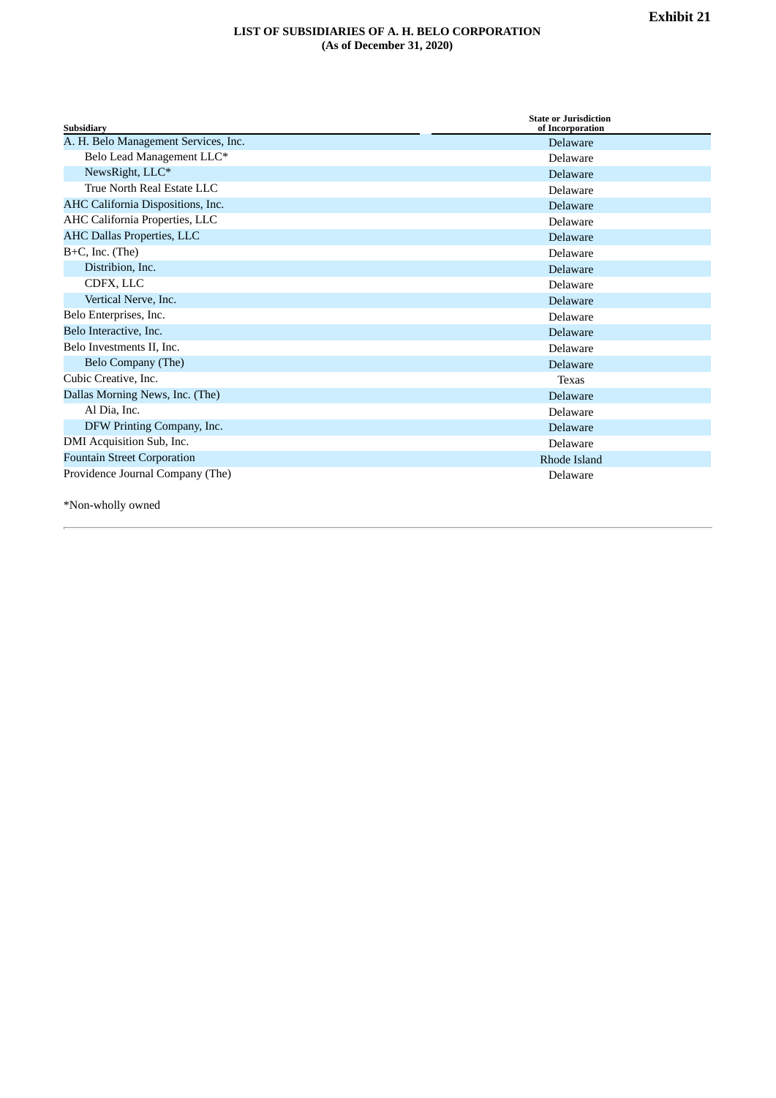# **LIST OF SUBSIDIARIES OF A. H. BELO CORPORATION (As of December 31, 2020)**

<span id="page-50-0"></span>

| <b>Subsidiarv</b>                    | <b>State or Jurisdiction</b><br>of Incorporation |
|--------------------------------------|--------------------------------------------------|
| A. H. Belo Management Services, Inc. | <b>Delaware</b>                                  |
| Belo Lead Management LLC*            | Delaware                                         |
| NewsRight, LLC*                      | Delaware                                         |
| True North Real Estate LLC           | Delaware                                         |
| AHC California Dispositions, Inc.    | <b>Delaware</b>                                  |
| AHC California Properties, LLC       | Delaware                                         |
| AHC Dallas Properties, LLC           | <b>Delaware</b>                                  |
| $B+C$ , Inc. (The)                   | Delaware                                         |
| Distribion, Inc.                     | Delaware                                         |
| CDFX, LLC                            | Delaware                                         |
| Vertical Nerve, Inc.                 | <b>Delaware</b>                                  |
| Belo Enterprises, Inc.               | Delaware                                         |
| Belo Interactive, Inc.               | <b>Delaware</b>                                  |
| Belo Investments II, Inc.            | Delaware                                         |
| Belo Company (The)                   | <b>Delaware</b>                                  |
| Cubic Creative, Inc.                 | <b>Texas</b>                                     |
| Dallas Morning News, Inc. (The)      | Delaware                                         |
| Al Dia, Inc.                         | Delaware                                         |
| DFW Printing Company, Inc.           | <b>Delaware</b>                                  |
| DMI Acquisition Sub, Inc.            | Delaware                                         |
| <b>Fountain Street Corporation</b>   | Rhode Island                                     |
| Providence Journal Company (The)     | Delaware                                         |

 $^\ast \text{Non-wholly owned}$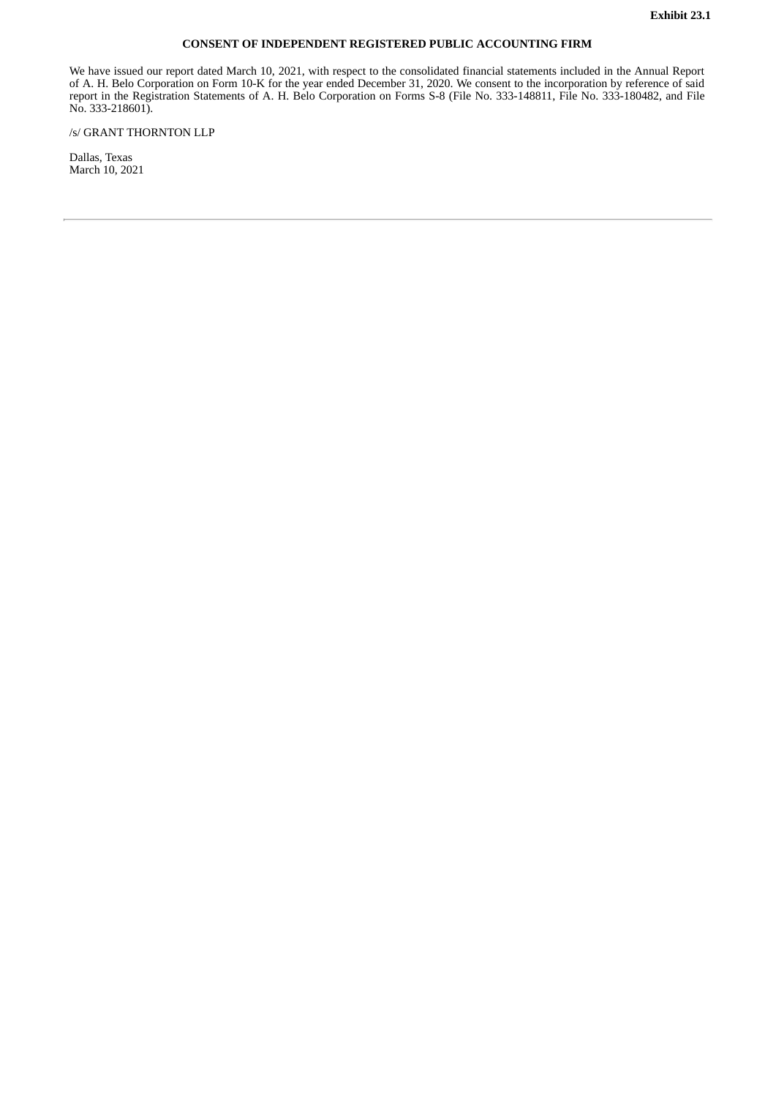## **CONSENT OF INDEPENDENT REGISTERED PUBLIC ACCOUNTING FIRM**

<span id="page-51-0"></span>We have issued our report dated March 10, 2021, with respect to the consolidated financial statements included in the Annual Report of A. H. Belo Corporation on Form 10-K for the year ended December 31, 2020. We consent to the incorporation by reference of said report in the Registration Statements of A. H. Belo Corporation on Forms S-8 (File No. 333-148811, File No. 333-180482, and File No. 333-218601).

/s/ GRANT THORNTON LLP

Dallas, Texas March 10, 2021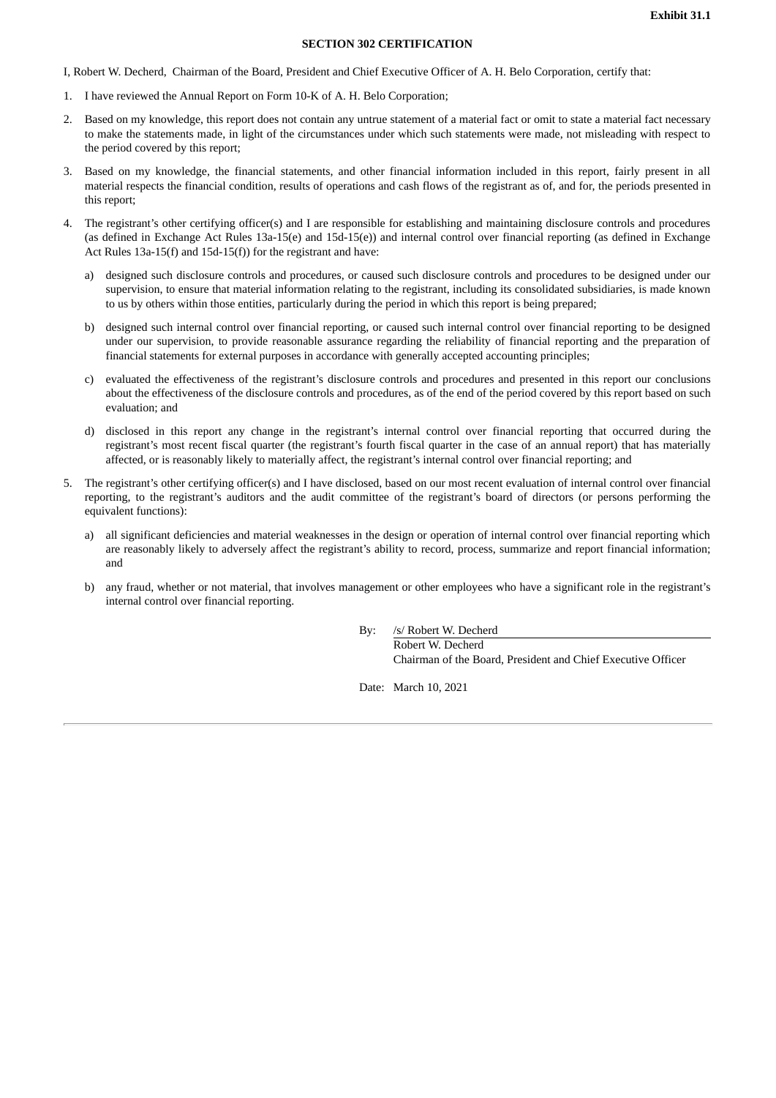## **SECTION 302 CERTIFICATION**

<span id="page-52-0"></span>I, Robert W. Decherd, Chairman of the Board, President and Chief Executive Officer of A. H. Belo Corporation, certify that:

- 1. I have reviewed the Annual Report on Form 10-K of A. H. Belo Corporation;
- 2. Based on my knowledge, this report does not contain any untrue statement of a material fact or omit to state a material fact necessary to make the statements made, in light of the circumstances under which such statements were made, not misleading with respect to the period covered by this report;
- 3. Based on my knowledge, the financial statements, and other financial information included in this report, fairly present in all material respects the financial condition, results of operations and cash flows of the registrant as of, and for, the periods presented in this report;
- 4. The registrant's other certifying officer(s) and I are responsible for establishing and maintaining disclosure controls and procedures (as defined in Exchange Act Rules 13a-15(e) and 15d-15(e)) and internal control over financial reporting (as defined in Exchange Act Rules 13a-15(f) and 15d-15(f)) for the registrant and have:
	- a) designed such disclosure controls and procedures, or caused such disclosure controls and procedures to be designed under our supervision, to ensure that material information relating to the registrant, including its consolidated subsidiaries, is made known to us by others within those entities, particularly during the period in which this report is being prepared;
	- b) designed such internal control over financial reporting, or caused such internal control over financial reporting to be designed under our supervision, to provide reasonable assurance regarding the reliability of financial reporting and the preparation of financial statements for external purposes in accordance with generally accepted accounting principles;
	- c) evaluated the effectiveness of the registrant's disclosure controls and procedures and presented in this report our conclusions about the effectiveness of the disclosure controls and procedures, as of the end of the period covered by this report based on such evaluation; and
	- d) disclosed in this report any change in the registrant's internal control over financial reporting that occurred during the registrant's most recent fiscal quarter (the registrant's fourth fiscal quarter in the case of an annual report) that has materially affected, or is reasonably likely to materially affect, the registrant's internal control over financial reporting; and
- 5. The registrant's other certifying officer(s) and I have disclosed, based on our most recent evaluation of internal control over financial reporting, to the registrant's auditors and the audit committee of the registrant's board of directors (or persons performing the equivalent functions):
	- a) all significant deficiencies and material weaknesses in the design or operation of internal control over financial reporting which are reasonably likely to adversely affect the registrant's ability to record, process, summarize and report financial information; and
	- b) any fraud, whether or not material, that involves management or other employees who have a significant role in the registrant's internal control over financial reporting.

By: /s/ Robert W. Decherd Robert W. Decherd

Chairman of the Board, President and Chief Executive Officer

Date: March 10, 2021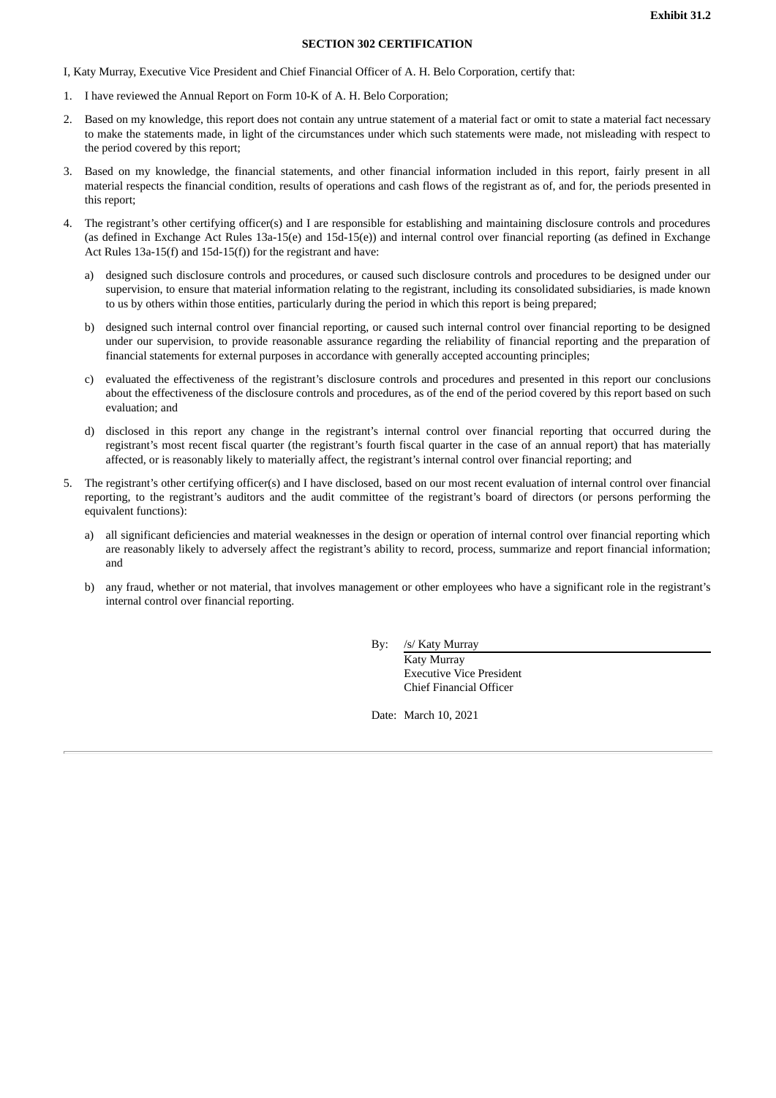## **SECTION 302 CERTIFICATION**

<span id="page-53-0"></span>I, Katy Murray, Executive Vice President and Chief Financial Officer of A. H. Belo Corporation, certify that:

- 1. I have reviewed the Annual Report on Form 10-K of A. H. Belo Corporation;
- 2. Based on my knowledge, this report does not contain any untrue statement of a material fact or omit to state a material fact necessary to make the statements made, in light of the circumstances under which such statements were made, not misleading with respect to the period covered by this report;
- 3. Based on my knowledge, the financial statements, and other financial information included in this report, fairly present in all material respects the financial condition, results of operations and cash flows of the registrant as of, and for, the periods presented in this report;
- 4. The registrant's other certifying officer(s) and I are responsible for establishing and maintaining disclosure controls and procedures (as defined in Exchange Act Rules 13a-15(e) and 15d-15(e)) and internal control over financial reporting (as defined in Exchange Act Rules 13a-15(f) and 15d-15(f)) for the registrant and have:
	- a) designed such disclosure controls and procedures, or caused such disclosure controls and procedures to be designed under our supervision, to ensure that material information relating to the registrant, including its consolidated subsidiaries, is made known to us by others within those entities, particularly during the period in which this report is being prepared;
	- b) designed such internal control over financial reporting, or caused such internal control over financial reporting to be designed under our supervision, to provide reasonable assurance regarding the reliability of financial reporting and the preparation of financial statements for external purposes in accordance with generally accepted accounting principles;
	- c) evaluated the effectiveness of the registrant's disclosure controls and procedures and presented in this report our conclusions about the effectiveness of the disclosure controls and procedures, as of the end of the period covered by this report based on such evaluation; and
	- d) disclosed in this report any change in the registrant's internal control over financial reporting that occurred during the registrant's most recent fiscal quarter (the registrant's fourth fiscal quarter in the case of an annual report) that has materially affected, or is reasonably likely to materially affect, the registrant's internal control over financial reporting; and
- 5. The registrant's other certifying officer(s) and I have disclosed, based on our most recent evaluation of internal control over financial reporting, to the registrant's auditors and the audit committee of the registrant's board of directors (or persons performing the equivalent functions):
	- a) all significant deficiencies and material weaknesses in the design or operation of internal control over financial reporting which are reasonably likely to adversely affect the registrant's ability to record, process, summarize and report financial information; and
	- b) any fraud, whether or not material, that involves management or other employees who have a significant role in the registrant's internal control over financial reporting.

By: /s/ Katy Murray

Katy Murray Executive Vice President Chief Financial Officer

Date: March 10, 2021